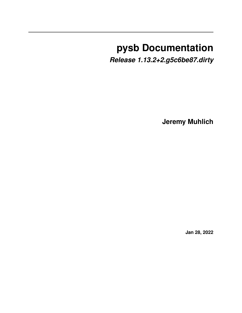# **pysb Documentation**

*Release 1.13.2+2.g5c6be87.dirty*

**Jeremy Muhlich**

**Jan 28, 2022**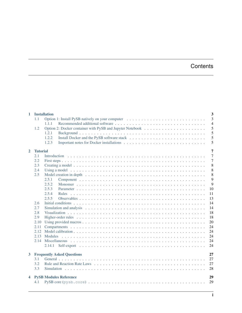# **Contents**

| $\mathbf{1}$            |                 | <b>Installation</b>                                                                                                             | 3              |
|-------------------------|-----------------|---------------------------------------------------------------------------------------------------------------------------------|----------------|
|                         | 1.1             | Option 1: Install PySB natively on your computer                                                                                | 3              |
|                         |                 | 1.1.1                                                                                                                           | $\overline{4}$ |
|                         | 1.2             |                                                                                                                                 | 5              |
|                         |                 | 1.2.1                                                                                                                           | 5              |
|                         |                 | 1.2.2                                                                                                                           | 5              |
|                         |                 | 1.2.3                                                                                                                           | 5              |
| $\mathbf{2}$            | <b>Tutorial</b> |                                                                                                                                 | 7              |
|                         | 2.1             |                                                                                                                                 | $\overline{7}$ |
|                         | 2.2             |                                                                                                                                 | 7              |
|                         | 2.3             |                                                                                                                                 | 8              |
|                         | 2.4             |                                                                                                                                 | 8              |
|                         | 2.5             | Model creation in depth $\dots \dots \dots \dots \dots \dots \dots \dots \dots \dots \dots \dots \dots \dots \dots \dots \dots$ | 8              |
|                         |                 | 2.5.1                                                                                                                           | 9              |
|                         |                 | 2.5.2                                                                                                                           | 9              |
|                         |                 | 10                                                                                                                              |                |
|                         |                 | 2.5.3<br>2.5.4<br>11                                                                                                            |                |
|                         |                 | <b>Rules</b>                                                                                                                    |                |
|                         |                 | 2.5.5<br>13                                                                                                                     |                |
|                         | 2.6             | 14                                                                                                                              |                |
|                         | 2.7             | 14                                                                                                                              |                |
|                         | 2.8             | 18                                                                                                                              |                |
|                         | 2.9             | 18                                                                                                                              |                |
|                         | 2.10            | 20                                                                                                                              |                |
|                         | 2.11            | 24                                                                                                                              |                |
|                         | 2.12            | 24                                                                                                                              |                |
|                         | 2.13            | 24                                                                                                                              |                |
|                         | 2.14            | 24                                                                                                                              |                |
|                         |                 | 24                                                                                                                              |                |
| $\mathbf{3}$            |                 | <b>Frequently Asked Questions</b><br>27                                                                                         |                |
|                         | 3.1             | 27                                                                                                                              |                |
|                         | 3.2             | 27                                                                                                                              |                |
|                         | 3.3             | 28                                                                                                                              |                |
| $\overline{\mathbf{4}}$ |                 | 29<br><b>PySB Modules Reference</b>                                                                                             |                |
|                         | 4.1             | 29                                                                                                                              |                |
|                         |                 |                                                                                                                                 |                |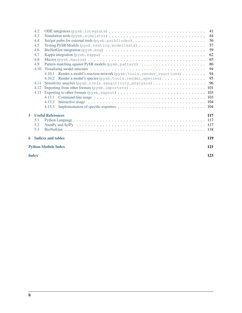|   | 4.2          |                                                                        | 41  |
|---|--------------|------------------------------------------------------------------------|-----|
|   | 4.3          |                                                                        | 44  |
|   | 4.4          |                                                                        | 56  |
|   | 4.5          | Testing PySB Models (pysb.testing.modeltests)                          | 57  |
|   | 4.6          |                                                                        | 59  |
|   | 4.7          |                                                                        | 62  |
|   | 4.8          |                                                                        | 65  |
|   | 4.9          |                                                                        | 86  |
|   | 4.10         |                                                                        | 94  |
|   |              | 4.10.1 Render a model's reaction network (pysb.tools.render_reactions) | 94  |
|   |              | 4.10.2 Render a model's species (pysb.tools.render_species)            | 95  |
|   | 4.11         |                                                                        | 96  |
|   | 4.12         |                                                                        |     |
|   | 4.13         |                                                                        |     |
|   |              |                                                                        |     |
|   |              | 4.13.2                                                                 |     |
|   |              | 4.13.3                                                                 |     |
| 5 |              | <b>Useful References</b>                                               | 117 |
|   | 5.1          |                                                                        |     |
|   | 5.2          |                                                                        |     |
|   | 5.3          |                                                                        |     |
|   |              | <b>6</b> Indices and tables                                            | 119 |
|   |              | <b>Python Module Index</b>                                             | 121 |
|   |              |                                                                        |     |
|   | <b>Index</b> |                                                                        | 123 |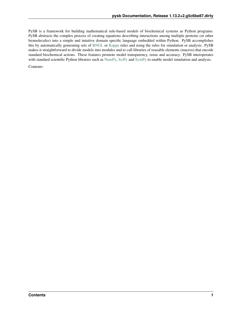PySB is a framework for building mathematical rule-based models of biochemical systems as Python programs. PySB abstracts the complex process of creating equations describing interactions among multiple proteins (or other biomolecules) into a simple and intuitive domain specific language embedded within Python. PySB accomplishes this by automatically generating sets of [BNGL](http://www.bionetgen.org) or [Kappa](http://dev.executableknowledge.org) rules and using the rules for simulation or analysis. PySB makes it straightforward to divide models into modules and to call libraries of reusable elements (macros) that encode standard biochemical actions. These features promote model transparency, reuse and accuracy. PySB interoperates with standard scientific Python libraries such as [NumPy,](http://numpy.scipy.org) [SciPy](http://www.scipy.org) and [SymPy](http://sympy.org) to enable model simulation and analysis.

Contents: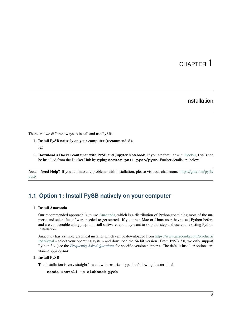# CHAPTER 1

# Installation

<span id="page-6-0"></span>There are two different ways to install and use PySB:

- 1. Install PySB natively on your computer (recommended).
	- *OR*
- 2. Download a Docker container with PySB and Jupyter Notebook. If you are familiar with [Docker,](http://www.docker.org/) PySB can be installed from the Docker Hub by typing **docker pull pysb/pysb**. Further details are below.

Note: Need Help? If you run into any problems with installation, please visit our chat room: [https://gitter.im/pysb/](https://gitter.im/pysb/pysb) [pysb](https://gitter.im/pysb/pysb)

# <span id="page-6-1"></span>**1.1 Option 1: Install PySB natively on your computer**

### 1. Install Anaconda

Our recommended approach is to use [Anaconda,](https://www.anaconda.com/products/individual) which is a distribution of Python containing most of the numeric and scientific software needed to get started. If you are a Mac or Linux user, have used Python before and are comfortable using pip to install software, you may want to skip this step and use your existing Python installation.

Anaconda has a simple graphical installer which can be downloaded from [https://www.anaconda.com/products/](https://www.anaconda.com/products/individual) [individual](https://www.anaconda.com/products/individual) - select your operating system and download the 64 bit version. From PySB 2.0, we only support Python 3.x (see the *[Frequently Asked Questions](#page-30-0)* for specific version support). The default installer options are usually appropriate.

### 2. Install PySB

The installation is very straightforward with conda - type the following in a terminal:

```
conda install -c alubbock pysb
```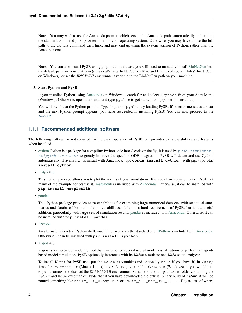Note: You may wish to use the Anaconda prompt, which sets up the Anaconda paths automatically, rather than the standard command prompt or terminal on your operating system. Otherwise, you may have to use the full path to the conda command each time, and may end up using the system version of Python, rather than the Anaconda one.

Note: You can also install PySB using  $pip$ , but in that case you will need to manually install [BioNetGen](http://www.bionetgen.org/) into the default path for your platform (/usr/local/share/BioNetGen on Mac and Linux, c:\Program Files\BioNetGen on Windows), or set the *BNGPATH* environment variable to the BioNetGen path on your machine.

### 3. Start Python and PySB

If you installed Python using [Anaconda](https://www.anaconda.com/products/individual) on Windows, search for and select IPython from your Start Menu (Windows). Otherwise, open a terminal and type python to get started (or ipython, if installed).

You will then be at the Python prompt. Type import pysb to try loading PySB. If no error messages appear and the next Python prompt appears, you have succeeded in installing PySB! You can now proceed to the *[Tutorial](#page-10-0)*.

### <span id="page-7-0"></span>**1.1.1 Recommended additional software**

The following software is not required for the basic operation of PySB, but provides extra capabilities and features when installed.

- [cython](http://cython.org/) Cython is a package for compiling Python code into C code on the fly. It is used by  $pysb$ .  $s$  imulator. [ScipyOdeSimulator](#page-50-0) to greatly improve the speed of ODE integration. PySB will detect and use Cython automatically, if available. To install with Anaconda, type **conda install cython**. With pip, type **pip install cython**.
- [matplotlib](http://matplotlib.org/)

This Python package allows you to plot the results of your simulations. It is not a hard requirement of PySB but many of the example scripts use it. [matplotlib](http://matplotlib.org/) is included with [Anaconda.](https://www.anaconda.com/products/individual) Otherwise, it can be installed with **pip install matplotlib**.

• [pandas](http://pandas.pydata.org/)

This Python package provides extra capabilities for examining large numerical datasets, with statistical summaries and database-like manipulation capabilities. It is not a hard requirement of PySB, but it is a useful addition, particularly with large sets of simulation results. [pandas](http://pandas.pydata.org/) is included with [Anaconda.](https://www.anaconda.com/products/individual) Otherwise, it can be installed with **pip install pandas**.

• [IPython](http://ipython.org/)

An alternate interactive Python shell, much improved over the standard one. [IPython](http://ipython.org/) is included with [Anaconda.](https://www.anaconda.com/products/individual) Otherwise, it can be installed with **pip install ipython**.

• [Kappa](http://www.kappalanguage.org/) 4.0

Kappa is a rule-based modeling tool that can produce several useful model visualizations or perform an agentbased model simulation. PySB optionally interfaces with its *KaSim* simulator and *KaSa* static analyzer.

To install Kappa for PySB use, put the KaSim executable (and optionally KaSa if you have it) in /usr/ local/share/KaSim (Mac or Linux) or C:\\Program Files\\KaSim (Windows). If you would like to put it somewhere else, set the KAPPAPATH environment variable to the full path to the folder containing the KaSim and KaSa executables. Note that if you have downloaded the official binary build of KaSim, it will be named something like KaSim\_4.0\_winxp.exe or KaSim\_4.0\_mac\_OSX\_10.10. Regardless of where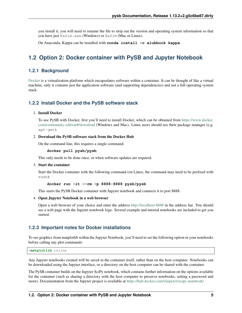you install it, you will need to rename the file to strip out the version and operating system information so that you have just KaSim.exe (Windows) or KaSim (Mac or Linux).

On Anaconda, Kappa can be installed with **conda install -c alubbock kappa**.

### <span id="page-8-0"></span>**1.2 Option 2: Docker container with PySB and Jupyter Notebook**

### <span id="page-8-1"></span>**1.2.1 Background**

[Docker](http://www.docker.org/) is a virtualization platform which encapsulates software within a container. It can be thought of like a virtual machine, only it contains just the application software (and supporting dependencies) and not a full operating system stack.

### <span id="page-8-2"></span>**1.2.2 Install Docker and the PySB software stack**

### 1. Install Docker

To use PySB with Docker, first you'll need to install Docker, which can be obtained from [https://www.docker.](https://www.docker.com/community-edition#/download) [com/community-edition#/download](https://www.docker.com/community-edition#/download) (Windows and Mac). Linux users should use their package manager (e.g. apt-get).

#### 2. Download the PySB software stack from the Docker Hub

On the command line, this requires a single command:

#### **docker pull pysb/pysb**

This only needs to be done once, or when software updates are required.

#### 3. Start the container

Start the Docker container with the following command (on Linux, the command may need to be prefixed with sudo):

#### **docker run -it --rm -p 8888:8888 pysb/pysb**

This starts the PySB Docker container with Jupyter notebook and connects it to port 8888.

#### 4. Open Jupyter Notebook in a web browser

Open a web browser of your choice and enter the address <http://localhost:8888> in the address bar. You should see a web page with the Jupyter notebook logo. Several example and tutorial notebooks are included to get you started.

### <span id="page-8-3"></span>**1.2.3 Important notes for Docker installations**

To see graphics from matplotlib within the Jupyter Notebook, you'll need to set the following option in your notebooks before calling any plot commands:

%**matplotlib** inline

Any Jupyter notebooks created will be saved in the container itself, rather than on the host computer. Notebooks can be downloaded using the Jupyter interface, or a directory on the host computer can be shared with the container.

The PySB container builds on the Jupyter SciPy notebook, which contains further information on the options available for the container (such as sharing a directory with the host computer to preserve notebooks, setting a password and more). Documentation from the Jupyter project is available at <https://hub.docker.com/r/jupyter/scipy-notebook/>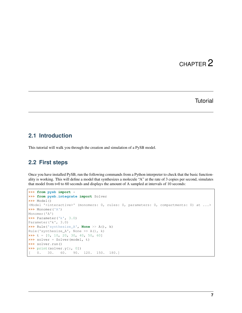# CHAPTER 2

### **Tutorial**

# <span id="page-10-1"></span><span id="page-10-0"></span>**2.1 Introduction**

This tutorial will walk you through the creation and simulation of a PySB model.

### <span id="page-10-2"></span>**2.2 First steps**

Once you have installed PySB, run the following commands from a Python interpreter to check that the basic functionality is working. This will define a model that synthesizes a molecule "A" at the rate of 3 copies per second, simulates that model from t=0 to 60 seconds and displays the amount of A sampled at intervals of 10 seconds:

```
>>> from pysb import *
>>> from pysb.integrate import Solver
>>> Model()
<Model '<interactive>' (monomers: 0, rules: 0, parameters: 0, compartments: 0) at ...>
>>> Monomer('A')
Monomer('A')
>>> Parameter('k', 3.0)
Parameter('k', 3.0)
>>> Rule('synthesize_A', None >> A(), k)
Rule('synthesize_A', None >> A(), k)
\Rightarrow t = [0, 10, 20, 30, 40, 50, 60]>>> solver = Solver(model, t)
>>> solver.run()
>>> print(solver.y[:, 0])
[ 0. 30. 60. 90. 120. 150. 180.]
```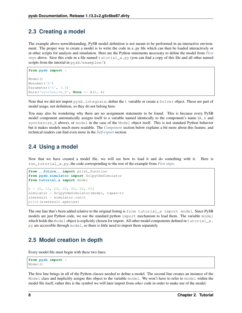### <span id="page-11-0"></span>**2.3 Creating a model**

The example above notwithstanding, PySB model definition is not meant to be performed in an interactive environment. The proper way to create a model is to write the code in a .py file which can then be loaded interactively or in other scripts for analysis and simulation. Here are the Python statements necessary to define the model from *[First](#page-10-2) [steps](#page-10-2)* above. Save this code in a file named tutorial\_a.py (you can find a copy of this file and all other named scripts from the tutorial in pysb/examples/):

```
from pysb import *
Model()
Monomer('A')
Parameter('k', 3.0)
Rule('synthesize_A', None >> A(), k)
```
Note that we did not import pysb.integrate, define the t variable or create a Solver object. These are part of model usage, not definition, so they do not belong here.

You may also be wondering why there are no assignment statements to be found. This is because every PySB model component automatically assigns itself to a variable named identically to the component's name (A, k and synthesize\_A above), or model in the case of the Model object itself. This is not standard Python behavior but it makes models much more readable. The *[Component](#page-12-0)* section below explains a bit more about this feature, and technical readers can find even more in the *[Self-export](#page-27-4)* section.

### <span id="page-11-1"></span>**2.4 Using a model**

Now that we have created a model file, we will see how to load it and do something with it. Here is run\_tutorial\_a.py, the code corresponding to the rest of the example from *[First steps](#page-10-2)*.

```
from __future__ import print_function
from pysb.simulator import ScipyOdeSimulator
from tutorial_a import model
t = [0, 10, 20, 30, 40, 50, 60]simulator = ScipyOdeSimulator(model, tspan=t)
simresult = simulator.run()
print(simresult.species)
```
The one line that's been added relative to the original listing is from tutorial a import model. Since PySB models are just Python code, we use the standard python import mechanism to load them. The variable model which holds the Model object is explicitly chosen for import. All other model components defined in tutorial a. py are accessible through model, so there is little need to import them separately.

# <span id="page-11-2"></span>**2.5 Model creation in depth**

Every model file must begin with these two lines:

```
from pysb import *
Model()
```
The first line brings in all of the Python classes needed to define a model. The second line creates an instance of the Model class and implicitly assigns this object to the variable model. We won't have to refer to model within the model file itself, rather this is the symbol we will later import from *other* code in order to make use of the model.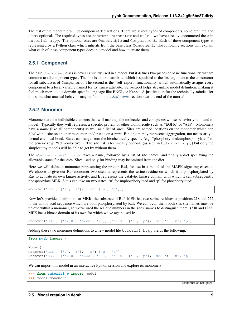The rest of the model file will be component declarations. There are several types of components, some required and others optional. The required types are Monomer, Parameter and Rule – we have already encountered these in tutorial a.py. The optional ones are Observable and Compartment. Each of these component types is represented by a Python class which inherits from the base class Component. The following sections will explain what each of these component types does in a model and how to create them.

### <span id="page-12-0"></span>**2.5.1 Component**

The base Component class is never explicitly used in a model, but it defines two pieces of basic functionality that are common to all component types. The first is a name attribute, which is specified as the first argument to the constructor for all subclasses of Component. The second is the "self-export" functionality, which automatically assigns every component to a local variable named for its name attribute. Self-export helps streamline model definition, making it feel much more like a domain-specific language like BNGL or Kappa. A justification for the technically-minded for this somewhat unusual behavior may be found in the *[Self-export](#page-27-4)* section near the end of the tutorial.

### <span id="page-12-1"></span>**2.5.2 Monomer**

Monomers are the indivisible elements that will make up the molecules and complexes whose behavior you intend to model. Typically they will represent a specific protein or other biomolecule such as "EGFR" or "ATP". Monomers have a *name* (like all components) as well as a list of *sites*. Sites are named locations on the monomer which can *bind* with a site on another monomer and/or take on a *state*. Binding merely represents aggregation, not necessarily a formal chemical bond. States can range from the biochemically specific (e.g. "phosphorylated/unphosphorylated" to the generic (e.g. "active/inactive"). The site list is technically optional (as seen in tutorial a.py) but only the simplest toy models will be able to get by without them.

The [Monomer constructor](#page-39-0) takes a name, followed by a list of site names, and finally a dict specifying the allowable states for the sites. Sites used only for binding may be omitted from the dict.

Here we will define a monomer representing the protein **Raf**, for use in a model of the MAPK signaling cascade. We choose to give our Raf monomer two sites: s represents the serine residue on which it is phosphorylated by Ras to activate its own kinase activity, and k represents the catalytic kinase domain with which it can subsequently phosphorylate MEK. Site s can take on two states: 'u' for unphosphorylated and 'p' for phosphorylated:

```
Monomer('Raf', ['s', 'k'], {'s': ['u', 'p']})
```
Now let's provide a definition for **MEK**, the substrate of Raf. MEK has two serine residues at positions 218 and 222 in the amino acid sequence which are both phosphorylated by Raf. We can't call them both s as site names must be unique within a monomer, so we've used the residue numbers in the sites' names to distinguish them: s218 and s222. MEK has a kinase domain of its own for which we've again used k:

Monomer('MEK', ['s218', 's222', 'k'], {'s218': ['u', 'p'], 's222': ['u', 'p']})

Adding these two monomer definitions to a new model file  $\text{tutoff}$ . py yields the following:

```
from pysb import *
Model()
Monomer('Raf', ['s', 'k'], {'s': ['u', 'p']})
Monomer('MEK', ['s218', 's222', 'k'], {'s218': ['u', 'p'], 's222': ['u', 'p']})
```
We can import this model in an interactive Python session and explore its monomers:

```
>>> from tutorial_b import model
>>> model.monomers
```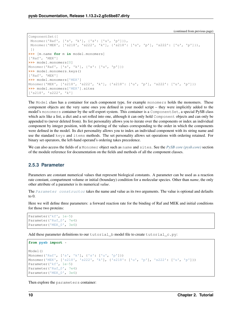```
ComponentSet([
Monomer('Raf', ['s', 'k'], {'s': ['u', 'p']}),
Monomer('MEK', ['s218', 's222', 'k'], {'s218': ['u', 'p'], 's222': ['u', 'p']}),
])
>>> [m.name for m in model.monomers]
['Raf', 'MEK']
>>> model.monomers[0]
Monomer('Raf', ['s', 'k'], {'s': ['u', 'p']})
>>> model.monomers.keys()
['Raf', 'MEK']
>>> model.monomers['MEK']
Monomer('MEK', ['s218', 's222', 'k'], {'s218': ['u', 'p'], 's222': ['u', 'p']})
>>> model.monomers['MEK'].sites
['s218', 's222', 'k']
```
The Model class has a container for each component type, for example monomers holds the monomers. These component objects are the very same ones you defined in your model script – they were implicitly added to the model's monomers container by the self-export system. This container is a Component Set, a special PySB class which acts like a list, a dict and a set rolled into one, although it can only hold Component objects and can only be appended to (never deleted from). Its list personality allows you to iterate over the components or index an individual component by integer position, with the ordering of the values corresponding to the order in which the components were defined in the model. Its dict personality allows you to index an individual component with its string name and use the standard keys and items methods. The set personality allows set operations with ordering retained. For binary set operators, the left-hand operand's ordering takes precedence.

We can also access the fields of a Monomer object such as name and sites. See the *[PySB core \(pysb.core\)](#page-32-1)* section of the module reference for documentation on the fields and methods of all the component classes.

### <span id="page-13-0"></span>**2.5.3 Parameter**

Parameters are constant numerical values that represent biological constants. A parameter can be used as a reaction rate constant, compartment volume or initial (boundary) condition for a molecular species. Other than *name*, the only other attribute of a parameter is its numerical *value*.

The [Parameter constructor](#page-42-0) takes the name and value as its two arguments. The value is optional and defaults to  $0$ .

Here we will define three parameters: a forward reaction rate for the binding of Raf and MEK and initial conditions for those two proteins:

```
Parameter('kf', 1e-5)
Parameter('Raf_0', 7e4)
Parameter('MEK_0', 3e6)
```
Add these parameter definitions to our tutorial b model file to create tutorial  $\subset$ .py:

```
from pysb import *
Model()
Monomer('Raf', ['s', 'k'], {'s': ['u', 'p']})
Monomer('MEK', ['s218', 's222', 'k'], {'s218': ['u', 'p'], 's222': ['u', 'p']})
Parameter('kf', 1e-5)
Parameter('Raf 0', 7e4)
Parameter('MEK_0', 3e6)
```
Then explore the parameters container: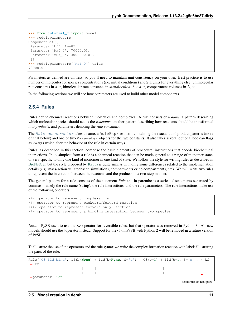```
>>> from tutorial_c import model
>>> model.parameters
ComponentSet([
Parameter('kf', 1e-05),
Parameter('Raf_0', 70000.0),
Parameter('MEK_0', 3000000.0),
])
>>> model.parameters['Raf_0'].value
70000.0
```
Parameters as defined are unitless, so you'll need to maintain unit consistency on your own. Best practice is to use number of molecules for species concentrations (i.e. initial conditions) and S.I. units for everything else: unimolecular rate constants in  $s^{-1}$ , bimolecular rate constants in  $\# molecules^{-1} \times s^{-1}$ , compartment volumes in L, etc.

In the following sections we will see how parameters are used to build other model components.

### <span id="page-14-0"></span>**2.5.4 Rules**

Rules define chemical reactions between molecules and complexes. A rule consists of a *name*, a pattern describing which molecular species should act as the *reactants*, another pattern describing how reactants should be transformed into *products*, and parameters denoting the *rate constants*.

The [Rule constructor](#page-42-1) takes a name, a RuleExpression containing the reactant and product patterns (more on that below) and one or two Parameter objects for the rate constants. It also takes several optional boolean flags as kwargs which alter the behavior of the rule in certain ways.

Rules, as described in this section, comprise the basic elements of procedural instructions that encode biochemical interactions. In its simplest form a rule is a chemical reaction that can be made general to a range of monomer states or very specific to only one kind of monomer in one kind of state. We follow the style for writing rules as described in [BioNetGen](http://bionetgen.org/index.php/Documentation) but the style proposed by [Kappa](http://dev.executableknowledge.org/docs/KaSim-manual-master/KaSim_manual.htm) is quite similar with only some differences related to the implementation details (e.g. mass-action vs. stochastic simulations, compartments or no compartments, etc). We will write two rules to represent the interaction between the reactants and the products in a two-step manner.

The general pattern for a rule consists of the statement *Rule* and in parenthesis a series of statements separated by commas, namely the rule name (string), the rule interactions, and the rule parameters. The rule interactions make use of the following operators:

```
*+* operator to represent complexation
*|* operator to represent backward/forward reaction
*>>* operator to represent forward-only reaction
*%* operator to represent a binding interaction between two species
```
Note: PySB used to use the  $\leq$  operator for reversible rules, but that operator was removed in Python 3. All new models should use the | operator instead. Support for the  $\leq$  in PySB with Python 2 will be removed in a future version of PySB.

To illustrate the use of the operators and the rule syntax we write the complex formation reaction with labels illustrating the parts of the rule:

| Rule('C8 Bid bind', C8(b= <b>None</b> ) + Bid(b= <b>None</b> , S='u')   C8(b=1) % Bid(b=1, S='u'), *[kf,                                                                                                                          |  |  |  |  |                          |  |
|-----------------------------------------------------------------------------------------------------------------------------------------------------------------------------------------------------------------------------------|--|--|--|--|--------------------------|--|
| $\leftrightarrow$ kr)                                                                                                                                                                                                             |  |  |  |  |                          |  |
| $\frac{1}{2}$ . The contract of the contract of the contract of the contract of the contract of the contract of the contract of the contract of the contract of the contract of the contract of the contract of the contract of t |  |  |  |  |                          |  |
| $\frac{1}{2}$ . The contract of the contract of the contract of the contract of the contract of the contract of the contract of the contract of the contract of the contract of the contract of the contract of the contract of t |  |  |  |  |                          |  |
| $\rightarrow$ parameter list                                                                                                                                                                                                      |  |  |  |  |                          |  |
|                                                                                                                                                                                                                                   |  |  |  |  | (continues on next page) |  |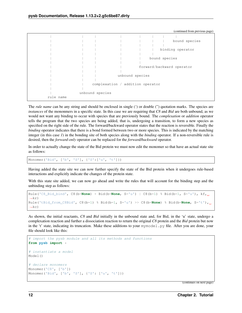|           |                 |                                  | (continued from previous page) |
|-----------|-----------------|----------------------------------|--------------------------------|
|           |                 |                                  |                                |
|           |                 |                                  | bound species                  |
|           |                 |                                  |                                |
|           |                 |                                  | binding operator               |
|           |                 |                                  |                                |
|           |                 |                                  | bound species                  |
|           |                 |                                  |                                |
|           |                 |                                  | forward/backward operator      |
|           |                 |                                  |                                |
|           |                 | unbound species                  |                                |
|           |                 |                                  |                                |
|           |                 | complexation / addition operator |                                |
|           |                 |                                  |                                |
|           | unbound species |                                  |                                |
| rule name |                 |                                  |                                |

The *rule name* can be any string and should be enclosed in single (') or double (') quotation marks. The species are *instances* of the mononmers in a specific state. In this case we are requiring that *C8* and *Bid* are both unbound, as we would not want any binding to occur with species that are previously bound. The *complexation* or *addition* operator tells the program that the two species are being added, that is, undergoing a transition, to form a new species as specified on the right side of the rule. The forward/backward operator states that the reaction is reversible. Finally the *binding* operator indicates that there is a bond formed between two or more species. This is indicated by the matching integer (in this case *1*) in the bonding site of both species along with the *binding* operator. If a non-reversible rule is desired, then the *forward-only* operator can be replaced for the *forward/backward* operator.

In order to actually change the state of the Bid protein we must now edit the monomer so that have an actual state site as follows:

Monomer('Bid', ['b', 'S'], {'S':['u', 't']})

Having added the state site we can now further specify the state of the Bid protein when it undergoes rule-based interactions and explicitly indicate the changes of the protein state.

With this state site added, we can now go ahead and write the rules that will account for the binding step and the unbinding step as follows:

```
Rule('C8_Bid_bind', C8(b=None) + Bid(b=None, S='u') | C8(b=1) % Bid(b=1, S='u'), kf,
\rightarrowkr)
Rule('tBid_from_C8Bid', C8(b=1) % Bid(b=1, S='u') >> C8(b=None) % Bid(b=None, S='t'),
\rightarrowkc)
```
As shown, the initial reactants, *C8* and *Bid* initially in the unbound state and, for Bid, in the 'u' state, undergo a complexation reaction and further a dissociation reaction to return the original *C8* protein and the *Bid* protein but now in the 't' state, indicating its truncation. Make these additions to your mymodel.py file. After you are done, your file should look like this:

```
# import the pysb module and all its methods and functions
from pysb import *
# instantiate a model
Model()
# declare monomers
Monomer('C8', ['b'])
Monomer('Bid', ['b', 'S'], {'S': ['u', 't']})
```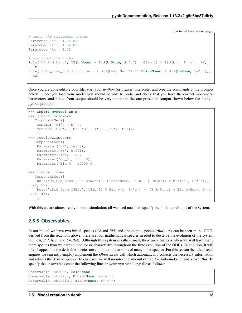```
# input the parameter values
Parameter('kf', 1.0e-07)
Parameter('kr', 1.0e-03)
Parameter('kc', 1.0)
# now input the rules
Rule('C8_Bid_bind', C8(b=None) + Bid(b=None, S='u') | C8(b=1) % Bid(b=1, S='u'), kf,
\leftarrowkr)
Rule('tBid_from_C8Bid', C8(b=1) % Bid(b=1, S='u') >> C8(b=None) + Bid(b=None, S='t'),
\left( -k^c \right)
```
Once you are done editing your file, start your *ipython* (or *python*) interpreter and type the commands at the prompts below. Once you load your model you should be able to probe and check that you have the correct monomers, parameters, and rules. Your output should be very similar to the one presented (output shown below the '>>>' python prompts).:

```
>>> import mymodel as m
>>> m.model.monomers
   ComponentSet([
    Monomer('C8', ['b']),
    Monomer('Bid', ['b', 'S'], {'S': ['u', 't']}),
    ])
>>> model.parameters
  ComponentSet([
    Parameter('kf', 1e-07),
   Parameter('kr', 0.001),
    Parameter('kc', 1.0),
    Parameter('C8_0', 1000.0),
    Parameter('Bid_0', 10000.0),
    ])
>>> m.model.rules
   ComponentSet([
    Rule('C8_Bid_bind', C8(b=None) + Bid(b=None, S='u') | C8(b=1) % Bid(b=1, S='u'),
\rightarrowkf, kr),
    Rule('tBid_from_C8Bid', C8(b=1) % Bid(b=1, S='u') >> C8(b=None) + Bid(b=None, S='t
\leftrightarrow'), kc),
    ])
```
With this we are almost ready to run a simulation; all we need now is to specify the initial conditions of the system.

### <span id="page-16-0"></span>**2.5.5 Observables**

In our model we have two initial species (*C8* and *Bid*) and one output species (*tBid*). As can be seen in the ODEs derived from the reactions above, there are four mathematical species needed to describe the evolution of the system (i.e. *C8*, *Bid*, *tBid*, and *C8:Bid*). Although this system is rather small, there are situations when we will have many more species than we care to monitor or characterize throughout the time evolution of the ODEs. In addition, it will often happen that the desirable species are combinations or sums of many other species. For this reason the rules-based engines we currently employ implement the *Observables* call which automatically collects the necessary information and returns the desired species. In our case, we will monitor the amount of free *C8*, unbound *Bid*, and active *tBid*. To specify the observables enter the following lines in your  $mymodel$ . py file as follows:

```
Observable('obsC8', C8(b=None))
Observable('obsBid', Bid(b=None, S='u'))
Observable('obstBid', Bid(b=None, S='t'))
```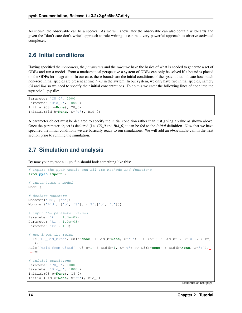As shown, the observable can be a species. As we will show later the observable can also contain wild-cards and given the "don't care don't write" approach to rule-writing, it can be a very powerful approach to observe activated complexes.

### <span id="page-17-0"></span>**2.6 Initial conditions**

Having specified the *monomers*, the *parameters* and the *rules* we have the basics of what is needed to generate a set of ODEs and run a model. From a mathematical perspective a system of ODEs can only be solved if a bound is placed on the ODEs for integration. In our case, these bounds are the initial conditions of the system that indicate how much non-zero initial species are present at time *t=0s* in the system. In our system, we only have two initial species, namely *C8* and *Bid* so we need to specify their initial concentrations. To do this we enter the following lines of code into the mymodel.py file:

```
Parameter('C8_0', 1000)
Parameter('Bid_0', 10000)
Initial(C8(b=None), C8_0)
Initial(Bid(b=None, S='u'), Bid_0)
```
A parameter object must be declared to specify the initial condition rather than just giving a value as shown above. Once the parameter object is declared (i.e. *C8\_0* and *Bid\_0*) it can be fed to the *Initial* definition. Now that we have specified the initial conditions we are basically ready to run simulations. We will add an *observables* call in the next section prior to running the simulation.

### <span id="page-17-1"></span>**2.7 Simulation and analysis**

By now your mymodel.py file should look something like this:

```
# import the pysb module and all its methods and functions
from pysb import *
# instantiate a model
Model()
# declare monomers
Monomer('C8', ['b'])
Monomer('Bid', ['b', 'S'], {'S':['u', 't']})
# input the parameter values
Parameter('kf', 1.0e-07)
Parameter('kr', 1.0e-03)
Parameter('kc', 1.0)
# now input the rules
Rule('C8_Bid_bind', C8(b=None) + Bid(b=None, S='u') | C8(b=1) % Bid(b=1, S='u'), *[kf,
\leftrightarrow kr])
Rule('tBid_from_C8Bid', C8(b=1) % Bid(b=1, S='u') >> C8(b=None) + Bid(b=None, S='t'),
\rightarrowkc)
# initial conditions
Parameter('C8_0', 1000)
Parameter('Bid_0', 10000)
Initial(C8(b=None), C8_0)
Initial(Bid(b=None, S='u'), Bid_0)
```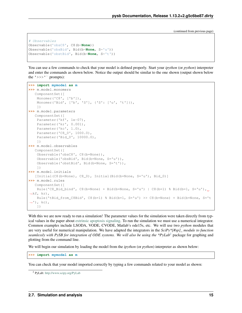```
# Observables
Observable('obsC8', C8(b=None))
Observable('obsBid', Bid(b=None, S='u'))
Observable('obstBid', Bid(b=None, S='t'))
```
You can use a few commands to check that your model is defined properly. Start your *ipython* (or *python*) interpreter and enter the commands as shown below. Notice the output should be similar to the one shown (output shown below the  $'$ >>>' `prompts):

```
>>> import mymodel as m
>>> m.model.monomers
   ComponentSet([
   Monomer('C8', ['b']),
   Monomer('Bid', ['b', 'S'], {'S': ['u', 't']}),
   ])
>>> m.model.parameters
  ComponentSet([
   Parameter('kf', 1e-07),
   Parameter('kr', 0.001),
   Parameter('kc', 1.0),
   Parameter('C8_0', 1000.0),
   Parameter('Bid_0', 10000.0),
    ])
>>> m.model.observables
  ComponentSet([
   Observable('obsC8', C8(b=None)),
    Observable('obsBid', Bid(b=None, S='u')),
   Observable('obstBid', Bid(b=None, S='t')),
    ])
>>> m.model.initials
  [Initial(C8(b=None), C8_0), Initial(Bid(b=None, S='u'), Bid_0)]
>>> m.model.rules
  ComponentSet([
   Rule('C8_Bid_bind', C8(b=None) + Bid(b=None, S='u') | C8(b=1) % Bid(b=1, S='u'),
\rightarrowkf, kr),
    Rule('tBid_from_C8Bid', C8(b=1) % Bid(b=1, S='u') >> C8(b=None) + Bid(b=None, S='t
\leftrightarrow'), kc),
    ])
```
With this we are now ready to run a simulation! The parameter values for the simulation were taken directly from typical values in the paper about [extrinsic apoptosis signaling.](http://www.plosbiology.org/article/info%3Adoi%2F10.1371%2Fjournal.pbio.0060299) To run the simulation we must use a numerical integrator. Common examples include LSODA, VODE, CVODE, Matlab's ode15s, etc. We will use two *python* modules that are very useful for numerical manipulation. We have adapted the integrators in the *SciPy\*[#sp]\_ module to function seamlessly with PySB for integration of ODE systems. We will also be using the \*PyLab*<sup>[2](#page-18-0)</sup> package for graphing and plotting from the command line.

We will begin our simulation by loading the model from the *ipython* (or *python*) interpreter as shown below:

**>>> import mymodel as m**

You can check that your model imported correctly by typing a few commands related to your model as shown:

<span id="page-18-0"></span><sup>2</sup> PyLab: <http://www.scipy.org/PyLab>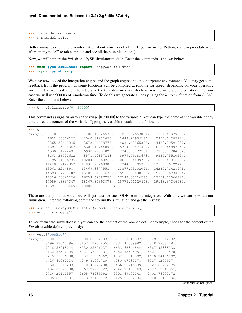```
>>> m.mymodel.monomers
>>> m.mymodel.rules
```
Both commands should return information about your model. (Hint: If you are using iPython, you can press tab twice after "m.mymodel" to tab complete and see all the possible options).

Now, we will import the *PyLab* and PySB simulator module. Enter the commands as shown below:

```
>>> from pysb.simulator import ScipyOdeSimulator
>>> import pylab as pl
```
We have now loaded the integration engine and the graph engine into the interpreter environment. You may get some feedback from the program as some functions can be compiled at runtime for speed, depending on your operating system. Next we need to tell the integrator the time domain over which we wish to integrate the equations. For our case we will use 20000 of simulation time. To do this we generate an array using the *linspace* function from *PyLab*. Enter the command below:

 $\Rightarrow$   $t = pl.$  linspace (0, 20000)

This command assigns an array in the range [0..20000] to the variable *t*. You can type the name of the variable at any time to see the content of the variable. Typing the variable *t* results in the following:

| >>> t    |                 |                 |                 |                 |
|----------|-----------------|-----------------|-----------------|-----------------|
| array ([ | $0$ .           | 408.16326531,   | 816.32653061,   | 1224.48979592,  |
|          | 1632.65306122,  | 2040.81632653,  | 2448.97959184,  | 2857.14285714,  |
|          | 3265.30612245,  | 3673.46938776,  | 4081.63265306,  | 4489.79591837,  |
|          | 4897.95918367,  | 5306.12244898,  | 5714.28571429,  | 6122.44897959.  |
|          | 6530.6122449.   | 6938.7755102,   | 7346.93877551,  | 7755.10204082,  |
|          | 8163.26530612,  | 8571.42857143,  | 8979.59183673,  | 9387.75510204,  |
|          | 9795.91836735,  | 10204.08163265, | 10612.24489796, | 11020.40816327, |
|          | 11428.57142857, | 11836.73469388, | 12244.89795918, | 12653.06122449, |
|          | 13061.2244898.  | 13469.3877551,  | 13877.55102041, | 14285.71428571, |
|          | 14693.87755102, | 15102.04081633, | 15510.20408163, | 15918.36734694, |
|          | 16326.53061224, | 16734.69387755, | 17142.85714286, | 17551.02040816, |
|          | 17959.18367347, | 18367.34693878, | 18775.51020408, | 19183.67346939, |
|          | 19591.83673469, | 20000.          |                 |                 |
|          |                 |                 |                 |                 |

These are the points at which we will get data for each ODE from the integrator. With this, we can now run our simulation. Enter the following commands to run the simulation and get the results:

```
>>> simres = ScipyOdeSimulator(m.model, tspan=t).run()
>>> yout = simres.all
```
To verify that the simulation run you can see the content of the *yout* object. For example, check for the content of the *Bid* observable defined previously:

**>>>** yout['obsBid'] array([10000. , 9600.82692793, 9217.57613337, 8849.61042582, 8496.32045796, 8157.12260855, 7831.45589982, 7518.7808708 , 7218.58018014, 6930.35656027, 6653.63344844, 6387.95338333, 6132.87596126, 5887.9786933 , 5652.8553495 , 5427.11687478, 5210.38806188, 5002.31066362, 4802.53910592, 4610.74136092, 4426.60062334, 4249.81001719, 4080.07733278, 3917.1205927 , 3760.66947203, 3610.46475238, 3466.25716389, 3327.80762075, 3194.88629188, 3067.27263727, 2944.75491863, 2827.12948551, 2714.20140557, 2605.78289392, 2501.69402243, 2401.76203172, 2305.8208689 , 2213.71139112, 2125.28052884, 2040.38151896,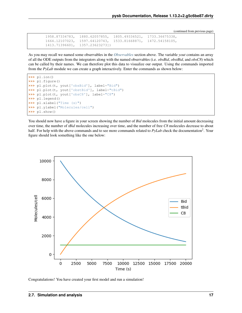```
1958.87334783, 1880.62057855, 1805.49336521, 1733.36675338,
1664.12107023, 1597.64120743, 1533.81668871, 1472.54158105,
1413.71396601, 1357.23623273])
```
As you may recall we named some observables in the *[Observables](#page-16-0)* section above. The variable *yout* contains an array of all the ODE outputs from the integrators along with the named observables (i.e. *obsBid*, *obstBid*, and *obsC8*) which can be called by their names. We can therefore plot this data to visualize our output. Using the commands imported from the *PyLab* module we can create a graph interactively. Enter the commands as shown below:

```
>>> pl.ion()
>>> pl.figure()
>>> pl.plot(t, yout['obsBid'], label="Bid")
>>> pl.plot(t, yout['obstBid'], label="tBid")
>>> pl.plot(t, yout['obsC8'], label="C8")
>>> pl.legend()
>>> pl.xlabel("Time (s)")
>>> pl.ylabel("Molecules/cell")
>>> pl.show()
```
You should now have a figure in your screen showing the number of *Bid* molecules from the initial amount decreasing over time, the number of *tBid* molecules increasing over time, and the number of free *C8* molecules decrease to about half. For help with the above commands and to see more commands related to  $PyLab$  check the documentation<sup>2</sup>. Your figure should look something like the one below:



Congratulations! You have created your first model and run a simulation!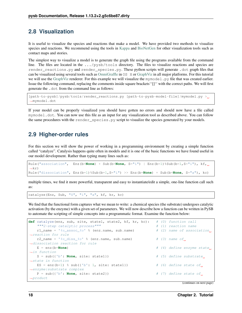### <span id="page-21-0"></span>**2.8 Visualization**

It is useful to visualize the species and reactions that make a model. We have provided two methods to visualize species and reactions. We recommend using the tools in [Kappa](http://dev.executableknowledge.org/docs/KaSim-manual-master/KaSim_manual.htm) and [BioNetGen](http://bionetgen.org/index.php/Documentation) for other visualization tools such as contact maps and stories.

The simplest way to visualize a model is to generate the graph file using the programs available from the command line. The files are located in the .../pysb/tools directory. The files to visualize reactions and species are render\_reactions.py and render\_species.py. These python scripts will generate .dot graph files that can be visualized using several tools such as [OmniGraffle](http://www.omnigroup.com/products/omnigraffle/) in OS X or [GraphViz](http://www.graphviz.org/) in all major platforms. For this tutorial we will use the [GraphViz](http://www.graphviz.org/) renderer. For this example we will visualize the mymodel.py file that was created earlier. Issue the following command, replacing the comments inside square brackets''[]'' with the correct paths. We will first generate the .dot from the command line as follows:

```
[path-to-pysb]/pysb/tools/render_reactions.py [path-to-pysb-model-file]/mymodel.py >
˓→mymodel.dot
```
If your model can be properly visualized you should have gotten no errors and should now have a file called mymodel.dot. You can now use this file as an input for any visualization tool as described above. You can follow the same procedures with the render\_species.py script to visualize the species generated by your models.

### <span id="page-21-1"></span>**2.9 Higher-order rules**

For this section we will show the power of working in a programming environment by creating a simple function called "catalyze". Catalysis happens quite often in models and it is one of the basic functions we have found useful in our model development. Rather than typing many lines such as:

```
Rule("association", Enz(b=None) + Sub(b=None, S="i") | Enz(b=1)%Sub(b=1,S="i"), kf,
\rightarrowkr)
Rule("dissociation", Enz(b=1)%Sub(b=1,S="i") >> Enz(b=None) + Sub(b=None, S="a"), kc)
```
multiple times, we find it more powerful, transparent and easy to instantiate/edit a simple, one-line function call such as:

catalyze(Enz, Sub, "S", "i", "a", kf, kr, kc)

We find that the functional form captures what we mean to write: a chemical species (the substrate) undergoes catalytic activation (by the enzyme) with a given set of parameters. We will now describe how a function can be written in PySB to automate the scripting of simple concepts into a programmatic format. Examine the function below:

```
def catalyze(enz, sub, site, state1, state2, kf, kr, kc): # (0) function call
   """2-step catalytic process""" # (1) reaction name
   r1_name = '%s_assoc_%s' % (enz.name, sub.name) # (2) name of association
˓→reaction for rule
   r2_name = \frac{8s}{18s} diss_8s' % (enz.name, sub.name) # (3) name of
˓→dissociation reaction for rule
   E = enz(b=None) \# (4) define enzyme state,
˓→in function
   S = sub({'b': None, site: state1}) # (5) define substrate
˓→state in function
   ES = enz(b=1) % sub({'b': 1, site: state1}) \# (6) define state of
˓→enzyme:substrate complex
   P = sub({'b': None, site: state2}) # (7) define state of
˓→product
```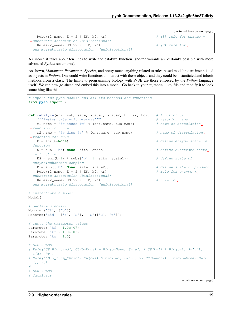```
Rule(r1_name, E + S | ES, kf, kr) \# (8) rule for enzyme +.
˓→substrate association (bidirectional)
  Rule(r2_name, ES >> E + P, kc) \# (9) rule for
˓→enzyme:substrate dissociation (unidirectional)
```
As shown it takes about ten lines to write the catalyze function (shorter variants are certainly possible with more advanced *Python* statements).

As shown, *Monomers*, *Parameters*, *Species*, and pretty much anything related to rules-based modeling are instantiated as objects in *Python*. One could write functions to interact with these objects and they could be instantiated and inherit methods from a class. The limits to programming biology with PySB are those enforced by the *Python* language itself. We can now go ahead and embed this into a model. Go back to your mymodel.py file and modify it to look something like this:

```
# import the pysb module and all its methods and functions
from pysb import *
def catalyze(enz, sub, site, state1, state2, kf, kr, kc): # function call
   """2-step catalytic process""" \# reaction name
   r1_name = 's<sub>S</sub>_assoc_ss' s (enz.name, sub.name) # name of association
˓→reaction for rule
   r2_name = ' ss_diss_ss' s (enz.name, sub.name) # name of dissociation
˓→reaction for rule
   E = enz(b=None) \# define enzyme state in<sub>-1</sub>
˓→function
   S = sub({'b': None, site: state}] # define substrate state,
˓→in function
  ES = enz(b=1) % sub({'b': 1, site: state1}) # define state of.
˓→enzyme:substrate complex
   P = sub({'b': None, site: state2}) # define state of product
   Rule(r1_name, E + S | ES, kf, kr) \# rule for enzyme \ddot{+}˓→substrate association (bidirectional)
  Rule(r2_name, ES >> E + P, kc) # rule for
˓→enzyme:substrate dissociation (unidirectional)
# instantiate a model
Model()
# declare monomers
Monomer('C8', ['b'])
Monomer('Bid', ['b', 'S'], {'S':['u', 't']})
# input the parameter values
Parameter('kf', 1.0e-07)
Parameter('kr', 1.0e-03)
Parameter('kc', 1.0)
# OLD RULES
# Rule('C8_Bid_bind', C8(b=None) + Bid(b=None, S='u') | C8(b=1) % Bid(b=1, S='u'),
\leftrightarrow \forallkf, kr])
# Rule('tBid from C8Bid', C8(b=1) % Bid(b=1, S='u') >> C8(b=None) + Bid(b=None, S='t\leftrightarrow'), kc)
#
# NEW RULES
# Catalysis
```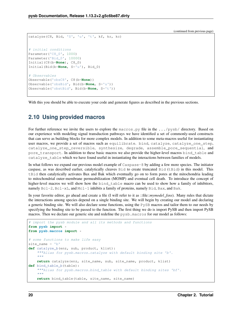```
catalyze(C8, Bid, 'S', 'u', 't', kf, kr, kc)
# initial conditions
Parameter('C8_0', 1000)
Parameter('Bid_0', 10000)
Initial(C8(b=None), C8_0)
Initial(Bid(b=None, S='u'), Bid_0)
# Observables
Observable('obsC8', C8(b=None))
Observable('obsBid', Bid(b=None, S='u'))
Observable('obstBid', Bid(b=None, S='t'))
```
With this you should be able to execute your code and generate figures as described in the previous sections.

# <span id="page-23-0"></span>**2.10 Using provided macros**

For further reference we invite the users to explore the macros.py file in the .../pysb/ directory. Based on our experience with modeling signal transduction pathways we have identified a set of commonly-used constructs that can serve as building blocks for more complex models. In addition to some meta-macros useful for instantiating user macros, we provide a set of macros such as equilibrate. bind, catalyze, catalyze\_one\_step, catalyze\_one\_step\_reversible, synthesize, degrade, assemble\_pore\_sequential, and pore transport. In addition to these basic macros we also provide the higher-level macros bind table and catalyze\_table which we have found useful in instantiating the interactions between families of models.

In what follows we expand our previous model example of Caspase-8 by adding a few more species. The initiator caspase, as was described earlier, catalytically cleaves Bid to create truncated Bid (tBid) in this model. This tBid then catalytically activates Bax and Bak which eventually go on to form pores at the mitochondria leading to mitochondrial outer-membrane permeabilization (MOMP) and eventual cell death. To introduce the concept of higher-level macros we will show how the bind table macro can be used to show how a family of inhibitors, namely  $Bcl-2$ ,  $Bcl-xL$ , and  $Mcl-1$  inhibits a family of proteins, namely  $Bid$ ,  $Bax$ , and  $Bak$ .

In your favorite editor, go ahead and create a file (I will refer to it as ::file::*mymodel\_fxns*). Many rules that dictate the interactions among species depend on a single binding site. We will begin by creating our model and declaring a generic binding site. We will also declare some functions, using the PySB macros and tailor them to our needs by specifying the binding site to be passed to the function. The first thing we do is import PySB and then import PySB macros. Then we declare our generic site and redefine the pysb. macros for our model as follows:

```
# import the pysb module and all its methods and functions
from pysb import *
from pysb.macros import *
# some functions to make life easy
site_name = 'b'
def catalyze_b(enz, sub, product, klist):
    """Alias for pysb.macros.catalyze with default binding site 'b'.
    """
   return catalyze(enz, site_name, sub, site_name, product, klist)
def bind_table_b(table):
    """Alias for pysb.macros.bind_table with default binding sites 'bf'.
    """
   return bind_table(table, site_name, site_name)
```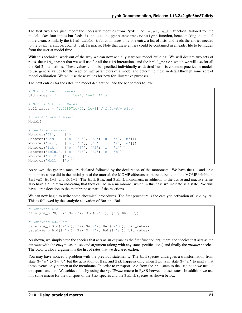The first two lines just import the necessary modules from PySB. The catalyze b` function, tailored for the model, takes four inputs but feeds six inputs to the pysb.macros.catalyze function, hence making the model more clean. Similarly the bind table b function takes only one entry, a list of lists, and feeds the entries needed to the pysb.macros.bind\_table macro. Note that these entries could be contained in a header file to be hidden from the user at model time.

With this technical work out of the way we can now actually start our mdoel building. We will declare two sets of rates, the bid\_rates that we will use for all the Bid interactions and the bcl2\_rates which we will use for all the Bcl-2 interactions. These values could be specified individually as desired but it is common practice in models to use generic values for the reaction rate parameters of a model and determine these in detail through some sort of model calibration. We will use these values for now for illustrative purposes.

The next entries for the rates, the model declaration, and the Monomers follow:

```
# Bid activation rates
bid_rates = [ 1e-7, 1e-3, 1] #
# Bcl2 Inhibition Rates
bcl2_rates = [1.428571e-05, 1e-3] # 1.0e-6/v_mito
# instantiate a model
Model()
# declare monomers
Monomer('C8', ['b'])
Monomer('Bid', ['b', 'S'], {'S':['u', 't', 'm']})
Monomer('Bax', ['b', 'S'], {'S':['i', 'a', 'm']})
Monomer('Bak', ['b', 'S'], {'S':['i', 'a']})
Monomer('BclxL', ['b', 'S'], {'S':['c', 'm']})
Monomer('Bcl2', ['b'])
Monomer('Mcl1', ['b'])
```
As shown, the generic rates are declared followed by the declaration of the monomers. We have the C8 and Bid monomers as we did in the initial part of the tutorial, the MOMP effectors Bid, Bax, Bak, and the MOMP inhibitors Bcl-xL, Bcl-2, and Mcl-1. The Bid, Bax, and BclxL monomers, in addition to the active and inactive terms also have a 'm' term indicating that they can be in a membrane, which in this case we indicate as a state. We will have a translocation to the membrane as part of the reactions.

We can now begin to write some checmical procedures. The first procedure is the catalytic activation of Bid by C8. This is followed by the catalytic activation of Bax and Bak.

```
# Activate Bid
catalyze_b(C8, Bid(S='u'), Bid(S='t'), [KF, KR, KC])
# Activate Bax/Bak
catalyze_b(Bid(S='m'), Bax(S='i'), Bax(S='m'), bid_rates)
catalyze_b(Bid(S='m'), Bak(S='i'), Bak(S='a'), bid_rates)
```
As shown, we simply state the species that acts as an *enzyme* as the first function argument, the species that acts as the *reactant* with the enzyme as the second argument (along with any state specifications) and finally the *product* species. The bid\_rates argument is the list of rates that we declared earlier.

You may have noticed a problem with the previous statements. The Bid species undergoes a transformation from state  $S = 'u'$  to  $S = 't'$  but the activation of Bax and Bak happens only when Bid is in state  $S = 'm'$  to imply that these events only happen at the membrane. In order to transport Bid from the 't' state to the 'm' state we need a transport function. We achieve this by using the *equilibrate* macro in PySB between these states. In addition we use this same macro for the transport of the  $Bax$  species and the  $Bc1xL$  species as shown below.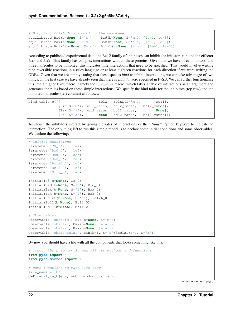```
# Bid, Bax, BclxL "transport" to the membrane
equilibrate(Bid(b=None, S='t'), Bid(b=None, S='m'), [1e-1, 1e-3])
equilibrate(Bax(b=None, S='m'), Bax(b=None, S='a'), [1e-1, 1e-3])
equilibrate(BclxL(b=None, S='c'), BclxL(b=None, S='m'), [1e-1, 1e-3])
```
According to published experimental data, the Bcl-2 family of inhibitors can inhibit the initiator Bid and the effector Bax and Bak. This family has complex interactions with all these proteins. Given that we have three inhibitors, and three molecules to be inhibited, this indicates nine interactions that need to be specified. This would involve writing nine reversible reactions in a rules language or at least eighteen reactions for each direction if we were writing the ODEs. Given that we are simply stating that these species *bind* to inhibit interactions, we can take advantage of two things. In the first case we have already seen that there is a *bind* macro specified in PySB. We can further functionalize this into a higher level macro, namely the *bind\_table* macro, which takes a table of interactions as an argument and generates the rules based on these simple interactions. We specify the bind table for the inhibitors (top row) and the inhibited molecules (left column) as follows.

| bind table b([[ |                                      | $Bcl2$ , $BclxL(S='m'])$ , $Mcl1]$ ,                           |        |
|-----------------|--------------------------------------|----------------------------------------------------------------|--------|
|                 |                                      | $[\text{Bid}(S='m'), \text{ bcl2 rates}, \text{ bcl2 rates}],$ |        |
|                 | [Bax(S='a'), bcl2 rates, bcl2 rates, |                                                                | None], |
| [Bak(S='a'),    |                                      | <b>None,</b> bcl2 rates, bcl2 rates]])                         |        |

As shown the inhibitors interact by giving the rates of interactions or the *"None"* Python keyword to indicate no interaction. The only thing left to run this simple model is to declare some initial conditions and some observables. We declare the following:

```
# initial conditions
Parameter('C8_0', 1e4)
Parameter('Bid_0', 1e4)
Parameter('Bax_0', .8e5)
Parameter('Bak_0', .2e5)
Parameter('BclxL_0', 1e3)
Parameter('Bcl2_0', 1e3)
Parameter('Mcl1_0', 1e3)
Initial(C8(b=None), C8_0)
Initial(Bid(b=None, S='u'), Bid_0)
Initial(Bax(b=None, S='i'), Bax_0)
Initial(Bak(b=None, S='i'), Bak_0)
Initial(BclxL(b=None, S='c'), BclxL_0)
Initial(Bcl2(b=None), Bcl2_0)
Initial(Mcl1(b=None), Mcl1_0)
# Observables
Observable('obstBid', Bid(b=None, S='m'))
Observable('obsBax', Bax(b=None, S='a'))
Observable('obsBak', Bax(b=None, S='a'))
Observable('obsBaxBclxL', Bax(b=1, S='a')%BclxL(b=1, S='m'))
```
By now you should have a file with all the components that looks something like this:

```
# import the pysb module and all its methods and functions
from pysb import *
from pysb.macros import *
# some functions to make life easy
site_name = 'b'def catalyze_b(enz, sub, product, klist):
```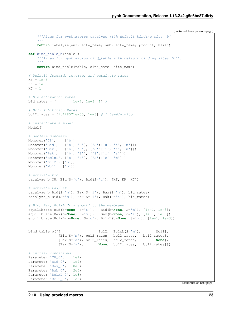```
"""Alias for pysb.macros.catalyze with default binding site 'b'.
    \boldsymbol{u} \boldsymbol{u} \boldsymbol{n}return catalyze(enz, site_name, sub, site_name, product, klist)
def bind_table_b(table):
   """Alias for pysb.macros.bind_table with default binding sites 'bf'.
    \boldsymbol{u} \boldsymbol{u} \boldsymbol{n}return bind_table(table, site_name, site_name)
# Default forward, reverse, and catalytic rates
KF = 1e-6KR = 1e-3KC = 1# Bid activation rates
bid_rates = [ 1e-7, 1e-3, 1] #
# Bcl2 Inhibition Rates
bcl2_rates = [1.428571e-05, 1e-3] # 1.0e-6/v_mito
# instantiate a model
Model()
# declare monomers
Monomer('C8', ['b'])
Monomer('Bid', ['b', 'S'], {'S':['u', 't', 'm']})
Monomer('Bax', ['b', 'S'], {'S':['i', 'a', 'm']})
Monomer('Bak', ['b', 'S'], {'S':['i', 'a']})
Monomer('BclxL', ['b', 'S'], {'S':['c', 'm']})
Monomer('Bcl2', ['b'])
Monomer('Mcl1', ['b'])
# Activate Bid
catalyze_b(C8, Bid(S='u'), Bid(S='t'), [KF, KR, KC])
# Activate Bax/Bak
catalyze_b(Bid(S='m'), Bax(S='i'), Bax(S='m'), bid_rates)
catalyze_b(Bid(S='m'), Bak(S='i'), Bak(S='a'), bid_rates)
# Bid, Bax, BclxL "transport" to the membrane
equilibrate(Bid(b=None, S='t'), Bid(b=None, S='m'), [1e-1, 1e-3])
equilibrate(Bax(b=None, S='m'), Bax(b=None, S='a'), [1e-1, 1e-3])
equilibrate(BclxL(b=None, S='c'), BclxL(b=None, S='m'), [1e-1, 1e-3])
bind table b([ Bcl2, BclxL(S='m'), Mcl1],
              [Bid(S='m'), bcl2_rates, bcl2_rates, bcl2_rates],
              [Bax(S='a'), bcl2_rates, bcl2_rates, None],
              [Bak(S='a'), None, bcl2_rates, bcl2_rates]])
# initial conditions
Parameter('C8_0', 1e4)
Parameter('Bid_0', 1e4)
Parameter('Bax_0', .8e5)
Parameter('Bak_0', .2e5)
Parameter('BclxL_0', 1e3)
Parameter('Bcl2_0', 1e3)
```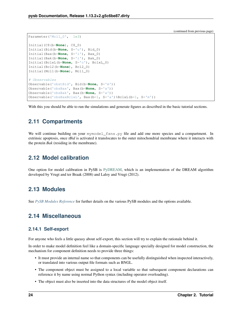```
Parameter('Mcl1_0', 1e3)
Initial(C8(b=None), C8_0)
Initial(Bid(b=None, S='u'), Bid_0)
Initial(Bax(b=None, S='i'), Bax_0)
Initial(Bak(b=None, S='i'), Bak_0)
Initial(BclxL(b=None, S='c'), BclxL_0)
Initial(Bcl2(b=None), Bcl2_0)
Initial(Mcl1(b=None), Mcl1_0)
# Observables
Observable('obstBid', Bid(b=None, S='m'))
Observable('obsBax', Bax(b=None, S='a'))
Observable('obsBak', Bax(b=None, S='a'))
Observable('obsBaxBclxL', Bax(b=1, S='a')%BclxL(b=1, S='m'))
```
With this you should be able to run the simulations and generate figures as described in the basic tutorial sections.

# <span id="page-27-0"></span>**2.11 Compartments**

We will continue building on your mymodel\_fxns.py file and add one more species and a compartment. In extrinsic apoptosis, once *tBid* is activated it translocates to the outer mitochondrial membrane where it interacts with the protein *Bak* (residing in the membrane).

# <span id="page-27-1"></span>**2.12 Model calibration**

One option for model calibration in PySB is [PyDREAM,](https://pubmed.ncbi.nlm.nih.gov/29028896/) which is an implementation of the DREAM algorithm developed by Vrugt and ter Braak (2008) and Laloy and Vrugt (2012).

# <span id="page-27-2"></span>**2.13 Modules**

See *[PySB Modules Reference](#page-32-0)* for further details on the various PySB modules and the options available.

# <span id="page-27-3"></span>**2.14 Miscellaneous**

### <span id="page-27-4"></span>**2.14.1 Self-export**

For anyone who feels a little queasy about self-export, this section will try to explain the rationale behind it.

In order to make model definition feel like a domain-specific language specially designed for model construction, the mechanism for component definition needs to provide three things:

- It must provide an internal name so that components can be usefully distinguished when inspected interactively, or translated into various output file formats such as BNGL.
- The component object must be assigned to a local variable so that subsequent component declarations can reference it by name using normal Python syntax (including operator overloading).
- The object must also be inserted into the data structures of the model object itself.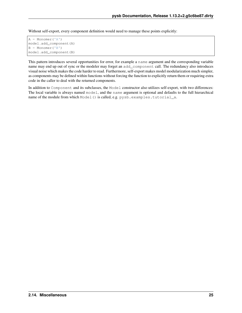Without self-export, every component definition would need to manage these points explicitly:

```
A = Monomer('A')
model.add_component(A)
B = Monomer('B')
model.add_component(B)
```
This pattern introduces several opportunities for error, for example a name argument and the corresponding variable name may end up out of sync or the modeler may forget an add\_component call. The redundancy also introduces visual noise which makes the code harder to read. Furthermore, self-export makes model modularization much simpler, as components may be defined within functions without forcing the function to explicitly return them or requiring extra code in the caller to deal with the returned components.

In addition to Component and its subclasses, the Model constructor also utilizes self-export, with two differences: The local variable is always named model, and the name argument is optional and defaults to the full hierarchical name of the module from which Model() is called, e.g. pysb.examples.tutorial\_a.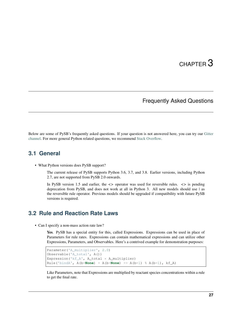# CHAPTER 3

### Frequently Asked Questions

<span id="page-30-0"></span>Below are some of PySB's frequently asked questions. If your question is not answered here, you can try our [Gitter](https://gitter.im/pysb/pysb) [channel.](https://gitter.im/pysb/pysb) For more general Python related questions, we recommend [Stack Overflow.](https://www.stackoverflow.com)

### <span id="page-30-1"></span>**3.1 General**

• What Python versions does PySB support?

The current release of PySB supports Python 3.6, 3.7, and 3.8. Earlier versions, including Python 2.7, are not supported from PySB 2.0 onwards.

In PySB version 1.5 and earlier, the *<>* operator was used for reversible rules. *<>* is pending deprecation from PySB, and does not work at all in Python 3. All new models should use *|* as the reversible rule operator. Previous models should be upgraded if compatibility with future PySB versions is required.

### <span id="page-30-2"></span>**3.2 Rule and Reaction Rate Laws**

• Can I specify a non-mass action rate law?

Yes. PySB has a special entity for this, called Expressions. Expressions can be used in place of Parameters for rule rates. Expressions can contain mathematical expressions and can utilize other Expressions, Parameters, and Observables. Here's a contrived example for demonstration purposes:

```
Parameter('A_multiplier', 2.0)
Observable('A_total', A())
Expression('kf_A', A_total * A_multiplier)
Rule('bindA', A(b=None) + A(b=None) >> A(b=1) % A(b=1), kf_A)
```
Like Parameters, note that Expressions are multiplied by reactant species concentrations within a rule to get the final rate.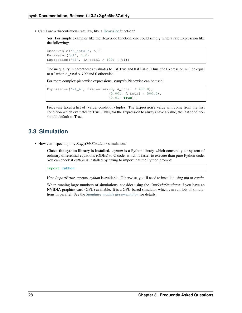• Can I use a discontinuous rate law, like a [Heaviside](https://en.wikipedia.org/wiki/Heaviside_step_function) function?

Yes. For simple examples like the Heaviside function, one could simply write a rate Expression like the following:

```
Observable('A_total', A())
Parameter('p1', 1.0)
Expression('e1', (A\_total > 100) * p1))
```
The inequality in parentheses evaluates to 1 if True and 0 if False. Thus, the Expression will be equal to *p1* when *A\_total > 100* and 0 otherwise.

For more complex piecewise expressions, sympy's Piecewise can be used:

```
Expression('kf_A', Piecewise((0, A_total < 400.0),
                              (0.001, A_total < 500.0),
                              (0.01, True)))
```
Piecewise takes a list of (value, condition) tuples. The Expression's value will come from the first condition which evaluates to True. Thus, for the Expression to always have a value, the last condition should default to True.

# <span id="page-31-0"></span>**3.3 Simulation**

• How can I speed up my *ScipyOdeSimulator* simulation?

Check the cython library is installed. *cython* is a Python library which converts your system of ordinary differential equations (ODEs) to C code, which is faster to execute than pure Python code. You can check if *cython* is installed by trying to import it at the Python prompt:

**import cython**

If no *ImportError* appears, *cython* is available. Otherwise, you'll need to install it using *pip* or *conda*.

When running large numbers of simulations, consider using the *CupSodaSimulator* if you have an NVIDIA graphics card (GPU) available. It is a GPU-based simulator which can run lots of simulations in parallel. See the *[Simulator module documentation](#page-47-0)* for details.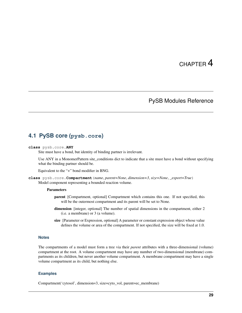# CHAPTER 4

# PySB Modules Reference

### <span id="page-32-1"></span><span id="page-32-0"></span>**4.1 PySB core (pysb.core)**

### **class** pysb.core.**ANY**

Site must have a bond, but identity of binding partner is irrelevant.

Use ANY in a MonomerPattern site\_conditions dict to indicate that a site must have a bond without specifying what the binding partner should be.

Equivalent to the "+" bond modifier in BNG.

**class** pysb.core.**Compartment**(*name*, *parent=None*, *dimension=3*, *size=None*, *\_export=True*) Model component representing a bounded reaction volume.

#### **Parameters**

- parent [Compartment, optional] Compartment which contains this one. If not specified, this will be the outermost compartment and its parent will be set to None.
- dimension [integer, optional] The number of spatial dimensions in the compartment, either 2 (i.e. a membrane) or 3 (a volume).
- size [Parameter or Expression, optional] A parameter or constant expression object whose value defines the volume or area of the compartment. If not specified, the size will be fixed at 1.0.

### **Notes**

The compartments of a model must form a tree via their *parent* attributes with a three-dimensional (volume) compartment at the root. A volume compartment may have any number of two-dimensional (membrane) compartments as its children, but never another volume compartment. A membrane compartment may have a single volume compartment as its child, but nothing else.

### **Examples**

Compartment('cytosol', dimension=3, size=cyto\_vol, parent=ec\_membrane)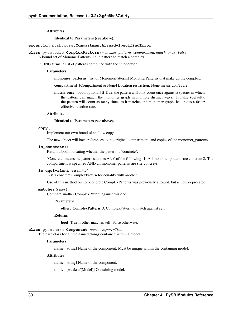#### **Attributes**

#### Identical to Parameters (see above).

#### **exception** pysb.core.**CompartmentAlreadySpecifiedError**

- **class** pysb.core.**ComplexPattern**(*monomer\_patterns*, *compartment*, *match\_once=False*) A bound set of MonomerPatterns, i.e. a pattern to match a complex.
	- In BNG terms, a list of patterns combined with the '.' operator.

#### **Parameters**

- monomer\_patterns [list of MonomerPatterns] MonomerPatterns that make up the complex.
- compartment [Compartment or None] Location restriction. None means don't care.
- **match\_once** [bool, optional] If True, the pattern will only count once against a species in which the pattern can match the monomer graph in multiple distinct ways. If False (default), the pattern will count as many times as it matches the monomer graph, leading to a faster effective reaction rate.

#### Attributes

#### Identical to Parameters (see above).

#### **copy**()

Implement our own brand of shallow copy.

The new object will have references to the original compartment, and copies of the monomer patterns.

#### **is\_concrete**()

Return a bool indicating whether the pattern is 'concrete'.

'Concrete' means the pattern satisfies ANY of the following: 1. All monomer patterns are concrete 2. The compartment is specified AND all monomer patterns are site-concrete

#### **is\_equivalent\_to**(*other*)

Test a concrete ComplexPattern for equality with another.

Use of this method on non-concrete ComplexPatterns was previously allowed, but is now deprecated.

#### **matches**(*other*)

Compare another ComplexPattern against this one

#### Parameters

other: ComplexPattern A ComplexPattern to match against self

#### Returns

bool True if other matches self; False otherwise.

**class** pysb.core.**Component**(*name*, *\_export=True*)

The base class for all the named things contained within a model.

#### **Parameters**

name [string] Name of the component. Must be unique within the containing model.

#### **Attributes**

name [string] Name of the component.

model [weakref(Model)] Containing model.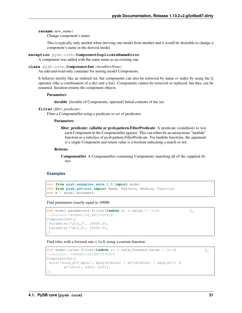**rename**(*new\_name*)

Change component's name.

This is typically only needed when deriving one model from another and it would be desirable to change a component's name in the derived model.

**exception** pysb.core.**ComponentDuplicateNameError**

A component was added with the same name as an existing one.

```
class pysb.core.ComponentSet(iterable=None)
```
An add-and-read-only container for storing model Components.

It behaves mostly like an ordered set, but components can also be retrieved by name *or* index by using the [] operator (like a combination of a dict and a list). Components cannot be removed or replaced, but they can be renamed. Iteration returns the component objects.

#### **Parameters**

iterable [iterable of Components, optional] Initial contents of the set.

```
filter(filter_predicate)
```
Filter a ComponentSet using a predicate or set of predicates

#### Parameters

filter\_predicate: callable or pysb.pattern.FilterPredicate A predicate (condition) to test each Component in the ComponentSet against. This can either be an anonymous "lambda" function or a subclass of pysb.pattern.FilterPredicate. For lambda functions, the argument is a single Component and return value is a boolean indicating a match or not.

#### Returns

ComponentSet A ComponentSet containing Components matching all of the supplied filters

### **Examples**

```
>>> from pysb.examples.earm_1_0 import model
>>> from pysb.pattern import Name, Pattern, Module, Function
>>> m = model.monomers
```
Find parameters exactly equal to 10000:

```
>>> model.parameters.filter(lambda c: c.value == 1e4) #
˓→doctest:+NORMALIZE_WHITESPACE
ComponentSet([
Parameter('pC3_0', 10000.0),
Parameter('pC6_0', 10000.0),
])
```
Find rules with a forward rate  $\lt$  1e-8, using a custom function:

```
>>> model.rules.filter(lambda c: c.rate_forward.value < 1e-8) #
˓→doctest: +NORMALIZE_WHITESPACE
ComponentSet([
Rule('bind_pC3_Apop', Apop(b=None) + pC3(b=None) | Apop(b=1) %
       pC3(b=1), kf25, kr25),
])
```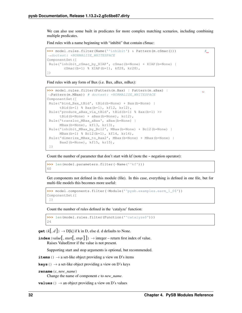We can also use some built in predicates for more complex matching scenarios, including combining multiple predicates.

Find rules with a name beginning with "inhibit" that contain cSmac:

```
>>> model.rules.filter(Name('^inhibit') & Pattern(m.cSmac())) #
˓→doctest: +NORMALIZE_WHITESPACE
ComponentSet([
Rule('inhibit_cSmac_by_XIAP', cSmac(b=None) + XIAP(b=None) |
       cSmac(b=1) % XIAP(b=1), kf28, kr28),
])
```
Find rules with any form of Bax (i.e. Bax, aBax, mBax):

```
>>> model.rules.filter(Pattern(m.Bax) | Pattern(m.aBax) |
˓→Pattern(m.MBax)) # doctest: +NORMALIZE_WHITESPACE
ComponentSet([
Rule('bind_Bax_tBid', tBid(b=None) + Bax(b=None) |
     tBid(b=1) % Bax(b=1), kf12, kr12),
Rule('produce_aBax_via_tBid', tBid(b=1) % Bax(b=1) >>
     tBid(b=None) + aBax(b=None), kc12),
Rule('transloc_MBax_aBax', aBax(b=None) |
     MBax(b=None), kf13, kr13),
Rule('inhibit_MBax_by_Bcl2', MBax(b=None) + Bcl2(b=None) |
     MBax(b=1) % Bcl2(b=1), kf14, kr14),
Rule('dimerize_MBax_to_Bax2', MBax(b=None) + MBax(b=None) |
     Bax2(b=None), kf15, kr15),
])
```
Count the number of parameter that don't start with kf (note the  $\sim$  negation operator):

**>>>** len(model.parameters.filter(~Name('^kf'))) 60

Get components not defined in this module (file). In this case, everything is defined in one file, but for multi-file models this becomes more useful:

```
>>> model.components.filter(~Module('^pysb.examples.earm_1_0$'))
ComponentSet([
])
```
Count the number of rules defined in the 'catalyze' function:

```
>>> len(model.rules.filter(Function('^catalyze$')))
24
```
**get**  $(k, d]$   $\rightarrow$  D[k] if k in D, else d. d defaults to None.

**index** (*value*], *start*], *stop*  $| \cdot |$   $\rangle \rightarrow$  integer – return first index of value. Raises ValueError if the value is not present.

Supporting start and stop arguments is optional, but recommended.

**items** ()  $\rightarrow$  a set-like object providing a view on D's items

```
keys () \rightarrow a set-like object providing a view on D's keys
```

```
rename(c, new_name)
```
Change the name of component *c* to *new\_name*.

**values** ()  $\rightarrow$  an object providing a view on D's values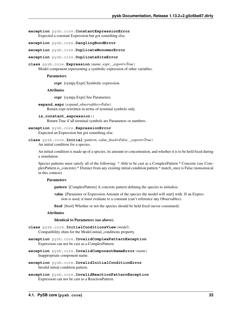**exception** pysb.core.**ConstantExpressionError** Expected a constant Expression but got something else.

**exception** pysb.core.**DanglingBondError**

**exception** pysb.core.**DuplicateMonomerError**

**exception** pysb.core.**DuplicateSiteError**

**class** pysb.core.**Expression**(*name*, *expr*, *\_export=True*) Model component representing a symbolic expression of other variables.

## **Parameters**

expr [sympy.Expr] Symbolic expression.

## Attributes

expr [sympy.Expr] See Parameters.

- **expand\_expr**(*expand\_observables=False*) Return expr rewritten in terms of terminal symbols only.
- **is\_constant\_expression**() Return True if all terminal symbols are Parameters or numbers.

# **exception** pysb.core.**ExpressionError**

Expected an Expression but got something else.

```
class pysb.core.Initial(pattern, value, fixed=False, _export=True)
     An initial condition for a species.
```
An initial condition is made up of a species, its amount or concentration, and whether it is to be held fixed during a simulation.

Species patterns must satisfy all of the following: \* Able to be cast as a ComplexPattern \* Concrete (see ComplexPattern.is\_concrete) \* Distinct from any existing initial condition pattern \* match\_once is False (nonsensical in this context)

#### **Parameters**

pattern [ComplexPattern] A concrete pattern defining the species to initialize.

value [Parameter or Expression Amount of the species the model will start] with. If an Expression is used, it must evaluate to a constant (can't reference any Observables).

fixed [bool] Whether or not the species should be held fixed (never consumed).

## **Attributes**

#### Identical to Parameters (see above).

- **class** pysb.core.**InitialConditionsView**(*model*) Compatibility shim for the Model.initial\_conditions property.
- **exception** pysb.core.**InvalidComplexPatternException** Expression can not be cast as a ComplexPattern.
- **exception** pysb.core.**InvalidComponentNameError**(*name*) Inappropriate component name.
- **exception** pysb.core.**InvalidInitialConditionError** Invalid initial condition pattern.
- **exception** pysb.core.**InvalidReactionPatternException** Expression can not be cast as a ReactionPattern.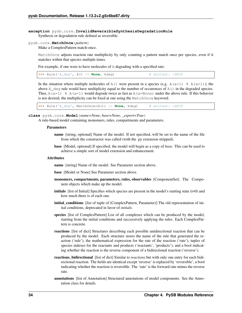## **exception** pysb.core.**InvalidReversibleSynthesisDegradationRule** Synthesis or degradation rule defined as reversible.

# pysb.core.**MatchOnce**(*pattern*)

Make a ComplexPattern match-once.

MatchOnce adjusts reaction rate multiplicity by only counting a pattern match once per species, even if it matches within that species multiple times.

For example, if one were to have molecules of A degrading with a specified rate:

| $\rightarrow$ Rule('A_deq', A() >> None, kdeq) |  |  | # doctest: +SKIP |  |
|------------------------------------------------|--|--|------------------|--|
|------------------------------------------------|--|--|------------------|--|

In the situation where multiple molecules of A() were present in a species (e.g. A(a=1)  $\frac{1}{6}$  A(a=1)), the above  $A_d$  deg rule would have multiplicity equal to the number of occurences of  $A(t)$  in the degraded species. Thus, A(a=1) % A(a=1) would degrade twice as fast as A(a=None) under the above rule. If this behavior is not desired, the multiplicity can be fixed at one using the MatchOnce keyword:

**>>>** Rule('A\_deg', MatchOnce(A()) >> **None**, kdeg) # doctest: +SKIP

#### **class** pysb.core.**Model**(*name=None*, *base=None*, *\_export=True*)

A rule-based model containing monomers, rules, compartments and parameters.

#### Parameters

- name [string, optional] Name of the model. If not specified, will be set to the name of the file from which the constructor was called (with the .py extension stripped).
- base [Model, optional] If specified, the model will begin as a copy of *base*. This can be used to achieve a simple sort of model extension and enhancement.

#### Attributes

name [string] Name of the model. See Parameter section above.

base [Model or None] See Parameter section above.

- monomers, compartments, parameters, rules, observables [ComponentSet] The Component objects which make up the model.
- **initials** [list of Initial] Specifies which species are present in the model's starting state  $(t=0)$  and how much there is of each one.
- initial\_conditions [list of tuple of (ComplexPattern, Parameter)] The old representation of initial conditions, deprecated in favor of *initials*.
- species [list of ComplexPattern] List of all complexes which can be produced by the model, starting from the initial conditions and successively applying the rules. Each ComplexPattern is concrete.
- reactions [list of dict] Structures describing each possible unidirectional reaction that can be produced by the model. Each structure stores the name of the rule that generated the reaction ('rule'), the mathematical expression for the rate of the reaction ('rate'), tuples of species indexes for the reactants and products ('reactants', 'products'), and a bool indicating whether the reaction is the reverse component of a bidirectional reaction ('reverse').
- reactions\_bidirectional [list of dict] Similar to *reactions* but with only one entry for each bidirectional reaction. The fields are identical except 'reverse' is replaced by 'reversible', a bool indicating whether the reaction is reversible. The 'rate' is the forward rate minus the reverse rate.
- annotations [list of Annotation] Structured annotations of model components. See the Annotation class for details.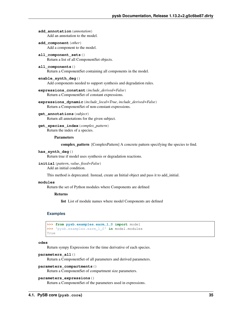**add\_annotation**(*annotation*) Add an annotation to the model.

**add\_component**(*other*)

Add a component to the model.

- **all\_component\_sets**() Return a list of all ComponentSet objects.
- **all\_components**() Return a ComponentSet containing all components in the model.
- **enable\_synth\_deg**() Add components needed to support synthesis and degradation rules.
- **expressions\_constant**(*include\_derived=False*) Return a ComponentSet of constant expressions.
- **expressions\_dynamic**(*include\_local=True*, *include\_derived=False*) Return a ComponentSet of non-constant expressions.
- **get\_annotations**(*subject*) Return all annotations for the given subject.
- **get\_species\_index**(*complex\_pattern*) Return the index of a species.

Parameters

complex\_pattern [ComplexPattern] A concrete pattern specifying the species to find.

**has\_synth\_deg**()

Return true if model uses synthesis or degradation reactions.

**initial**(*pattern*, *value*, *fixed=False*)

Add an initial condition.

This method is deprecated. Instead, create an Initial object and pass it to add\_initial.

#### **modules**

Return the set of Python modules where Components are defined

## Returns

list List of module names where model Components are defined

# **Examples**

```
>>> from pysb.examples.earm_1_0 import model
>>> 'pysb.examples.earm_1_0' in model.modules
True
```
#### **odes**

Return sympy Expressions for the time derivative of each species.

```
parameters_all()
```
Return a ComponentSet of all parameters and derived parameters.

#### **parameters\_compartments**()

Return a ComponentSet of compartment size parameters.

```
parameters_expressions()
```
Return a ComponentSet of the parameters used in expressions.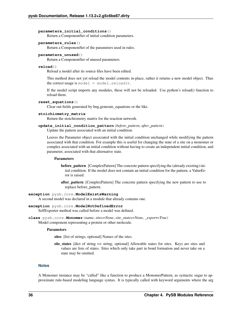#### **parameters\_initial\_conditions**()

Return a ComponentSet of initial condition parameters.

# **parameters\_rules**()

Return a ComponentSet of the parameters used in rules.

### **parameters\_unused**()

Return a ComponentSet of unused parameters.

### **reload**()

Reload a model after its source files have been edited.

This method does not yet reload the model contents in-place, rather it returns a new model object. Thus the correct usage is model  $=$  model.reload().

If the model script imports any modules, these will not be reloaded. Use python's reload() function to reload them.

## **reset\_equations**()

Clear out fields generated by bng.generate\_equations or the like.

## **stoichiometry\_matrix**

Return the stoichiometry matrix for the reaction network.

### **update\_initial\_condition\_pattern**(*before\_pattern*, *after\_pattern*)

Update the pattern associated with an initial condition.

Leaves the Parameter object associated with the initial condition unchanged while modifying the pattern associated with that condition. For example this is useful for changing the state of a site on a monomer or complex associated with an initial condition without having to create an independent initial condition, and parameter, associated with that alternative state.

## Parameters

before\_pattern [ComplexPattern] The concrete pattern specifying the (already existing) initial condition. If the model does not contain an initial condition for the pattern, a ValueError is raised.

after\_pattern [ComplexPattern] The concrete pattern specifying the new pattern to use to replace before\_pattern.

#### **exception** pysb.core.**ModelExistsWarning**

A second model was declared in a module that already contains one.

# **exception** pysb.core.**ModelNotDefinedError**

SelfExporter method was called before a model was defined.

**class** pysb.core.**Monomer**(*name*, *sites=None*, *site\_states=None*, *\_export=True*) Model component representing a protein or other molecule.

#### Parameters

sites [list of strings, optional] Names of the sites.

site\_states [dict of string => string, optional] Allowable states for sites. Keys are sites and values are lists of states. Sites which only take part in bond formation and never take on a state may be omitted.

### **Notes**

A Monomer instance may be "called" like a function to produce a MonomerPattern, as syntactic sugar to approximate rule-based modeling language syntax. It is typically called with keyword arguments where the arg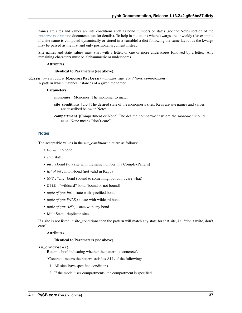names are sites and values are site conditions such as bond numbers or states (see the Notes section of the [MonomerPattern](#page-40-0) documentation for details). To help in situations where kwargs are unwieldy (for example if a site name is computed dynamically or stored in a variable) a dict following the same layout as the kwargs may be passed as the first and only positional argument instead.

Site names and state values must start with a letter, or one or more underscores followed by a letter. Any remaining characters must be alphanumeric or underscores.

## Attributes

## Identical to Parameters (see above).

<span id="page-40-0"></span>**class** pysb.core.**MonomerPattern**(*monomer*, *site\_conditions*, *compartment*) A pattern which matches instances of a given monomer.

#### Parameters

monomer [Monomer] The monomer to match.

- site\_conditions [dict] The desired state of the monomer's sites. Keys are site names and values are described below in Notes.
- compartment [Compartment or None] The desired compartment where the monomer should exist. None means "don't-care".

#### **Notes**

The acceptable values in the *site\_conditions* dict are as follows:

- None : no bond
- *str* : state
- *int* : a bond (to a site with the same number in a ComplexPattern)
- *list of int* : multi-bond (not valid in Kappa)
- ANY : "any" bond (bound to something, but don't care what)
- WILD : "wildcard" bond (bound or not bound)
- *tuple of (str, int)* : state with specified bond
- *tuple of (str, WILD)* : state with wildcard bond
- *tuple of (str, ANY)* : state with any bond
- MultiState : duplicate sites

If a site is not listed in site conditions then the pattern will match any state for that site, i.e. "don't write, don't care".

#### Attributes

#### Identical to Parameters (see above).

## **is\_concrete**()

Return a bool indicating whether the pattern is 'concrete'.

'Concrete' means the pattern satisfies ALL of the following:

- 1. All sites have specified conditions
- 2. If the model uses compartments, the compartment is specified.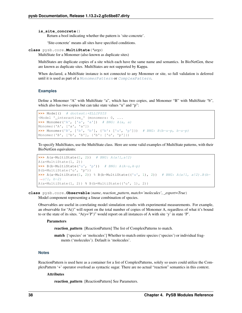```
is_site_concrete()
```
Return a bool indicating whether the pattern is 'site-concrete'.

'Site-concrete' means all sites have specified conditions.

```
class pysb.core.MultiState(*args)
```
MultiState for a Monomer (also known as duplicate sites)

MultiStates are duplicate copies of a site which each have the same name and semantics. In BioNetGen, these are known as duplicate sites. MultiStates are not supported by Kappa.

When declared, a MultiState instance is not connected to any Monomer or site, so full validation is deferred until it is used as part of a [MonomerPattern](#page-40-0) or [ComplexPattern](#page-33-0).

# **Examples**

Define a Monomer "A" with MultiState "a", which has two copies, and Monomer "B" with MultiState "b", which also has two copies but can take state values "u" and "p":

```
>>> Model() # doctest:+ELLIPSIS
<Model '_interactive_' (monomers: 0, ...
>>> Monomer('A', ['a', 'a']) # BNG: A(a, a)
Monomer('A', ['a', 'a'])
>>> Monomer('B', ['b', 'b'], {'b': ['u', 'p']}) # BNG: B(b~u~p, b~u~p)
Monomer('B', ['b', 'b'], {'b': ['u', 'p']})
```
To specify MultiStates, use the MultiState class. Here are some valid examples of MultiState patterns, with their BioNetGen equivalents:

```
>>> A(a=MultiState(1, 2)) # BNG: A(a!1, a!2)A(a=MultiState(1, 2))
>>> B(b=MultiState('u', 'p')) # BNG: A(A \sim u, A \sim p)B(b=MultiState('u', 'p'))
>>> A(a=MultiState(1, 2)) % B(b=MultiState(('u', 1), 2)) # BNG: A(a!1, a!2).B(b~
\leftrightarrowu!1, b~2)
A(a=MultiState(1, 2)) & B(b=MultiState('u', 1), 2))
```
**class** pysb.core.**Observable**(*name*, *reaction\_pattern*, *match='molecules'*, *\_export=True*) Model component representing a linear combination of species.

Observables are useful in correlating model simulation results with experimental measurements. For example, an observable for "A()" will report on the total number of copies of Monomer A, regardless of what it's bound to or the state of its sites. " $A(y='P')$ " would report on all instances of A with site 'y' in state 'P'.

# **Parameters**

reaction\_pattern [ReactionPattern] The list of ComplexPatterns to match.

match ['species' or 'molecules'] Whether to match entire species ('species') or individual fragments ('molecules'). Default is 'molecules'.

# **Notes**

ReactionPattern is used here as a container for a list of ComplexPatterns, solely so users could utilize the ComplexPattern '+' operator overload as syntactic sugar. There are no actual "reaction" semantics in this context.

# Attributes

reaction pattern [ReactionPattern] See Parameters.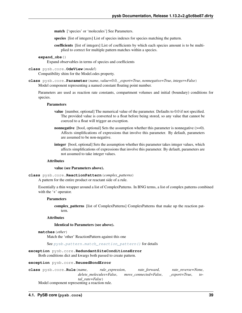match ['species' or 'molecules'] See Parameters.

species [list of integers] List of species indexes for species matching the pattern.

coefficients [list of integers] List of coefficients by which each species amount is to be multiplied to correct for multiple pattern matches within a species.

**expand\_obs**()

Expand observables in terms of species and coefficients

## **class** pysb.core.**OdeView**(*model*)

Compatibility shim for the Model.odes property.

**class** pysb.core.**Parameter**(*name*, *value=0.0*, *\_export=True*, *nonnegative=True*, *integer=False*) Model component representing a named constant floating point number.

Parameters are used as reaction rate constants, compartment volumes and initial (boundary) conditions for species.

#### **Parameters**

- value [number, optional] The numerical value of the parameter. Defaults to 0.0 if not specified. The provided value is converted to a float before being stored, so any value that cannot be coerced to a float will trigger an exception.
- nonnegative [bool, optional] Sets the assumption whether this parameter is nonnegative ( $>= 0$ ). Affects simplifications of expressions that involve this parameter. By default, parameters are assumed to be non-negative.
- integer [bool, optional] Sets the assumption whether this parameter takes integer values, which affects simplifications of expressions that involve this parameter. By default, parameters are not assumed to take integer values.

# **Attributes**

#### value (see Parameters above).

**class** pysb.core.**ReactionPattern**(*complex\_patterns*) A pattern for the entire product or reactant side of a rule.

Essentially a thin wrapper around a list of ComplexPatterns. In BNG terms, a list of complex patterns combined with the '+' operator.

#### Parameters

complex\_patterns [list of ComplexPatterns] ComplexPatterns that make up the reaction pattern.

## Attributes

#### Identical to Parameters (see above).

```
matches(other)
```
Match the 'other' ReactionPattern against this one

See [pysb.pattern.match\\_reaction\\_pattern\(\)](#page-96-0) for details

#### **exception** pysb.core.**RedundantSiteConditionsError**

Both conditions dict and kwargs both passed to create pattern.

#### **exception** pysb.core.**ReusedBondError**

|                                               | class pysb.core.Rule(name. |  | rule expression, |                       | rate forward, |              | rate reverse=None, |  |
|-----------------------------------------------|----------------------------|--|------------------|-----------------------|---------------|--------------|--------------------|--|
|                                               | delete molecules=False,    |  |                  | move connected=False, |               | export=True, | $to$ -             |  |
| tal rate=False)                               |                            |  |                  |                       |               |              |                    |  |
| Model component representing a reaction rule. |                            |  |                  |                       |               |              |                    |  |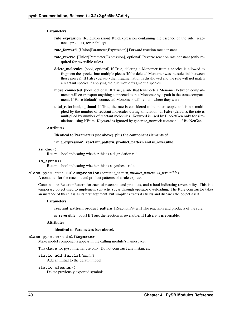#### **Parameters**

- rule\_expression [RuleExpression] RuleExpression containing the essence of the rule (reactants, products, reversibility).
- rate\_forward [Union[Parameter,Expression]] Forward reaction rate constant.
- rate reverse [Union[Parameter,Expression], optional] Reverse reaction rate constant (only required for reversible rules).
- delete\_molecules [bool, optional] If True, deleting a Monomer from a species is allowed to fragment the species into multiple pieces (if the deleted Monomer was the sole link between those pieces). If False (default) then fragmentation is disallowed and the rule will not match a reactant species if applying the rule would fragment a species.
- move\_connected [bool, optional] If True, a rule that transports a Monomer between compartments will co-transport anything connected to that Monomer by a path in the same compartment. If False (default), connected Monomers will remain where they were.
- total\_rate: bool, optional If True, the rate is considered to be macroscopic and is not multiplied by the number of reactant molecules during simulation. If False (default), the rate is multiplied by number of reactant molecules. Keyword is used by BioNetGen only for simulations using NFsim. Keyword is ignored by generate\_network command of BioNetGen.

#### **Attributes**

#### Identical to Parameters (see above), plus the component elements of

#### 'rule\_expression': reactant\_pattern, product\_pattern and is\_reversible.

## **is\_deg**()

Return a bool indicating whether this is a degradation rule.

#### **is\_synth**()

Return a bool indicating whether this is a synthesis rule.

```
class pysb.core.RuleExpression(reactant_pattern, product_pattern, is_reversible)
     A container for the reactant and product patterns of a rule expression.
```
Contains one ReactionPattern for each of reactants and products, and a bool indicating reversibility. This is a temporary object used to implement syntactic sugar through operator overloading. The Rule constructor takes an instance of this class as its first argument, but simply extracts its fields and discards the object itself.

#### Parameters

reactant\_pattern, product\_pattern [ReactionPattern] The reactants and products of the rule.

is\_reversible [bool] If True, the reaction is reversible. If False, it's irreversible.

# Attributes

#### Identical to Parameters (see above).

#### **class** pysb.core.**SelfExporter**

Make model components appear in the calling module's namespace.

This class is for pysb internal use only. Do not construct any instances.

# **static add\_initial**(*initial*)

Add an Initial to the default model.

# **static cleanup**()

Delete previously exported symbols.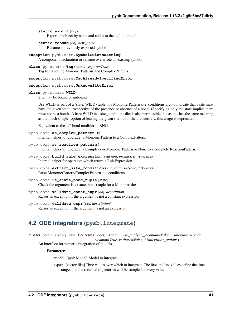**static export**(*obj*) Export an object by name and add it to the default model.

**static rename**(*obj*, *new\_name*) Rename a previously exported symbol

```
exception pysb.core.SymbolExistsWarning
     A component declaration or rename overwrote an existing symbol.
```
**class** pysb.core.**Tag**(*name*, *\_export=True*) Tag for labelling MonomerPatterns and ComplexPatterns

**exception** pysb.core.**TagAlreadySpecifiedError**

## **exception** pysb.core.**UnknownSiteError**

## **class** pysb.core.**WILD**

Site may be bound or unbound.

Use WILD as part of a (state, WILD) tuple in a MonomerPattern site\_conditions dict to indicate that a site must have the given state, irrespective of the presence or absence of a bond. (Specifying only the state implies there must not be a bond). A bare WILD in a site conditions dict is also permissible, but as this has the same meaning as the much simpler option of leaving the given site out of the dict entirely, this usage is deprecated.

Equivalent to the "?" bond modifier in BNG.

```
pysb.core.as_complex_pattern(v)
     Internal helper to 'upgrade' a MonomerPattern to a ComplexPattern.
```
pysb.core.**as\_reaction\_pattern**(*v*)

Internal helper to 'upgrade' a Complex- or MonomerPattern or None to a complete ReactionPattern.

- pysb.core.**build\_rule\_expression**(*reactant*, *product*, *is\_reversible*) Internal helper for operators which return a RuleExpression.
- pysb.core.**extract\_site\_conditions**(*conditions=None*, *\*\*kwargs*) Parse MonomerPattern/ComplexPattern site conditions.
- pysb.core.**is\_state\_bond\_tuple**(*state*) Check the argument is a (state, bond) tuple for a Mononer site
- pysb.core.**validate\_const\_expr**(*obj*, *description*) Raises an exception if the argument is not a constant expression.
- pysb.core.**validate\_expr**(*obj*, *description*) Raises an exception if the argument is not an expression.

# **4.2 ODE integrators (pysb.integrate)**

**class** pysb.integrate.**Solver**(*model*, *tspan*, *use\_analytic\_jacobian=False*, *integrator='vode'*, *cleanup=True*, *verbose=False*, *\*\*integrator\_options*)

An interface for numeric integration of models.

**Parameters** 

model [pysb.Model] Model to integrate.

tspan [vector-like] Time values over which to integrate. The first and last values define the time range, and the returned trajectories will be sampled at every value.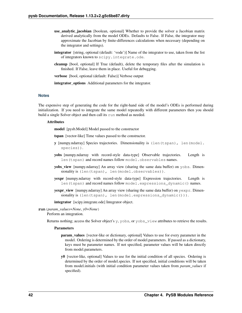- use analytic jacobian [boolean, optional] Whether to provide the solver a Jacobian matrix derived analytically from the model ODEs. Defaults to False. If False, the integrator may approximate the Jacobian by finite-differences calculations when necessary (depending on the integrator and settings).
- integrator [string, optional (default: 'vode')] Name of the integrator to use, taken from the list of integrators known to scipy.integrate.ode.
- cleanup [bool, optional] If True (default), delete the temporary files after the simulation is finished. If False, leave them in place. Useful for debugging.

verbose [bool, optional (default: False)] Verbose output

integrator\_options Additional parameters for the integrator.

# **Notes**

The expensive step of generating the code for the right-hand side of the model's ODEs is performed during initialization. If you need to integrate the same model repeatedly with different parameters then you should build a single Solver object and then call its run method as needed.

# **Attributes**

model [pysb.Model] Model passed to the constructor

tspan [vector-like] Time values passed to the constructor.

- y [numpy.ndarray] Species trajectories. Dimensionality is (len(tspan), len(model. species)).
- yobs [numpy.ndarray with record-style data-type] Observable trajectories. Length is len(tspan) and record names follow model.observables names.
- yobs\_view [numpy.ndarray] An array view (sharing the same data buffer) on yobs. Dimensionality is (len(tspan), len(model.observables)).
- yexpr [numpy.ndarray with record-style data-type] Expression trajectories. Length is len(tspan) and record names follow model.expressions\_dynamic() names.
- yexpr\_view [numpy.ndarray] An array view (sharing the same data buffer) on yexpr. Dimensionality is (len(tspan), len(model.expressions\_dynamic())).

integrator [scipy.integrate.ode] Integrator object.

**run**(*param\_values=None*, *y0=None*)

Perform an integration.

Returns nothing; access the Solver object's y, yobs, or yobs\_view attributes to retrieve the results.

#### **Parameters**

- **param** values [vector-like or dictionary, optional] Values to use for every parameter in the model. Ordering is determined by the order of model.parameters. If passed as a dictionary, keys must be parameter names. If not specified, parameter values will be taken directly from model.parameters.
- y0 [vector-like, optional] Values to use for the initial condition of all species. Ordering is determined by the order of model.species. If not specified, initial conditions will be taken from model.initials (with initial condition parameter values taken from *param\_values* if specified).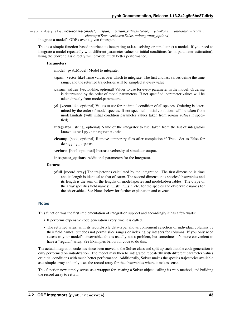pysb.integrate.**odesolve**(*model*, *tspan*, *param\_values=None*, *y0=None*, *integrator='vode'*, *cleanup=True*, *verbose=False*, *\*\*integrator\_options*)

Integrate a model's ODEs over a given timespan.

This is a simple function-based interface to integrating (a.k.a. solving or simulating) a model. If you need to integrate a model repeatedly with different parameter values or initial conditions (as in parameter estimation), using the Solver class directly will provide much better performance.

## Parameters

model [pysb.Model] Model to integrate.

- tspan [vector-like] Time values over which to integrate. The first and last values define the time range, and the returned trajectories will be sampled at every value.
- param\_values [vector-like, optional] Values to use for every parameter in the model. Ordering is determined by the order of model.parameters. If not specified, parameter values will be taken directly from model.parameters.
- y0 [vector-like, optional] Values to use for the initial condition of all species. Ordering is determined by the order of model.species. If not specified, initial conditions will be taken from model.initials (with initial condition parameter values taken from *param\_values* if specified).
- integrator [string, optional] Name of the integrator to use, taken from the list of integrators known to scipy.integrate.ode.
- cleanup [bool, optional] Remove temporary files after completion if True. Set to False for debugging purposes.
- verbose [bool, optionsal] Increase verbosity of simulator output.

integrator\_options Additional parameters for the integrator.

## Returns

yfull [record array] The trajectories calculated by the integration. The first dimension is time and its length is identical to that of *tspan*. The second dimension is species/observables and its length is the sum of the lengths of model.species and model.observables. The dtype of the array specifies field names: '\_\_s0', '\_\_s1', etc. for the species and observable names for the observables. See Notes below for further explanation and caveats.

#### **Notes**

This function was the first implementation of integration support and accordingly it has a few warts:

- It performs expensive code generation every time it is called.
- The returned array, with its record-style data-type, allows convenient selection of individual columns by their field names, but does not permit slice ranges or indexing by integers for columns. If you only need access to your model's observables this is usually not a problem, but sometimes it's more convenient to have a "regular" array. See Examples below for code to do this.

The actual integration code has since been moved to the Solver class and split up such that the code generation is only performed on initialization. The model may then be integrated repeatedly with different parameter values or initial conditions with much better performance. Additionally, Solver makes the species trajectories available as a simple array and only uses the record array for the observables where it makes sense.

This function now simply serves as a wrapper for creating a Solver object, calling its run method, and building the record array to return.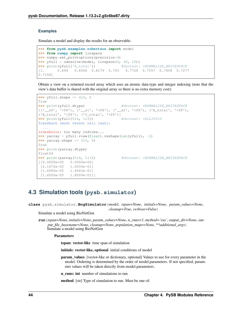# **Examples**

Simulate a model and display the results for an observable:

```
>>> from pysb.examples.robertson import model
>>> from numpy import linspace
>>> numpy.set_printoptions(precision=4)
>>> yfull = odesolve(model, linspace(0, 40, 10))
>>> print(yfull['A_total']) #doctest: +NORMALIZE_WHITESPACE
[1. 0.899 0.8506 0.8179 0.793 0.7728 0.7557 0.7408 0.7277
0.7158]
```
Obtain a view on a returned record array which uses an atomic data-type and integer indexing (note that the view's data buffer is shared with the original array so there is no extra memory cost):

```
>>> yfull.shape == (10, )
True
>>> print(yfull.dtype) #doctest: +NORMALIZE_WHITESPACE
[('.s0', '58'), ('\_s1', '58'), ('\_s2', '58'), ('A\_total', '58'),('B_total', '<f8'), ('C_total', '<f8')]
>>> print(yfull[0:4, 1:3])    #doctest: +ELLIPSIS
Traceback (most recent call last):
 ...
IndexError: too many indices...
>>> yarray = yfull.view(float).reshape(len(yfull), -1)
>>> yarray.shape == (10, 6)
True
>>> print(yarray.dtype)
float64
>>> print(yarray[0:4, 1:3]) #doctest: +NORMALIZE_WHITESPACE
[[0.0000e+00 0.0000e+00]
 [2.1672e-05 1.0093e-01]
[1.6980e-05 1.4943e-01]
 [1.4502e-05 1.8209e-01]]
```
# **4.3 Simulation tools (pysb.simulator)**

<span id="page-47-0"></span>**class** pysb.simulator.**BngSimulator**(*model*, *tspan=None*, *initials=None*, *param\_values=None*, *cleanup=True*, *verbose=False*)

Simulate a model using BioNetGen

**run**(*tspan=None*, *initials=None*, *param\_values=None*, *n\_runs=1*, *method='ssa'*, *output\_dir=None*, *output\_file\_basename=None*, *cleanup=None*, *population\_maps=None*, *\*\*additional\_args*) Simulate a model using BioNetGen

Parameters

tspan: vector-like time span of simulation

initials: vector-like, optional initial conditions of model

param\_values [vector-like or dictionary, optional] Values to use for every parameter in the model. Ordering is determined by the order of model.parameters. If not specified, parameter values will be taken directly from model.parameters.

n\_runs: int number of simulations to run

method [str] Type of simulation to run. Must be one of: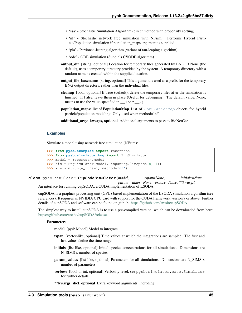- 'ssa' Stochastic Simulation Algorithm (direct method with propensity sorting)
- 'nf' Stochastic network free simulation with NFsim. Performs Hybrid Particle/Population simulation if population\_maps argument is supplied
- 'pla' Partioned-leaping algorithm (variant of tau-leaping algorithm)
- 'ode' ODE simulation (Sundials CVODE algorithm)
- output\_dir [string, optional] Location for temporary files generated by BNG. If None (the default), uses a temporary directory provided by the system. A temporary directory with a random name is created within the supplied location.
- output\_file\_basename [string, optional] This argument is used as a prefix for the temporary BNG output directory, rather than the individual files.
- cleanup [bool, optional] If True (default), delete the temporary files after the simulation is finished. If False, leave them in place (Useful for debugging). The default value, None, means to use the value specified in \_\_init\_().
- population\_maps: list of PopulationMap List of [PopulationMap](#page-58-0) objects for hybrid particle/population modeling. Only used when method='nf'.
- additional\_args: kwargs, optional Additional arguments to pass to BioNetGen

### **Examples**

Simulate a model using network free simulation (NFsim):

```
>>> from pysb.examples import robertson
>>> from pysb.simulator.bng import BngSimulator
>>> model = robertson.model
>>> sim = BngSimulator(model, tspan=np.linspace(0, 1))
\Rightarrow x = \sin x \tan(n \text{ runs}=1, \text{ method}='nf')
```
**class** pysb.simulator.**CupSodaSimulator**(*model*, *tspan=None*, *initials=None*, *param\_values=None*, *verbose=False*, *\*\*kwargs*) An interface for running cupSODA, a CUDA implementation of LSODA.

cupSODA is a graphics processing unit (GPU)-based implementation of the LSODA simulation algorithm (see references). It requires an NVIDIA GPU card with support for the CUDA framework version 7 or above. Further details of cupSODA and software can be found on github: <https://github.com/aresio/cupSODA>

The simplest way to install cupSODA is to use a pre-compiled version, which can be downloaded from here: <https://github.com/aresio/cupSODA/releases>

#### Parameters

model [pysb.Model] Model to integrate.

- tspan [vector-like, optional] Time values at which the integrations are sampled. The first and last values define the time range.
- initials [list-like, optional] Initial species concentrations for all simulations. Dimensions are N\_SIMS x number of species.
- **param** values [list-like, optional] Parameters for all simulations. Dimensions are N SIMS x number of parameters.
- verbose [bool or int, optional] Verbosity level, see pysb.simulator.base.Simulator for further details.

\*\*kwargs: dict, optional Extra keyword arguments, including: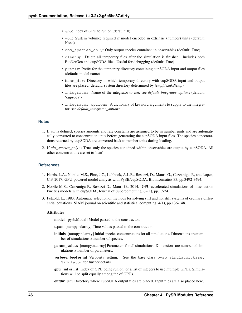- gpu: Index of GPU to run on (default: 0)
- vol: System volume; required if model encoded in extrinsic (number) units (default: None)
- obs\_species\_only: Only output species contained in observables (default: True)
- cleanup: Delete all temporary files after the simulation is finished. Includes both BioNetGen and cupSODA files. Useful for debugging (default: True)
- prefix: Prefix for the temporary directory containing cupSODA input and output files (default: model name)
- base\_dir: Directory in which temporary directory with cupSODA input and output files are placed (default: system directory determined by *tempfile.mkdtemp*)
- integrator: Name of the integrator to use; see *default\_integrator\_options* (default: 'cupsoda')
- integrator\_options: A dictionary of keyword arguments to supply to the integrator; see *default\_integrator\_options*.

# **Notes**

- 1. If *vol* is defined, species amounts and rate constants are assumed to be in number units and are automatically converted to concentration units before generating the cupSODA input files. The species concentrations returned by cupSODA are converted back to number units during loading.
- 2. If *obs\_species\_only* is True, only the species contained within observables are output by cupSODA. All other concentrations are set to 'nan'.

# **References**

- 1. Harris, L.A., Nobile, M.S., Pino, J.C., Lubbock, A.L.R., Besozzi, D., Mauri, G., Cazzaniga, P., and Lopez, C.F. 2017. GPU-powered model analysis with PySB/cupSODA. Bioinformatics 33, pp.3492-3494.
- 2. Nobile M.S., Cazzaniga P., Besozzi D., Mauri G., 2014. GPU-accelerated simulations of mass-action kinetics models with cupSODA, Journal of Supercomputing, 69(1), pp.17-24.
- 3. Petzold, L., 1983. Automatic selection of methods for solving stiff and nonstiff systems of ordinary differential equations. SIAM journal on scientific and statistical computing, 4(1), pp.136-148.

#### Attributes

model [pysb.Model] Model passed to the constructor.

- tspan [numpy.ndarray] Time values passed to the constructor.
- initials [numpy.ndarray] Initial species concentrations for all simulations. Dimensions are number of simulations x number of species.
- param\_values [numpy.ndarray] Parameters for all simulations. Dimensions are number of simulations x number of parameters.
- verbose: bool or int Verbosity setting. See the base class pysb.simulator.base. Simulator for further details.
- gpu [int or list] Index of GPU being run on, or a list of integers to use multiple GPUs. Simulations will be split equally among the of GPUs.
- outdir [str] Directory where cupSODA output files are placed. Input files are also placed here.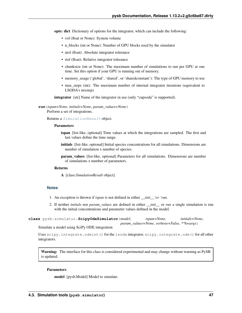opts: dict Dictionary of options for the integrator, which can include the following:

- vol (float or None): System volume
- n\_blocks (int or None): Number of GPU blocks used by the simulator
- atol (float): Absolute integrator tolerance
- rtol (float): Relative integrator tolerance
- chunksize (int or None): The maximum number of simulations to run per GPU at one time. Set this option if your GPU is running out of memory.
- memory\_usage ('global', 'shared', or 'sharedconstant'): The type of GPU memory to use
- max\_steps (int): The maximum number of internal integrator iterations (equivalent to LSODA's mxstep)

integrator [str] Name of the integrator in use (only "cupsoda" is supported).

**run**(*tspan=None*, *initials=None*, *param\_values=None*)

Perform a set of integrations.

Returns a [SimulationResult](#page-54-0) object.

## Parameters

- tspan [list-like, optional] Time values at which the integrations are sampled. The first and last values define the time range.
- initials [list-like, optional] Initial species concentrations for all simulations. Dimensions are number of simulation x number of species.
- param\_values [list-like, optional] Parameters for all simulations. Dimensions are number of simulations x number of parameters.

# Returns

A [class:*SimulationResult* object]

## **Notes**

- 1. An exception is thrown if *tspan* is not defined in either *\_\_init\_\_'or 'run*.
- 2. If neither *initials* nor *param\_values* are defined in either *\_\_init\_\_* or *run* a single simulation is run with the initial concentrations and parameter values defined in the model.

<span id="page-50-0"></span>**class** pysb.simulator.**ScipyOdeSimulator**(*model*, *tspan=None*, *initials=None*, *param\_values=None*, *verbose=False*, *\*\*kwargs*)

Simulate a model using SciPy ODE integration

Uses scipy.integrate.odeint() for the lsoda integrator, scipy.integrate.ode() for all other integrators.

Warning: The interface for this class is considered experimental and may change without warning as PySB is updated.

# Parameters

model [pysb.Model] Model to simulate.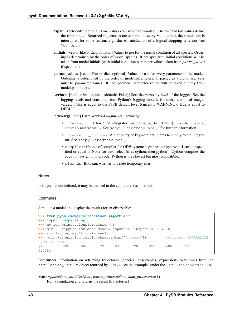- tspan [vector-like, optional] Time values over which to simulate. The first and last values define the time range. Returned trajectories are sampled at every value unless the simulation is interrupted for some reason, e.g., due to satisfaction of a logical stopping criterion (see 'tout' below).
- initials [vector-like or dict, optional] Values to use for the initial condition of all species. Ordering is determined by the order of model.species. If not specified, initial conditions will be taken from model.initials (with initial condition parameter values taken from *param\_values* if specified).
- param\_values [vector-like or dict, optional] Values to use for every parameter in the model. Ordering is determined by the order of model.parameters. If passed as a dictionary, keys must be parameter names. If not specified, parameter values will be taken directly from model.parameters.
- verbose [bool or int, optional (default: False)] Sets the verbosity level of the logger. See the logging levels and constants from Python's logging module for interpretation of integer values. False is equal to the PySB default level (currently WARNING), True is equal to DEBUG.

\*\*kwargs [dict] Extra keyword arguments, including:

- integrator: Choice of integrator, including vode (default), zvode, lsoda, dopri5 and dop853. See scipy. integrate.ode() for further information.
- integrator\_options: A dictionary of keyword arguments to supply to the integrator. See scipy.integrate.ode().
- compiler: Choice of compiler for ODE system: cython, or python. Leave unspecified or equal to None for auto-select (tries cython, then python). Cython compiles the equation system into C code. Python is the slowest but most compatible.
- cleanup: Boolean, whether to delete temporary files.

## **Notes**

If tspan is not defined, it may be defined in the call to the run method.

# **Examples**

Simulate a model and display the results for an observable:

```
>>> from pysb.examples.robertson import model
>>> import numpy as np
>>> np.set_printoptions(precision=4)
>>> sim = ScipyOdeSimulator(model, tspan=np.linspace(0, 40, 10))
>>> simulation_result = sim.run()
>>> print(simulation_result.observables['A_total']) #doctest: +NORMALIZE
˓→WHITESPACE
[1. 0.899 0.8506 0.8179 0.793 0.7728 0.7557 0.7408 0.7277
0.7158]
```
For further information on retrieving trajectories (species, observables, expressions over time) from the simulation\_result object returned by [run\(\)](#page-51-0), see the examples under the [SimulationResult](#page-54-0) class.

<span id="page-51-0"></span>**run**(*tspan=None*, *initials=None*, *param\_values=None*, *num\_processors=1*) Run a simulation and returns the result (trajectories)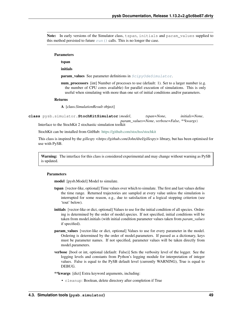Note: In early versions of the Simulator class, tspan, initials and param\_values supplied to this method persisted to future  $run()$  calls. This is no longer the case.

#### Parameters

tspan

initials

param\_values See parameter definitions in [ScipyOdeSimulator](#page-50-0).

num\_processors [int] Number of processes to use (default: 1). Set to a larger number (e.g. the number of CPU cores available) for parallel execution of simulations. This is only useful when simulating with more than one set of initial conditions and/or parameters.

#### Returns

A [class:*SimulationResult* object]

<span id="page-52-0"></span>**class** pysb.simulator.**StochKitSimulator**(*model*, *tspan=None*, *initials=None*, *param\_values=None*, *verbose=False*, *\*\*kwargs*) Interface to the StochKit 2 stochastic simulation toolkit

StochKit can be installed from GitHub: <https://github.com/stochss/stochkit>

This class is inspired by the *gillespy <https://github.com/JohnAbel/gillespy>* library, but has been optimised for use with PySB.

Warning: The interface for this class is considered experimental and may change without warning as PySB is updated.

## Parameters

model [pysb.Model] Model to simulate.

- tspan [vector-like, optional] Time values over which to simulate. The first and last values define the time range. Returned trajectories are sampled at every value unless the simulation is interrupted for some reason, e.g., due to satisfaction of a logical stopping criterion (see 'tout' below).
- initials [vector-like or dict, optional] Values to use for the initial condition of all species. Ordering is determined by the order of model.species. If not specified, initial conditions will be taken from model.initials (with initial condition parameter values taken from *param\_values* if specified).
- **param** values [vector-like or dict, optional] Values to use for every parameter in the model. Ordering is determined by the order of model.parameters. If passed as a dictionary, keys must be parameter names. If not specified, parameter values will be taken directly from model.parameters.
- verbose [bool or int, optional (default: False)] Sets the verbosity level of the logger. See the logging levels and constants from Python's logging module for interpretation of integer values. False is equal to the PySB default level (currently WARNING), True is equal to DEBUG.

\*\*kwargs [dict] Extra keyword arguments, including:

• cleanup: Boolean, delete directory after completion if True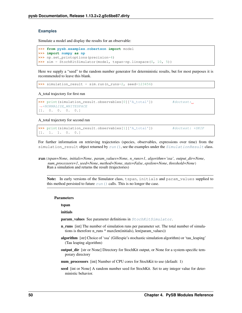# **Examples**

Simulate a model and display the results for an observable:

```
>>> from pysb.examples.robertson import model
>>> import numpy as np
>>> np.set_printoptions(precision=4)
>>> sim = StochKitSimulator(model, tspan=np.linspace(0, 10, 5))
```
Here we supply a "seed" to the random number generator for deterministic results, but for most purposes it is recommended to leave this blank.

```
>>> simulation_result = sim.run(n_runs=2, seed=123456)
```
## A\_total trajectory for first run

```
>>> print(simulation_result.observables[0]['A_total']) #doctest:
˓→+NORMALIZE_WHITESPACE
[1. 0. 0. 0. 0.]
```
A\_total trajectory for second run

```
>>> print(simulation_result.observables[1]['A_total']) #doctest: +SKIP
[1. 1. 1. 0. 0.]
```
For further information on retrieving trajectories (species, observables, expressions over time) from the simulation\_result object returned by  $run()$ , see the examples under the  $SimulationResult$  class.

Note: In early versions of the Simulator class, tspan, initials and param\_values supplied to this method persisted to future  $run()$  calls. This is no longer the case.

#### Parameters

tspan

initials

param\_values See parameter definitions in [StochKitSimulator](#page-52-0).

- n\_runs [int] The number of simulation runs per parameter set. The total number of simulations is therefore n\_runs \* max(len(initials), len(param\_values))
- algorithm [str] Choice of 'ssa' (Gillespie's stochastic simulation algorithm) or 'tau\_leaping' (Tau leaping algorithm)
- output\_dir [str or None] Directory for StochKit output, or None for a system-specific temporary directory
- num processors [int] Number of CPU cores for StochKit to use (default: 1)
- seed [int or None] A random number seed for StochKit. Set to any integer value for deterministic behavior.

<span id="page-53-0"></span>**run**(*tspan=None*, *initials=None*, *param\_values=None*, *n\_runs=1*, *algorithm='ssa'*, *output\_dir=None*, *num\_processors=1*, *seed=None*, *method=None*, *stats=False*, *epsilon=None*, *threshold=None*) Run a simulation and returns the result (trajectories)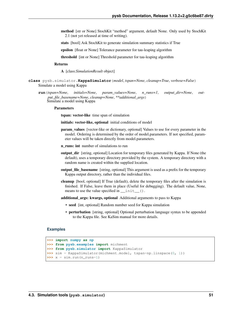- method [str or None] StochKit "method" argument, default None. Only used by StochKit 2.1 (not yet released at time of writing).
- stats [bool] Ask StochKit to generate simulation summary statistics if True
- epsilon [float or None] Tolerance parameter for tau-leaping algorithm
- threshold [int or None] Threshold parameter for tau-leaping algorithm

#### Returns

A [class:*SimulationResult* object]

- <span id="page-54-1"></span>**class** pysb.simulator.**KappaSimulator**(*model*, *tspan=None*, *cleanup=True*, *verbose=False*) Simulate a model using Kappa
	- **run**(*tspan=None*, *initials=None*, *param\_values=None*, *n\_runs=1*, *output\_dir=None*, *output\_file\_basename=None*, *cleanup=None*, *\*\*additional\_args*) Simulate a model using Kappa

#### **Parameters**

tspan: vector-like time span of simulation

initials: vector-like, optional initial conditions of model

- **param** values [vector-like or dictionary, optional] Values to use for every parameter in the model. Ordering is determined by the order of model.parameters. If not specified, parameter values will be taken directly from model.parameters.
- n runs: int number of simulations to run
- output dir [string, optional] Location for temporary files generated by Kappa. If None (the default), uses a temporary directory provided by the system. A temporary directory with a random name is created within the supplied location.
- output\_file\_basename [string, optional] This argument is used as a prefix for the temporary Kappa output directory, rather than the individual files.
- cleanup [bool, optional] If True (default), delete the temporary files after the simulation is finished. If False, leave them in place (Useful for debugging). The default value, None, means to use the value specified in  $\text{init}$  ().
- additional\_args: kwargs, optional Additional arguments to pass to Kappa
	- seed [int, optional] Random number seed for Kappa simulation
	- perturbation [string, optional] Optional perturbation language syntax to be appended to the Kappa file. See KaSim manual for more details.

## **Examples**

```
>>> import numpy as np
>>> from pysb.examples import michment
>>> from pysb.simulator import KappaSimulator
>>> sim = KappaSimulator(michment.model, tspan=np.linspace(0, 1))
\Rightarrow x = \sin x run (n runs=1)
```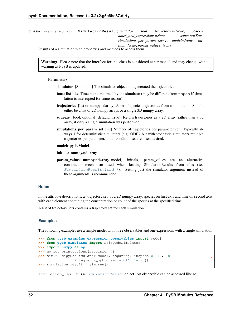**class** pysb.simulator.**SimulationResult**(*simulator*, *tout*, *trajectories=None*, *observables\_and\_expressions=None*, *squeeze=True*, *simulations\_per\_param\_set=1*, *model=None*, *initials=None*, *param\_values=None*) Results of a simulation with properties and methods to access them.

Warning: Please note that the interface for this class is considered experimental and may change without warning as PySB is updated.

### **Parameters**

- simulator [Simulator] The simulator object that generated the trajectories
- tout: list-like Time points returned by the simulator (may be different from t span if simulation is interrupted for some reason).
- trajectories [list or numpy.ndarray] A set of species trajectories from a simulation. Should either be a list of 2D numpy arrays or a single 3D numpy array.
- squeeze [bool, optional (default: True)] Return trajectories as a 2D array, rather than a 3d array, if only a single simulation was performed.
- simulations per param set [int] Number of trajectories per parameter set. Typically always 1 for deterministic simulators (e.g. ODE), but with stochastic simulators multiple trajectories per parameter/initial condition set are often desired.

## model: pysb.Model

#### initials: numpy.ndarray

param\_values: numpy.ndarray model, initials, param\_values are an alternative constructor mechanism used when loading SimulationResults from files (see [SimulationResult.load\(\)](#page-56-0)). Setting just the simulator argument instead of these arguments is recommended.

# **Notes**

In the attribute descriptions, a "trajectory set" is a 2D numpy array, species on first axis and time on second axis, with each element containing the concentration or count of the species at the specified time.

A list of trajectory sets contains a trajectory set for each simulation.

#### **Examples**

The following examples use a simple model with three observables and one expression, with a single simulation.

```
>>> from pysb.examples.expression_observables import model
>>> from pysb.simulator import ScipyOdeSimulator
>>> import numpy as np
>>> np.set_printoptions(precision=4)
>>> sim = ScipyOdeSimulator(model, tspan=np.linspace(0, 40, 10),
˓→ integrator_options={'atol': 1e-20})
>>> simulation_result = sim.run()
```
simulation\_result is a [SimulationResult](#page-54-0) object. An observable can be accessed like so:

ш.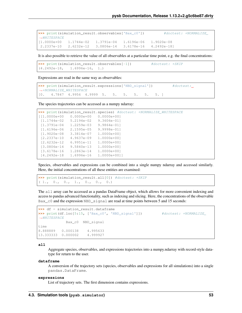```
>>> print(simulation_result.observables['Bax_c0']) #doctest: +NORMALIZE
\rightarrowWHITESPACE
[1.0000e+00 1.1744e-02 1.3791e-04 1.6196e-06 1.9020e-08
2.2337e-10 2.6232e-12 3.0806e-14 3.6178e-16 4.2492e-18]
```
It is also possible to retrieve the value of all observables at a particular time point, e.g. the final concentrations:

```
>>> print(simulation_result.observables[-1]) #doctest: +SKIP
(4.2492e-18, 1.6996e-16, 1.)
```
Expressions are read in the same way as observables:

```
>>> print(simulation_result.expressions['NBD_signal']) #doctest:
˓→+NORMALIZE_WHITESPACE
[0. 4.7847 4.9956 4.9999 5. 5. 5. 5. 5. 5. ]
```
The species trajectories can be accessed as a numpy ndarray:

```
>>> print(simulation_result.species) #doctest: +NORMALIZE_WHITESPACE
[[1.0000e+00 0.0000e+00 0.0000e+00]
[1.1744e-02 5.2194e-02 9.3606e-01]
 [1.3791e-04 1.2259e-03 9.9864e-01]
 [1.6196e-06 2.1595e-05 9.9998e-01]
 [1.9020e-08 3.3814e-07 1.0000e+00]
 [2.2337e-10 4.9637e-09 1.0000e+00]
 [2.6232e-12 6.9951e-11 1.0000e+00]
 [3.0806e-14 9.5840e-13 1.0000e+00]
 [3.6178e-16 1.2863e-14 1.0000e+00]
 [4.2492e-18 1.6996e-16 1.0000e+00]]
```
Species, observables and expressions can be combined into a single numpy ndarray and accessed similarly. Here, the initial concentrations of all these entities are examined:

```
>>> print(simulation_result.all[0]) #doctest: +SKIP
( 1., 0., 0., 1., 0., 0., 0.)
```
The all array can be accessed as a pandas DataFrame object, which allows for more convenient indexing and access to pandas advanced functionality, such as indexing and slicing. Here, the concentrations of the observable Bax\_c0 and the expression NBD\_signal are read at time points between 5 and 15 seconds:

```
>>> df = simulation_result.dataframe
>>> print(df.loc[5:15, ['Bax_c0', 'NBD_signal']]) #doctest: +NORMALIZE_
ightharpoonupWHITESPACE
            Bax_c0 NBD_signal
time
8.888889 0.000138 4.995633
13.333333 0.000002 4.999927
```
#### **all**

Aggregate species, observables, and expressions trajectories into a numpy.ndarray with record-style datatype for return to the user.

## **dataframe**

A conversion of the trajectory sets (species, observables and expressions for all simulations) into a single pandas.DataFrame.

## <span id="page-56-0"></span>**expressions**

List of trajectory sets. The first dimension contains expressions.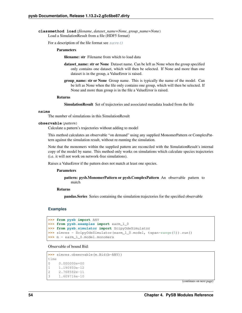**classmethod load**(*filename*, *dataset\_name=None*, *group\_name=None*) Load a SimulationResult from a file (HDF5 format)

For a description of the file format see  $save()$ 

### Parameters

filename: str Filename from which to load data

- dataset name: str or None Dataset name. Can be left as None when the group specified only contains one dataset, which will then be selected. If None and more than one dataset is in the group, a ValueError is raised.
- group\_name: str or None Group name. This is typically the name of the model. Can be left as None when the file only contains one group, which will then be selected. If None and more than group is in the file a ValueError is raised.

#### Returns

SimulationResult Set of trajectories and associated metadata loaded from the file

#### **nsims**

The number of simulations in this SimulationResult

#### **observable**(*pattern*)

Calculate a pattern's trajectories without adding to model

This method calculates an observable "on demand" using any supplied MonomerPattern or ComplexPattern against the simulation result, without re-running the simulation.

Note that the monomers within the supplied pattern are reconciled with the SimulationResult's internal copy of the model by name. This method only works on simulations which calculate species trajectories (i.e. it will not work on network-free simulations).

Raises a ValueError if the pattern does not match at least one species.

#### Parameters

pattern: pysb.MonomerPattern or pysb.ComplexPattern An observable pattern to match

# Returns

pandas.Series Series containing the simulation trajectories for the specified observable

#### **Examples**

```
>>> from pysb import ANY
>>> from pysb.examples import earm_1_0
>>> from pysb.simulator import ScipyOdeSimulator
>>> simres = ScipyOdeSimulator(earm_1_0.model, tspan=range(5)).run()
>>> m = earm_1_0.model.monomers
```
## Observable of bound Bid:

```
>>> simres.observable(m.Bid(b=ANY))
time
0 0.000000e+00
1 1.190933e-12
2 2.768582e-11
3 1.609716e-10
```
(continues on next page)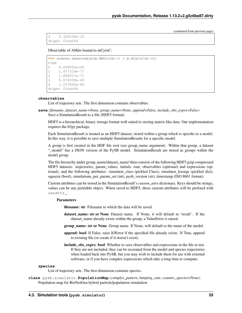(continued from previous page)

```
4 5.320530e-10
dtype: float64
```
Observable of AMito bound to mCytoC:

```
>>> simres.observable(m.AMito(b=1) % m.mCytoC(b=1))
time
0 0.000000e+00
1 1.477319e-77
2 1.669917e-71
3 5.076939e-69
4 1.157400e-66
dtype: float64
```
## **observables**

List of trajectory sets. The first dimension contains observables.

<span id="page-58-1"></span>**save**(*filename*, *dataset\_name=None*, *group\_name=None*, *append=False*, *include\_obs\_exprs=False*) Save a SimulationResult to a file (HDF5 format)

HDF5 is a hierarchical, binary storage format well suited to storing matrix-like data. Our implementation requires the h5py package.

Each SimulationResult is treated as an HDF5 dataset, stored within a group which is specific to a model. In this way, it is possible to save multiple SimulationResults for a specific model.

A group is first created in the HDF file root (see group\_name argument). Within that group, a dataset "\_model" has a JSON version of the PySB model. SimulationResult are stored as groups within the model group.

The file hierarchy under group\_name/dataset\_name/ then consists of the following HDF5 gzip compressed HDF5 datasets: trajectories, param\_values, initials, tout, observables (optional) and expressions (optional); and the following attributes: simulator\_class (pickled Class), simulator\_kwargs (pickled dict), squeeze (bool), simulations\_per\_param\_set (int), pysb\_version (str), timestamp (ISO 8601 format).

Custom attributes can be stored in the SimulationResult's *custom\_attrs* dictionary. Keys should be strings, values can be any picklable object. When saved to HDF5, these custom attributes will be prefixed with usrattr\_.

#### Parameters

filename: str Filename to which the data will be saved

- dataset\_name: str or None Dataset name. If None, it will default to 'result'. If the dataset\_name already exists within the group, a ValueError is raised.
- group\_name: str or None Group name. If None, will default to the name of the model.
- append: bool If False, raise IOError if the specified file already exists. If True, append to existing file (or create if it doesn't exist).
- include\_obs\_exprs: bool Whether to save observables and expressions in the file or not. If they are not included, they can be recreated from the model and species trajectories when loaded back into PySB, but you may wish to include them for use with external software, or if you have complex expressions which take a long time to compute.

#### **species**

List of trajectory sets. The first dimension contains species.

<span id="page-58-0"></span>**class** pysb.simulator.**PopulationMap**(*complex\_pattern*, *lumping\_rate*, *counter\_species=None*) Population map for BioNetGen hybrid particle/population simulation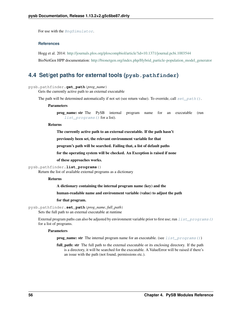For use with the [BngSimulator](#page-47-0).

# **References**

Hogg et al. 2014: <http://journals.plos.org/ploscompbiol/article?id=10.1371/journal.pcbi.1003544>

BioNetGen HPP documentation: [http://bionetgen.org/index.php/Hybrid\\_particle-population\\_model\\_generator](http://bionetgen.org/index.php/Hybrid_particle-population_model_generator)

# **4.4 Set/get paths for external tools (pysb.pathfinder)**

pysb.pathfinder.**get\_path**(*prog\_name*)

Gets the currently active path to an external executable

The path will be determined automatically if not set (see return value). To override, call  $set\_path()$ .

#### Parameters

prog\_name: str The PySB internal program name for an executable (run [list\\_programs\(\)](#page-59-1) for a list).

#### Returns

The currently active path to an external executable. If the path hasn't

previously been set, the relevant environment variable for that

program's path will be searched. Failing that, a list of default paths

for the operating system will be checked. An Exception is raised if none

of these approaches works.

#### <span id="page-59-1"></span>pysb.pathfinder.**list\_programs**()

Return the list of available external programs as a dictionary

#### Returns

A dictionary containing the internal program name (key) and the

#### human-readable name and environment variable (value) to adjust the path

#### for that program.

```
pysb.pathfinder.set_path(prog_name, full_path)
```
Sets the full path to an external executable at runtime

External program paths can also be adjusted by environment variable prior to first use; run  $list\_programs()$ for a list of programs.

### Parameters

**prog\_name: str** The internal program name for an executable. (see  $list\_programs()$ )

full path: str The full path to the external executable or its enclosing directory. If the path is a directory, it will be searched for the executable. A ValueError will be raised if there's an issue with the path (not found, permissions etc.).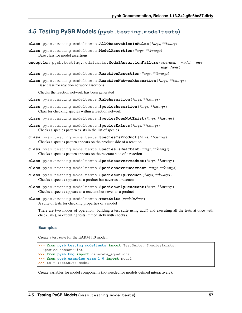# **4.5 Testing PySB Models (pysb.testing.modeltests)**

**class** pysb.testing.modeltests.**AllObservablesInRules**(*\*args*, *\*\*kwargs*)

```
class pysb.testing.modeltests.ModelAssertion(*args, **kwargs)
    Base class for model assertions
```
**exception** pysb.testing.modeltests.**ModelAssertionFailure**(*assertion*, *model*, *message=None*)

**class** pysb.testing.modeltests.**ReactionAssertion**(*\*args*, *\*\*kwargs*)

**class** pysb.testing.modeltests.**ReactionNetworkAssertion**(*\*args*, *\*\*kwargs*) Base class for reaction network assertions

Checks the reaction network has been generated

**class** pysb.testing.modeltests.**RuleAssertion**(*\*args*, *\*\*kwargs*)

**class** pysb.testing.modeltests.**SpeciesAssertion**(*\*args*, *\*\*kwargs*) Class for checking species within a reaction network

**class** pysb.testing.modeltests.**SpeciesDoesNotExist**(*\*args*, *\*\*kwargs*)

- **class** pysb.testing.modeltests.**SpeciesExists**(*\*args*, *\*\*kwargs*) Checks a species pattern exists in the list of species
- **class** pysb.testing.modeltests.**SpeciesIsProduct**(*\*args*, *\*\*kwargs*) Checks a species pattern appears on the product side of a reaction
- **class** pysb.testing.modeltests.**SpeciesIsReactant**(*\*args*, *\*\*kwargs*) Checks a species pattern appears on the reactant side of a reaction
- **class** pysb.testing.modeltests.**SpeciesNeverProduct**(*\*args*, *\*\*kwargs*)
- **class** pysb.testing.modeltests.**SpeciesNeverReactant**(*\*args*, *\*\*kwargs*)
- **class** pysb.testing.modeltests.**SpeciesOnlyProduct**(*\*args*, *\*\*kwargs*) Checks a species appears as a product but never as a reactant
- **class** pysb.testing.modeltests.**SpeciesOnlyReactant**(*\*args*, *\*\*kwargs*) Checks a species appears as a reactant but never as a product
- **class** pysb.testing.modeltests.**TestSuite**(*model=None*) A suite of tests for checking properties of a model

There are two modes of operation: building a test suite using add() and executing all the tests at once with check\_all(), or executing tests immediately with check().

## **Examples**

Create a test suite for the EARM 1.0 model:

```
>>> from pysb.testing.modeltests import TestSuite, SpeciesExists,
˓→SpeciesDoesNotExist
>>> from pysb.bng import generate_equations
>>> from pysb.examples.earm_1_0 import model
>>> ts = TestSuite(model)
```
Create variables for model components (not needed for models defined interactively):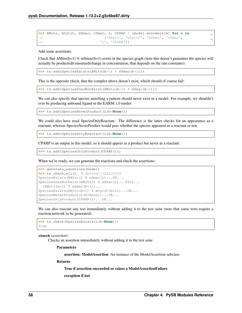```
>>> AMito, mCytoC, mSmac, cSmac, L, CPARP = [model.monomers[m] for m in
˓→ ('AMito', 'mCytoC', 'mSmac', 'cSmac',
\rightarrow 'L', 'CPARP')]
```
Add some assertions:

Check that AMito(b=1) % mSmac(b=1) exists in the species graph (note this doesn't guarantee the species will actually be producted/consumed/change in concentration; that depends on the rate constants):

```
>>> ts.add(SpeciesExists(AMito(b=1) % mSmac(b=1)))
```
This is the opposite check, that the complex above doesn't exist, which should of course fail:

```
>>> ts.add(SpeciesDoesNotExist(AMito(b=1) % mSmac(b=1)))
```
We can also specify that species matching a pattern should never exist in a model. For example, we shouldn't ever be producing unbound ligand in the EARM 1.0 model:

```
>>> ts.add(SpeciesNeverProduct(L(b=None)))
```
We could also have used SpeciesOnlyReactant. The difference is the latter checks for an appearance as a reactant, whereas SpeciesNeverProduct would pass whether the species appeared as a reactant or not.

**>>>** ts.add(SpeciesOnlyReactant(L(b=**None**)))

CPARP is an output in this model, so it should appear as a product but never as a reactant:

```
>>> ts.add(SpeciesOnlyProduct(CPARP()))
```
When we're ready, we can generate the reactions and check the assertions:

```
>>> generate_equations(model)
>>> ts.check_all() # doctest:+ELLIPSIS
SpeciesExists(AMito() % mSmac())...OK...
SpeciesDoesNotExist(AMito() % mSmac())...FAIL...
 [AMito(b=1) % mSmac(b=1)]...
SpeciesExists(AMito(b=1) % mCytoC(b=1))...OK...
SpeciesNeverProduct(L(b=None))...OK...
SpeciesOnlyProduct(CPARP())...OK...
```
We can also execute any test immediately without adding it to the test suite (note that some tests require a reaction network to be generated):

```
>>> ts.check(SpeciesExists(L(b=None)))
True
```
**check**(*assertion*)

Checks an assertion immediately without adding it to the test suite

Parameters

assertion: ModelAssertion An instance of the ModelAssertion subclass

#### Returns

True if assertion succeeded or raises a ModelAssertionFailure

exception if not

Ē. L.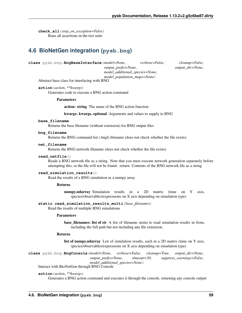**check\_all**(*stop\_on\_exception=False*) Runs all assertions in the test suite

# **4.6 BioNetGen integration (pysb.bng)**

**class** pysb.bng.**BngBaseInterface**(*model=None*, *verbose=False*, *cleanup=False*,

*output\_prefix=None*, *output\_dir=None*, *model\_additional\_species=None*,

*model\_population\_maps=None*)

Abstract base class for interfacing with BNG

**action**(*action*, *\*\*kwargs*)

Generates code to execute a BNG action command

**Parameters** 

action: string The name of the BNG action function

kwargs: kwargs, optional Arguments and values to supply to BNG

#### **base\_filename**

Returns the base filename (without extension) for BNG output files

# **bng\_filename**

Returns the BNG command list (.bngl) filename (does not check whether the file exists)

## **net\_filename**

Returns the BNG network filename (does not check whether the file exists)

#### **read\_netfile**()

Reads a BNG network file as a string. Note that you must execute network generation separately before attempting this, or the file will not be found. :return: Contents of the BNG network file as a string

#### **read\_simulation\_results**()

Read the results of a BNG simulation as a numpy array

#### Returns

numpy.ndarray Simulation results in a 2D matrix (time on Y axis, species/observables/expressions on X axis depending on simulation type)

#### **static read\_simulation\_results\_multi**(*base\_filenames*)

Read the results of multiple BNG simulations

#### **Parameters**

base filenames: list of str A list of filename stems to read simulation results in from, including the full path but not including any file extension.

# Returns

list of numpy.ndarray List of simulation results, each in a 2D matrix (time on Y axis, species/observables/expressions on X axis depending on simulation type)

**class** pysb.bng.**BngConsole**(*model=None*, *verbose=False*, *cleanup=True*, *output\_dir=None*, *output\_prefix=None*, *timeout=30*, *suppress\_warnings=False*, *model\_additional\_species=None*) Interact with BioNetGen through BNG Console

## **action**(*action*, *\*\*kwargs*)

Generates a BNG action command and executes it through the console, returning any console output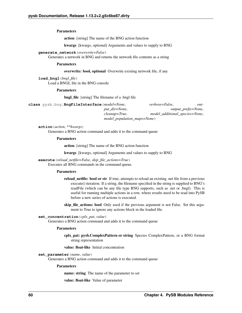Parameters

action [string] The name of the BNG action function

kwargs [kwargs, optional] Arguments and values to supply to BNG

## **generate\_network**(*overwrite=False*)

Generates a network in BNG and returns the network file contents as a string

#### Parameters

#### overwrite: bool, optional Overwrite existing network file, if any

**load\_bngl**(*bngl\_file*) Load a BNGL file in the BNG console

## **Parameters**

bngl\_file [string] The filename of a .bngl file

**class** pysb.bng.**BngFileInterface**(*model=None*, *verbose=False*, *output\_dir=None*, *output\_prefix=None*, *cleanup=True*, *model\_additional\_species=None*, *model\_population\_maps=None*)

**action**(*action*, *\*\*kwargs*) Generates a BNG action command and adds it to the command queue

#### Parameters

action [string] The name of the BNG action function

kwargs [kwargs, optional] Arguments and values to supply to BNG

# **execute**(*reload\_netfile=False*, *skip\_file\_actions=True*)

Executes all BNG commands in the command queue.

#### Parameters

- reload\_netfile: bool or str If true, attempts to reload an existing .net file from a previous execute() iteration. If a string, the filename specified in the string is supplied to BNG's readFile (which can be any file type BNG supports, such as .net or .bngl). This is useful for running multiple actions in a row, where results need to be read into PySB before a new series of actions is executed.
- skip\_file\_actions: bool Only used if the previous argument is not False. Set this argument to True to ignore any actions block in the loaded file.

## **set\_concentration**(*cplx\_pat*, *value*)

Generates a BNG action command and adds it to the command queue

## Parameters

cplx pat: pysb.ComplexPattern or string Species ComplexPattern, or a BNG format string representation

value: float-like Initial concentration

**set\_parameter**(*name*, *value*)

Generates a BNG action command and adds it to the command queue

#### **Parameters**

name: string The name of the parameter to set

value: float-like Value of parameter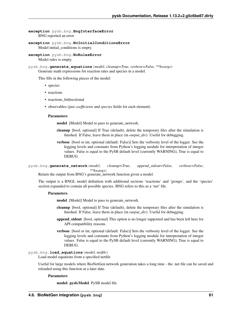# **exception** pysb.bng.**BngInterfaceError** BNG reported an error

**exception** pysb.bng.**NoInitialConditionsError** Model initial\_conditions is empty.

**exception** pysb.bng.**NoRulesError** Model rules is empty.

pysb.bng.**generate\_equations**(*model*, *cleanup=True*, *verbose=False*, *\*\*kwargs*) Generate math expressions for reaction rates and species in a model.

This fills in the following pieces of the model:

- species
- reactions
- reactions bidirectional
- observables (just *coefficients* and *species* fields for each element)

#### **Parameters**

model [Model] Model to pass to generate\_network.

- cleanup [bool, optional] If True (default), delete the temporary files after the simulation is finished. If False, leave them in place (in *output\_dir*). Useful for debugging.
- verbose [bool or int, optional (default: False)] Sets the verbosity level of the logger. See the logging levels and constants from Python's logging module for interpretation of integer values. False is equal to the PySB default level (currently WARNING), True is equal to DEBUG.

pysb.bng.**generate\_network**(*model*, *cleanup=True*, *append\_stdout=False*, *verbose=False*, *\*\*kwargs*)

Return the output from BNG's generate\_network function given a model.

The output is a BNGL model definition with additional sections 'reactions' and 'groups', and the 'species' section expanded to contain all possible species. BNG refers to this as a 'net' file.

#### **Parameters**

model [Model] Model to pass to generate\_network.

- cleanup [bool, optional] If True (default), delete the temporary files after the simulation is finished. If False, leave them in place (in *output\_dir*). Useful for debugging.
- append\_stdout [bool, optional] This option is no longer supported and has been left here for API compatibility reasons.
- verbose [bool or int, optional (default: False)] Sets the verbosity level of the logger. See the logging levels and constants from Python's logging module for interpretation of integer values. False is equal to the PySB default level (currently WARNING), True is equal to DEBUG.

# pysb.bng.**load\_equations**(*model*, *netfile*)

Load model equations from a specified netfile

Useful for large models where BioNetGen network generation takes a long time - the .net file can be saved and reloaded using this function at a later date.

## Parameters

model: pysb.Model PySB model file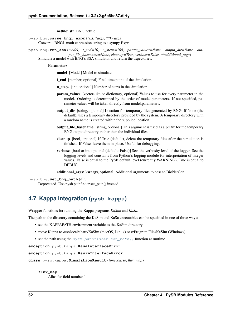netfile: str BNG netfile

pysb.bng.**parse\_bngl\_expr**(*text*, *\*args*, *\*\*kwargs*) Convert a BNGL math expression string to a sympy Expr.

pysb.bng.**run\_ssa**(*model*, *t\_end=10*, *n\_steps=100*, *param\_values=None*, *output\_dir=None*, *output\_file\_basename=None*, *cleanup=True*, *verbose=False*, *\*\*additional\_args*) Simulate a model with BNG's SSA simulator and return the trajectories.

**Parameters** 

model [Model] Model to simulate.

t\_end [number, optional] Final time point of the simulation.

n\_steps [int, optional] Number of steps in the simulation.

- param\_values [vector-like or dictionary, optional] Values to use for every parameter in the model. Ordering is determined by the order of model.parameters. If not specified, parameter values will be taken directly from model.parameters.
- output\_dir [string, optional] Location for temporary files generated by BNG. If None (the default), uses a temporary directory provided by the system. A temporary directory with a random name is created within the supplied location.
- output file basename [string, optional] This argument is used as a prefix for the temporary BNG output directory, rather than the individual files.
- cleanup [bool, optional] If True (default), delete the temporary files after the simulation is finished. If False, leave them in place. Useful for debugging.
- verbose [bool or int, optional (default: False)] Sets the verbosity level of the logger. See the logging levels and constants from Python's logging module for interpretation of integer values. False is equal to the PySB default level (currently WARNING), True is equal to DEBUG.

additional\_args: kwargs, optional Additional arguments to pass to BioNetGen

pysb.bng.**set\_bng\_path**(*dir*)

Deprecated. Use pysb.pathfinder.set\_path() instead.

# **4.7 Kappa integration (pysb.kappa)**

Wrapper functions for running the Kappa programs *KaSim* and *KaSa*.

The path to the directory containing the KaSim and KaSa executables can be specified in one of three ways:

- set the KAPPAPATH environment variable to the KaSim directory
- move Kappa to /usr/local/share/KaSim (macOS, Linux) or c:Program FilesKaSim (Windows)
- set the path using the  $pysb.path$   $path$   $set.path()$  function at runtime

**exception** pysb.kappa.**KasaInterfaceError**

**exception** pysb.kappa.**KasimInterfaceError**

**class** pysb.kappa.**SimulationResult**(*timecourse*, *flux\_map*)

#### **flux\_map**

Alias for field number 1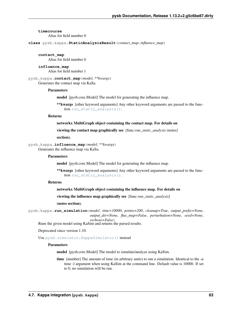#### **timecourse**

Alias for field number 0

**class** pysb.kappa.**StaticAnalysisResult**(*contact\_map*, *influence\_map*)

#### **contact\_map**

Alias for field number 0

#### **influence\_map**

Alias for field number 1

## pysb.kappa.**contact\_map**(*model*, *\*\*kwargs*) Generates the contact map via KaSa.

#### Parameters

model [pysb.core.Model] The model for generating the influence map.

\*\*kwargs [other keyword arguments] Any other keyword arguments are passed to the function [run\\_static\\_analysis\(\)](#page-67-0).

### Returns

## networkx MultiGraph object containing the contact map. For details on

viewing the contact map graphically see [func:*run\_static\_analysis* (notes]

section).

#### pysb.kappa.**influence\_map**(*model*, *\*\*kwargs*) Generates the influence map via KaSa.

#### **Parameters**

model [pysb.core.Model] The model for generating the influence map.

\*\*kwargs [other keyword arguments] Any other keyword arguments are passed to the function run static analysis().

# Returns

## networkx MultiGraph object containing the influence map. For details on

viewing the influence map graphically see [func:*run\_static\_analysis*]

(notes section).

pysb.kappa.**run\_simulation**(*model*, *time=10000*, *points=200*, *cleanup=True*, *output\_prefix=None*, *output\_dir=None*, *flux\_map=False*, *perturbation=None*, *seed=None*, *verbose=False*)

Runs the given model using KaSim and returns the parsed results.

Deprecated since version 1.10.

Use [pysb.simulator.KappaSimulator\(\)](#page-54-1) instead

#### **Parameters**

model [pysb.core.Model] The model to simulate/analyze using KaSim.

time [number] The amount of time (in arbitrary units) to run a simulation. Identical to the -u time -l argument when using KaSim at the command line. Default value is 10000. If set to 0, no simulation will be run.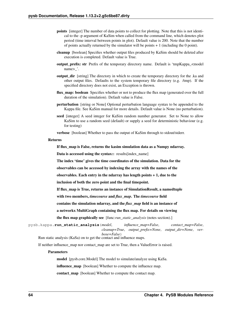- points [integer] The number of data points to collect for plotting. Note that this is not identical to the -p argument of KaSim when called from the command line, which denotes plot period (time interval between points in plot). Default value is 200. Note that the number of points actually returned by the simulator will be points  $+1$  (including the 0 point).
- cleanup [boolean] Specifies whether output files produced by KaSim should be deleted after execution is completed. Default value is True.
- output\_prefix: str Prefix of the temporary directory name. Default is 'tmpKappa\_<model name>\_'.
- output\_dir [string] The directory in which to create the temporary directory for the .ka and other output files. Defaults to the system temporary file directory (e.g. /tmp). If the specified directory does not exist, an Exception is thrown.
- flux\_map: boolean Specifies whether or not to produce the flux map (generated over the full duration of the simulation). Default value is False.
- perturbation [string or None] Optional perturbation language syntax to be appended to the Kappa file. See KaSim manual for more details. Default value is None (no perturbation).
- seed [integer] A seed integer for KaSim random number generator. Set to None to allow KaSim to use a random seed (default) or supply a seed for deterministic behaviour (e.g. for testing)

verbose [boolean] Whether to pass the output of KaSim through to stdout/stderr.

#### Returns

If flux\_map is False, returns the kasim simulation data as a Numpy ndarray.

Data is accessed using the syntax:: results[index\_name]

The index 'time' gives the time coordinates of the simulation. Data for the

observables can be accessed by indexing the array with the names of the

observables. Each entry in the ndarray has length points  $+1$ , due to the

inclusion of both the zero point and the final timepoint.

If flux\_map is True, returns an instance of SimulationResult, a namedtuple

with two members, *timecourse* and *flux\_map*. The *timecourse* field

contains the simulation ndarray, and the *flux\_map* field is an instance of

a networkx MultiGraph containing the flux map. For details on viewing

the flux map graphically see [func:*run\_static\_analysis* (notes section).]

<span id="page-67-0"></span>pysb.kappa.**run\_static\_analysis**(*model*, *influence\_map=False*, *contact\_map=False*, *cleanup=True*, *output\_prefix=None*, *output\_dir=None*, *verbose=False*)

Run static analysis (KaSa) on to get the contact and influence maps.

If neither influence\_map nor contact\_map are set to True, then a ValueError is raised.

## Parameters

model [pysb.core.Model] The model to simulate/analyze using KaSa.

**influence** map [boolean] Whether to compute the influence map.

contact map [boolean] Whether to compute the contact map.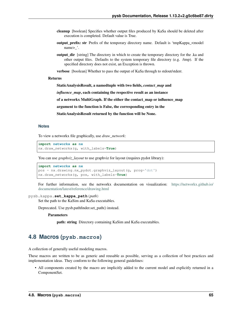- cleanup [boolean] Specifies whether output files produced by KaSa should be deleted after execution is completed. Default value is True.
- output\_prefix: str Prefix of the temporary directory name. Default is 'tmpKappa\_<model name> '.
- **output dir** [string] The directory in which to create the temporary directory for the .ka and other output files. Defaults to the system temporary file directory (e.g. /tmp). If the specified directory does not exist, an Exception is thrown.

verbose [boolean] Whether to pass the output of KaSa through to stdout/stderr.

# Returns

StaticAnalysisResult, a namedtuple with two fields, *contact\_map* and

*influence\_map*, each containing the respective result as an instance

of a networkx MultiGraph. If the either the contact\_map or influence\_map

argument to the function is False, the corresponding entry in the

StaticAnalysisResult returned by the function will be None.

# **Notes**

To view a networkx file graphically, use *draw\_network*:

```
import networkx as nx
nx.draw_networkx(g, with_labels=True)
```
You can use *graphviz\_layout* to use graphviz for layout (requires pydot library):

```
import networkx as nx
pos = nx.drawing.nx_pydot.graphviz_layout(g, prog='dot')
nx.draw_networkx(g, pos, with_labels=True)
```
For further information, see the networkx documentation on visualization: [https://networkx.github.io/](https://networkx.github.io/documentation/latest/reference/drawing.html) [documentation/latest/reference/drawing.html](https://networkx.github.io/documentation/latest/reference/drawing.html)

# pysb.kappa.**set\_kappa\_path**(*path*)

Set the path to the KaSim and KaSa executables.

Deprecated. Use pysb.pathfinder.set\_path() instead.

**Parameters** 

path: string Directory containing KaSim and KaSa executables.

# **4.8 Macros (pysb.macros)**

A collection of generally useful modeling macros.

These macros are written to be as generic and reusable as possible, serving as a collection of best practices and implementation ideas. They conform to the following general guidelines:

• All components created by the macro are implicitly added to the current model and explicitly returned in a ComponentSet.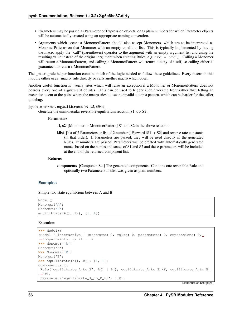- Parameters may be passed as Parameter or Expression objects, or as plain numbers for which Parameter objects will be automatically created using an appropriate naming convention.
- Arguments which accept a MonomerPattern should also accept Monomers, which are to be interpreted as MonomerPatterns on that Monomer with an empty condition list. This is typically implemented by having the macro apply the "call" (parentheses) operator to the argument with an empty argument list and using the resulting value instead of the original argument when creating Rules, e.g.  $arg = arg()$ . Calling a Monomer will return a MonomerPattern, and calling a MonomerPattern will return a copy of itself, so calling either is guaranteed to return a MonomerPattern.

The \_macro\_rule helper function contains much of the logic needed to follow these guidelines. Every macro in this module either uses \_macro\_rule directly or calls another macro which does.

Another useful function is \_verify\_sites which will raise an exception if a Monomer or MonomerPattern does not possess every one of a given list of sites. This can be used to trigger such errors up front rather than letting an exception occur at the point where the macro tries to use the invalid site in a pattern, which can be harder for the caller to debug.

pysb.macros.**equilibrate**(*s1*, *s2*, *klist*)

Generate the unimolecular reversible equilibrium reaction  $S1 \le S2$ .

#### **Parameters**

s1, s2 [Monomer or MonomerPattern] S1 and S2 in the above reaction.

klist [list of 2 Parameters or list of 2 numbers] Forward (S1 -> S2) and reverse rate constants (in that order). If Parameters are passed, they will be used directly in the generated Rules. If numbers are passed, Parameters will be created with automatically generated names based on the names and states of S1 and S2 and these parameters will be included at the end of the returned component list.

## Returns

components [ComponentSet] The generated components. Contains one reversible Rule and optionally two Parameters if klist was given as plain numbers.

## **Examples**

Simple two-state equilibrium between A and B:

```
Model()
Monomer('A')
Monomer('B')
equilibrate(A(), B(), [1, 1])
```
#### Execution:

```
>>> Model()
<Model '_interactive_' (monomers: 0, rules: 0, parameters: 0, expressions: 0,
˓→compartments: 0) at ...>
>>> Monomer('A')
Monomer('A')
>>> Monomer('B')
Monomer('B')
>>> equilibrate(A(), B(), [1, 1])
ComponentSet([
Rule('equilibrate_A_to_B', A() | B(), equilibrate_A_to_B_kf, equilibrate_A_to_B_
\rightarrowkr),
 Parameter('equilibrate_A_to_B_kf', 1.0),
```
(continues on next page)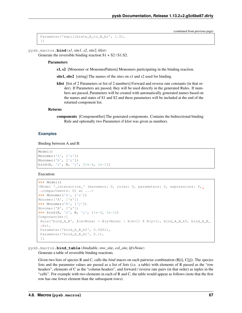(continued from previous page)

```
Parameter('equilibrate_A_to_B_kr', 1.0),
])
```

```
pysb.macros.bind(s1, site1, s2, site2, klist)
```
Generate the reversible binding reaction  $S1 + S2$  |  $S1: S2$ .

### Parameters

s1, s2 [Monomer or MonomerPattern] Monomers participating in the binding reaction.

site1, site2 [string] The names of the sites on s1 and s2 used for binding.

klist [list of 2 Parameters or list of 2 numbers] Forward and reverse rate constants (in that order). If Parameters are passed, they will be used directly in the generated Rules. If numbers are passed, Parameters will be created with automatically generated names based on the names and states of S1 and S2 and these parameters will be included at the end of the returned component list.

## Returns

components [ComponentSet] The generated components. Contains the bidirectional binding Rule and optionally two Parameters if klist was given as numbers.

## **Examples**

Binding between A and B:

```
Model()
Monomer('A', ['x'])
Monomer('B', ['y'])
bind(A, 'x', B, 'y', [1e-4, 1e-1])
```
Execution:

```
>>> Model()
<Model '_interactive_' (monomers: 0, rules: 0, parameters: 0, expressions: 0,˓→compartments: 0) at ...>
>>> Monomer('A', ['x'])
Monomer('A', ['x'])
>>> Monomer('B', ['y'])
Monomer('B', ['y'])
>>> bind(A, 'x', B, 'y', [1e-4, 1e-1])
ComponentSet([
Rule('bind A_B', A(x=None) + B(y=None) | A(x=1) % B(y=1), bind A_B_kf, bind A_B_
\rightarrowkr),
 Parameter('bind A_B_kf', 0.0001),
 Parameter('bind_A_B_kr', 0.1),
 ])
```
pysb.macros.**bind\_table**(*bindtable*, *row\_site*, *col\_site*, *kf=None*) Generate a table of reversible binding reactions.

Given two lists of species R and C, calls the *bind* macro on each pairwise combination (R[i], C[j]). The species lists and the parameter values are passed as a list of lists (i.e. a table) with elements of R passed as the "row headers", elements of C as the "column headers", and forward / reverse rate pairs (in that order) as tuples in the "cells". For example with two elements in each of R and C, the table would appear as follows (note that the first row has one fewer element than the subsequent rows):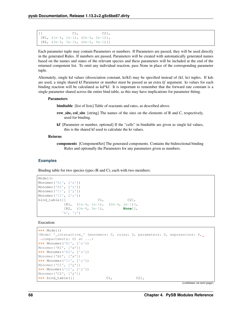```
[[C1, C2]],
[R1, (1e-4, 1e-1), (2e-4, 2e-1)],[R2, (3e-4, 3e-1), (4e-4, 4e-1)]
```
Each parameter tuple may contain Parameters or numbers. If Parameters are passed, they will be used directly in the generated Rules. If numbers are passed, Parameters will be created with automatically generated names based on the names and states of the relevant species and these parameters will be included at the end of the returned component list. To omit any individual reaction, pass None in place of the corresponding parameter tuple.

Alternately, single kd values (dissociation constant, kr/kf) may be specified instead of (kf, kr) tuples. If kds are used, a single shared kf Parameter or number must be passed as an extra *kf* argument. kr values for each binding reaction will be calculated as kd\*kf. It is important to remember that the forward rate constant is a single parameter shared across the entire bind table, as this may have implications for parameter fitting.

# **Parameters**

bindtable [list of lists] Table of reactants and rates, as described above.

- row\_site, col\_site [string] The names of the sites on the elements of R and C, respectively, used for binding.
- kf [Parameter or number, optional] If the "cells" in bindtable are given as single kd values, this is the shared kf used to calculate the kr values.

# Returns

components [ComponentSet] The generated components. Contains the bidirectional binding Rules and optionally the Parameters for any parameters given as numbers.

# **Examples**

Binding table for two species types (R and C), each with two members:

```
Model()
Monomer('R1', ['x'])
Monomer('R2', ['x'])
Monomer('C1', ['y'])
Monomer('C2', ['y'])
bind_table([[ C1, C2],
          [R1, (1e-4, 1e-1), (2e-4, 2e-1)],[R2, (3e-4, 3e-1), None]],
         'x', 'y')
```
Execution:

```
>>> Model()
<Model '_interactive_' (monomers: 0, rules: 0, parameters: 0, expressions: 0,
˓→compartments: 0) at ...>
>>> Monomer('R1', ['x'])
Monomer('R1', ['x'])
>>> Monomer('R2', ['x'])
Monomer('R2', ['x'])
>>> Monomer('C1', ['y'])
Monomer('C1', ['y'])
>>> Monomer('C2', ['y'])
Monomer('C2', ['y'])
>>> bind_table([[ C1, C2],
```
(continues on next page)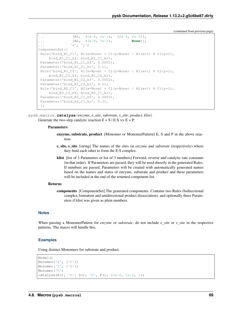```
... [R1, (1e-4, 1e-1), (2e-4, 2e-1)],
... [R2, (3e-4, 3e-1), None]],
... 'x', 'y')
ComponentSet([
Rule('bind_R1_C1', R1(x=None) + C1(y=None) | R1(x=1) % C1(y=1),
    bind_R1_C1_kf, bind_R1_C1_kr),
Parameter('bind_R1_C1_kf', 0.0001),
Parameter('bind_R1_C1_kr', 0.1),
Rule('bind_R1_C2', R1(x=None) + C2(y=None) | R1(x=1) % C2(y=1),
    bind_R1_C2_kf, bind_R1_C2_kr),
Parameter('bind_R1_C2_kf', 0.0002),
 Parameter('bind_R1_C2_kr', 0.2),
 Rule('bind_R2_C1', R2(x=None) + C1(y=None) | R2(x=1) % C1(y=1),
    bind R2_C1_kf, bind R2_C1_kr),
 Parameter('bind_R2_C1_kf', 0.0003),
Parameter('bind_R2_C1_kr', 0.3),
 ])
```
pysb.macros.**catalyze**(*enzyme*, *e\_site*, *substrate*, *s\_site*, *product*, *klist*) Generate the two-step catalytic reaction  $E + S \rvert E: S \gg E + P$ .

#### **Parameters**

- enzyme, substrate, product [Monomer or MonomerPattern] E, S and P in the above reaction.
- **e** site, s site [string] The names of the sites on *enzyme* and *substrate* (respectively) where they bind each other to form the E:S complex.
- klist [list of 3 Parameters or list of 3 numbers] Forward, reverse and catalytic rate constants (in that order). If Parameters are passed, they will be used directly in the generated Rules. If numbers are passed, Parameters will be created with automatically generated names based on the names and states of enzyme, substrate and product and these parameters will be included at the end of the returned component list.

## Returns

components [ComponentSet] The generated components. Contains two Rules (bidirectional complex formation and unidirectional product dissociation), and optionally three Parameters if klist was given as plain numbers.

## **Notes**

When passing a MonomerPattern for *enzyme* or *substrate*, do not include *e\_site* or *s\_site* in the respective patterns. The macro will handle this.

#### **Examples**

Using distinct Monomers for substrate and product:

```
Model()
Monomer('E', ['b'])
Monomer('S', ['b'])
Monomer('P')
catalyze(E(), 'b', S(), 'b', P(), (1e-4, 1e-1, 1))
```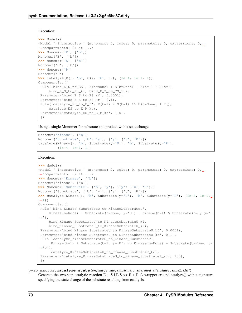#### Execution:

```
>>> Model()
<Model '_interactive_' (monomers: 0, rules: 0, parameters: 0, expressions: 0,
˓→compartments: 0) at ...>
>>> Monomer('E', ['b'])
Monomer('E', ['b'])
>>> Monomer('S', ['b'])
Monomer('S', ['b'])
>>> Monomer('P')
Monomer('P')
>>> catalyze(E(), 'b', S(), 'b', P(), (1e-4, 1e-1, 1))
ComponentSet([
Rule('bind_E_S_to_ES', E(b=None) + S(b=None) | E(b=1) % S(b=1),
    bind_E_S_to_ES_kf, bind_E_S_to_ES_kr),
Parameter('bind_E_S_to_ES_kf', 0.0001),
Parameter('bind_E_S_to_ES_kr', 0.1),
Rule('catalyze_ES_to_E_P', E(b=1) % S(b=1) >> E(b=None) + P(),
    catalyze_ES_to_E_P_kc),
Parameter('catalyze_ES_to_E_P_kc', 1.0),
 ])
```
Using a single Monomer for substrate and product with a state change:

```
Monomer('Kinase', ['b'])
Monomer('Substrate', ['b', 'y'], {'y': ('U', 'P')})
catalyze(Kinase(), 'b', Substrate(y='U'), 'b', Substrate(y='P'),
         (1e-4, 1e-1, 1)
```
Execution:

```
>>> Model()
<Model '_interactive_' (monomers: 0, rules: 0, parameters: 0, expressions: 0,
˓→compartments: 0) at ...>
>>> Monomer('Kinase', ['b'])
Monomer('Kinase', ['b'])
>>> Monomer('Substrate', ['b', 'y'], {'y': ('U', 'P')})
Monomer('Substrate', ['b', 'y'], {'y': ('U', 'P')})
>>> catalyze(Kinase(), 'b', Substrate(y='U'), 'b', Substrate(y='P'), (1e-4, 1e-1,
\rightarrow1))
ComponentSet([
Rule('bind_Kinase_SubstrateU_to_KinaseSubstrateU',
     Kinase(b=None) + Substrate(b=None, y='U') | Kinase(b=1) % Substrate(b=1, y='U
\hookrightarrow'),
     bind_Kinase_SubstrateU_to_KinaseSubstrateU_kf,
     bind_Kinase_SubstrateU_to_KinaseSubstrateU_kr),
 Parameter('bind_Kinase_SubstrateU_to_KinaseSubstrateU_kf', 0.0001),
 Parameter('bind_Kinase_SubstrateU_to_KinaseSubstrateU_kr', 0.1),
 Rule('catalyze_KinaseSubstrateU_to_Kinase_SubstrateP',
      Kinase(b=1) % Substrate(b=1, y='U') >> Kinase(b=None) + Substrate(b=None, y=\leftarrow'P'),
      catalyze_KinaseSubstrateU_to_Kinase_SubstrateP_kc),
 Parameter('catalyze_KinaseSubstrateU_to_Kinase_SubstrateP_kc', 1.0),
 ])
```
pysb.macros.**catalyze\_state**(*enzyme*, *e\_site*, *substrate*, *s\_site*, *mod\_site*, *state1*, *state2*, *klist*) Generate the two-step catalytic reaction  $E + S | E: S \gg E + P$ . A wrapper around catalyze() with a signature specifying the state change of the substrate resulting from catalysis.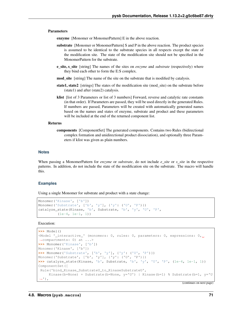#### Parameters

enzyme [Monomer or MonomerPattern] E in the above reaction.

- substrate [Monomer or MonomerPattern] S and P in the above reaction. The product species is assumed to be identical to the substrate species in all respects except the state of the modification site. The state of the modification site should not be specified in the MonomerPattern for the substrate.
- **e** site, s site [string] The names of the sites on *enzyme* and *substrate* (respectively) where they bind each other to form the E:S complex.
- mod\_site [string] The name of the site on the substrate that is modified by catalysis.
- state1, state2 [strings] The states of the modification site (mod\_site) on the substrate before (state1) and after (state2) catalysis.
- klist [list of 3 Parameters or list of 3 numbers] Forward, reverse and catalytic rate constants (in that order). If Parameters are passed, they will be used directly in the generated Rules. If numbers are passed, Parameters will be created with automatically generated names based on the names and states of enzyme, substrate and product and these parameters will be included at the end of the returned component list.

## Returns

components [ComponentSet] The generated components. Contains two Rules (bidirectional complex formation and unidirectional product dissociation), and optionally three Parameters if klist was given as plain numbers.

## **Notes**

When passing a MonomerPattern for *enzyme* or *substrate*, do not include *e\_site* or *s\_site* in the respective patterns. In addition, do not include the state of the modification site on the substrate. The macro will handle this.

#### **Examples**

Using a single Monomer for substrate and product with a state change:

```
Monomer('Kinase', ['b'])
Monomer('Substrate', ['b', 'y'], {'y': ('U', 'P')})
catalyze_state(Kinase, 'b', Substrate, 'b', 'y', 'U', 'P',
         (1e-4, 1e-1, 1)
```
Execution:

```
>>> Model()
<Model '_interactive_' (monomers: 0, rules: 0, parameters: 0, expressions: 0,..
˓→compartments: 0) at ...>
>>> Monomer('Kinase', ['b'])
Monomer('Kinase', ['b'])
>>> Monomer('Substrate', ['b', 'y'], {'y': ('U', 'P')})
Monomer('Substrate', ['b', 'y'], {'y': ('U', 'P')})
>>> catalyze_state(Kinase, 'b', Substrate, 'b', 'y', 'U', 'P', (1e-4, 1e-1, 1))
ComponentSet([
Rule('bind Kinase SubstrateU to KinaseSubstrateU',
     Kinase(b=None) + Substrate(b=None, y='U') | Kinase(b=1) % Substrate(b=1, y='U
 ˓→'),
```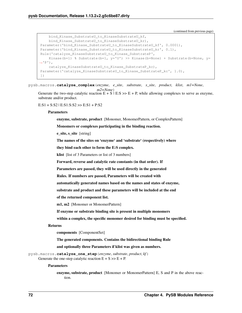```
bind_Kinase_SubstrateU_to_KinaseSubstrateU_kf,
    bind_Kinase_SubstrateU_to_KinaseSubstrateU_kr),
Parameter('bind_Kinase_SubstrateU_to_KinaseSubstrateU_kf', 0.0001),
Parameter('bind_Kinase_SubstrateU_to_KinaseSubstrateU_kr', 0.1),
Rule('catalyze_KinaseSubstrateU_to_Kinase_SubstrateP',
    Kinase(b=1) % Substrate(b=1, y='U') >> Kinase(b=None) + Substrate(b=None, y=
ightharpoonup'P'),
    catalyze_KinaseSubstrateU_to_Kinase_SubstrateP_kc),
Parameter('catalyze_KinaseSubstrateU_to_Kinase_SubstrateP_kc', 1.0),
])
```
pysb.macros.**catalyze\_complex**(*enzyme*, *e\_site*, *substrate*, *s\_site*, *product*, *klist*, *m1=None*,

*m2=None*) Generate the two-step catalytic reaction  $E + S \mid E: S \gg E + P$ , while allowing complexes to serve as enzyme, substrate and/or product.

 $E: S1 + S: S2 | E: S1: S: S2 \gg E: S1 + P: S2$ 

## **Parameters**

enzyme, substrate, product [Monomer, MonomerPattern, or ComplexPattern]

Monomers or complexes participating in the binding reaction.

e site, s site [string]

The names of the sites on 'enzyme' and 'substrate' (respectively) where

they bind each other to form the E:S complex.

klist [list of 3 Parameters or list of 3 numbers]

Forward, reverse and catalytic rate constants (in that order). If

Parameters are passed, they will be used directly in the generated

Rules. If numbers are passed, Parameters will be created with

automatically generated names based on the names and states of enzyme,

substrate and product and these parameters will be included at the end

of the returned component list.

m1, m2 [Monomer or MonomerPattern]

If enzyme or substrate binding site is present in multiple monomers

within a complex, the specific monomer desired for binding must be specified.

#### Returns

components [ComponentSet]

The generated components. Contains the bidirectional binding Rule

and optionally three Parameters if klist was given as numbers.

pysb.macros.**catalyze\_one\_step**(*enzyme*, *substrate*, *product*, *kf*) Generate the one-step catalytic reaction  $E + S \gg E + P$ .

#### Parameters

enzyme, substrate, product [Monomer or MonomerPattern] E, S and P in the above reaction.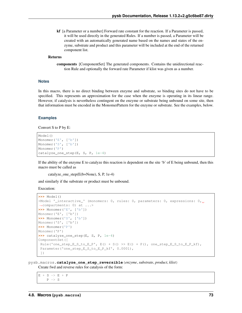kf [a Parameter or a number] Forward rate constant for the reaction. If a Parameter is passed, it will be used directly in the generated Rules. If a number is passed, a Parameter will be created with an automatically generated name based on the names and states of the enzyme, substrate and product and this parameter will be included at the end of the returned component list.

## Returns

components [ComponentSet] The generated components. Contains the unidirectional reaction Rule and optionally the forward rate Parameter if klist was given as a number.

#### **Notes**

In this macro, there is no direct binding between enzyme and substrate, so binding sites do not have to be specified. This represents an approximation for the case when the enzyme is operating in its linear range. However, if catalysis is nevertheless contingent on the enzyme or substrate being unbound on some site, then that information must be encoded in the MonomerPattern for the enzyme or substrate. See the examples, below.

#### **Examples**

Convert S to P by E:

```
Model()
Monomer('E', ['b'])
Monomer('S', ['b'])
Monomer('P')
catalyze_one_step(E, S, P, 1e-4)
```
If the ability of the enzyme E to catalyze this reaction is dependent on the site 'b' of E being unbound, then this macro must be called as

```
catalyze_one_step(E(b=None), S, P, 1e-4)
```
and similarly if the substrate or product must be unbound.

Execution:

```
>>> Model()
<Model '_interactive_' (monomers: 0, rules: 0, parameters: 0, expressions: 0,
˓→compartments: 0) at ...>
>>> Monomer('E', ['b'])
Monomer('E', ['b'])
>>> Monomer('S', ['b'])
Monomer('S', ['b'])
>>> Monomer('P')
Monomer('P')
>>> catalyze_one_step(E, S, P, 1e-4)
ComponentSet([
Rule('one\_step_E_S_to_E_P', E() + S() >> E() + P(), one\_step_E_S_to_E_P_k',Parameter('one_step_E_S_to_E_P_kf', 0.0001),
 ])
```
pysb.macros.**catalyze\_one\_step\_reversible**(*enzyme*, *substrate*, *product*, *klist*) Create fwd and reverse rules for catalysis of the form:

 $E + S \rightarrow E + P$  $P \rightarrow S$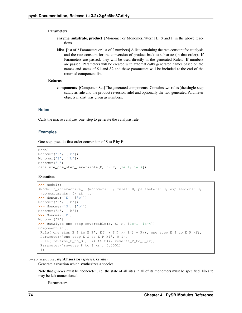#### Parameters

- enzyme, substrate, product [Monomer or MonomerPattern] E, S and P in the above reactions.
- klist [list of 2 Parameters or list of 2 numbers] A list containing the rate constant for catalysis and the rate constant for the conversion of product back to substrate (in that order). If Parameters are passed, they will be used directly in the generated Rules. If numbers are passed, Parameters will be created with automatically generated names based on the names and states of S1 and S2 and these parameters will be included at the end of the returned component list.

## Returns

components [ComponentSet] The generated components. Contains two rules (the single-step catalysis rule and the product reversion rule) and optionally the two generated Parameter objects if klist was given as numbers.

## **Notes**

Calls the macro catalyze\_one\_step to generate the catalysis rule.

### **Examples**

One-step, pseudo-first order conversion of S to P by E:

```
Model()
Monomer('E', ['b'])
Monomer('S', ['b'])
Monomer('P')
catalyze_one_step_reversible(E, S, P, [1e-1, 1e-4])
```
Execution:

```
>>> Model()
<Model '_interactive_' (monomers: 0, rules: 0, parameters: 0, expressions: 0,
˓→compartments: 0) at ...>
>>> Monomer('E', ['b'])
Monomer('E', ['b'])
>>> Monomer('S', ['b'])
Monomer('S', ['b'])
>>> Monomer('P')
Monomer('P')
>>> catalyze_one_step_reversible(E, S, P, [1e-1, 1e-4])
ComponentSet([
Rule('one_step_E_S_to_E_P', E() + S() >> E() + P(), one_step_E_S_to_E_P_kf),
Parameter('one_step_E_S_to_E_P_kf', 0.1),
Rule('reverse_P_to_S', P() >> S(), reverse_P_to_S_kr),
Parameter('reverse_P_to_S_kr', 0.0001),
 ])
```
pysb.macros.**synthesize**(*species*, *ksynth*)

Generate a reaction which synthesizes a species.

Note that *species* must be "concrete", i.e. the state of all sites in all of its monomers must be specified. No site may be left unmentioned.

Parameters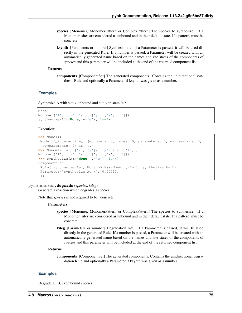- species [Monomer, MonomerPattern or ComplexPattern] The species to synthesize. If a Monomer, sites are considered as unbound and in their default state. If a pattern, must be concrete.
- ksynth [Parameters or number] Synthesis rate. If a Parameter is passed, it will be used directly in the generated Rule. If a number is passed, a Parameter will be created with an automatically generated name based on the names and site states of the components of *species* and this parameter will be included at the end of the returned component list.

#### Returns

components [ComponentSet] The generated components. Contains the unidirectional synthesis Rule and optionally a Parameter if ksynth was given as a number.

## **Examples**

Synthesize A with site x unbound and site y in state 'e':

```
Model()
Monomer('A', ['x', 'y'], {'y': ['e', 'f']})
synthesize(A(x=None, y='e'), 1e-4)
```
#### Execution:

```
>>> Model()
<Model '_interactive_' (monomers: 0, rules: 0, parameters: 0, expressions: 0,
˓→compartments: 0) at ...>
>>> Monomer('A', ['x', 'y'], {'y': ['e', 'f']})
Monomer('A', ['x', 'y'], {'y': ['e', 'f']})
>>> synthesize(A(x=None, y='e'), 1e-4)
ComponentSet([
Rule('synthesize_Ae', None >> A(x=None, y='e'), synthesize_Ae_k),
Parameter('synthesize_Ae_k', 0.0001),
 ])
```
#### pysb.macros.**degrade**(*species*, *kdeg*)

Generate a reaction which degrades a species.

Note that *species* is not required to be "concrete".

#### **Parameters**

- species [Monomer, MonomerPattern or ComplexPattern] The species to synthesize. If a Monomer, sites are considered as unbound and in their default state. If a pattern, must be concrete.
- kdeg [Parameters or number] Degradation rate. If a Parameter is passed, it will be used directly in the generated Rule. If a number is passed, a Parameter will be created with an automatically generated name based on the names and site states of the components of *species* and this parameter will be included at the end of the returned component list.

#### Returns

components [ComponentSet] The generated components. Contains the unidirectional degradation Rule and optionally a Parameter if ksynth was given as a number.

## **Examples**

Degrade all B, even bound species: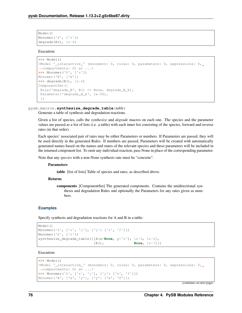```
Model()
Monomer('B', ['x'])
degrade(B(), 1e-6)
```
## Execution:

```
>>> Model()
<Model 'interactive ' (monomers: 0, rules: 0, parameters: 0, expressions: 0,
˓→compartments: 0) at ...>
>>> Monomer('B', ['x'])
Monomer('B', ['x'])
>>> degrade(B(), 1e-6)
ComponentSet([
Rule('degrade_B', B() >> None, degrade B k),
Parameter('degrade_B_k', 1e-06),
])
```
## pysb.macros.**synthesize\_degrade\_table**(*table*)

Generate a table of synthesis and degradation reactions.

Given a list of species, calls the *synthesize* and *degrade* macros on each one. The species and the parameter values are passed as a list of lists (i.e. a table) with each inner list consisting of the species, forward and reverse rates (in that order).

Each species' associated pair of rates may be either Parameters or numbers. If Parameters are passed, they will be used directly in the generated Rules. If numbers are passed, Parameters will be created with automatically generated names based on the names and states of the relevant species and these parameters will be included in the returned component list. To omit any individual reaction, pass None in place of the corresponding parameter.

Note that any *species* with a non-None synthesis rate must be "concrete".

#### **Parameters**

table [list of lists] Table of species and rates, as described above.

#### Returns

components [ComponentSet] The generated components. Contains the unidirectional synthesis and degradation Rules and optionally the Parameters for any rates given as numbers.

## **Examples**

Specify synthesis and degradation reactions for A and B in a table:

```
Model()
Monomer('A', ['x', 'y'], {'y': ['e', 'f']})
Monomer('B', ['x'])
synthesize_degrade_table([[A(x=None, y='e'), 1e-4, 1e-6],
                        [B(), None, 1e-7]])
```
# Execution:

```
>>> Model()
<Model '_interactive_' (monomers: 0, rules: 0, parameters: 0, expressions: 0, 0
˓→compartments: 0) at ...>
>>> Monomer('A', ['x', 'y'], {'y': ['e', 'f']})
Monomer('A', ['x', 'y'], {'y': ['e', 'f']})
```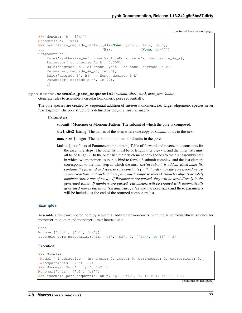```
>>> Monomer('B', ['x'])
Monomer('B', ['x'])
>>> synthesize_degrade_table([[A(x=None, y='e'), 1e-4, 1e-6],
                              ... [B(), None, 1e-7]])
ComponentSet([
   Rule('synthesize_Ae', None >> A(x=None, y='e'), synthesize_Ae_k),
    Parameter('synthesize_Ae_k', 0.0001),
    Rule('degrade_Ae', A(x=None, y='e') >> None, degrade_Ae_k),
    Parameter('degrade_Ae_k', 1e-06),
    Rule('degrade_B', B() >> None, degrade_B_k),
    Parameter('degrade_B_k', 1e-07),
    ])
```
pysb.macros.**assemble\_pore\_sequential**(*subunit*, *site1*, *site2*, *max\_size*, *ktable*) Generate rules to assemble a circular homomeric pore sequentially.

The pore species are created by sequential addition of *subunit* monomers, i.e. larger oligomeric species never fuse together. The pore structure is defined by the *pore\_species* macro.

## **Parameters**

subunit [Monomer or MonomerPattern] The subunit of which the pore is composed.

site1, site2 [string] The names of the sites where one copy of *subunit* binds to the next.

max\_size [integer] The maximum number of subunits in the pore.

ktable [list of lists of Parameters or numbers] Table of forward and reverse rate constants for the assembly steps. The outer list must be of length *max\_size* - 1, and the inner lists must all be of length 2. In the outer list, the first element corresponds to the first assembly step in which two monomeric subunits bind to form a 2-subunit complex, and the last element corresponds to the final step in which the *max\_size'th subunit is added. Each inner list contains the forward and reverse rate constants (in that order) for the corresponding assembly reaction, and each of these pairs must comprise solely Parameter objects or solely numbers (never one of each). If Parameters are passed, they will be used directly in the generated Rules. If numbers are passed, Parameters will be created with automatically generated names based on 'subunit*, *site1*, *site2* and the pore sizes and these parameters will be included at the end of the returned component list.

#### **Examples**

Assemble a three-membered pore by sequential addition of monomers, with the same forward/reverse rates for monomer-monomer and monomer-dimer interactions:

```
Model()
Monomer('Unit', ['p1', 'p2'])
assemble_pore_sequential(Unit, 'p1', 'p2', 3, [[1e-4, 1e-1]] * 2)
```
Execution:

```
>>> Model()
<Model '_interactive_' (monomers: 0, rules: 0, parameters: 0, expressions: 0, ...
˓→compartments: 0) at ...>
>>> Monomer('Unit', ['p1', 'p2'])
Monomer('Unit', ['p1', 'p2'])
>>> assemble_pore_sequential(Unit, 'p1', 'p2', 3, [[1e-4, 1e-1]] * 2)
```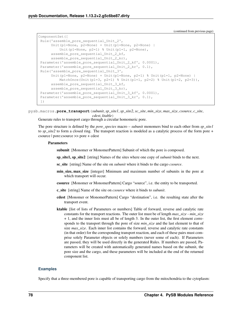```
ComponentSet([
Rule('assemble_pore_sequential_Unit_2',
     Unit(p1=None, p2=None) + Unit(p1=None, p2=None) |
         Unit(p1=None, p2=1) % Unit(p1=1, p2=None),
     assemble_pore_sequential_Unit_2_kf,
     assemble_pore_sequential_Unit_2_kr),
Parameter('assemble_pore_sequential_Unit_2_kf', 0.0001),
Parameter('assemble_pore_sequential_Unit_2_kr', 0.1),
Rule('assemble_pore_sequential_Unit_3',
     Unit(p1=None, p2=None) + Unit(p1=None, p2=1) % Unit(p1=1, p2=None) |
         MatchOnce(Unit(p1=3, p2=1) % Unit(p1=1, p2=2) % Unit(p1=2, p2=3)),
     assemble_pore_sequential_Unit_3_kf,
     assemble_pore_sequential_Unit_3_kr),
Parameter('assemble_pore_sequential_Unit_3_kf', 0.0001),
Parameter('assemble_pore_sequential_Unit_3_kr', 0.1),
])
```
pysb.macros.**pore\_transport**(*subunit*, *sp\_site1*, *sp\_site2*, *sc\_site*, *min\_size*, *max\_size*, *csource*, *c\_site*, *cdest*, *ktable*)

Generate rules to transport cargo through a circular homomeric pore.

The pore structure is defined by the *pore\_species* macro – *subunit* monomers bind to each other from *sp\_site1* to *sp\_site2* to form a closed ring. The transport reaction is modeled as a catalytic process of the form pore + csource | pore:csource >> pore + cdest

## Parameters

subunit [Monomer or MonomerPattern] Subunit of which the pore is composed.

- sp\_site1, sp\_site2 [string] Names of the sites where one copy of *subunit* binds to the next.
- sc\_site [string] Name of the site on *subunit* where it binds to the cargo *csource*.
- min\_size, max\_size [integer] Minimum and maximum number of subunits in the pore at which transport will occur.
- csource [Monomer or MonomerPattern] Cargo "source", i.e. the entity to be transported.
- c\_site [string] Name of the site on *csource* where it binds to *subunit*.
- cdest [Monomer or MonomerPattern] Cargo "destination", i.e. the resulting state after the transport event.
- ktable [list of lists of Parameters or numbers] Table of forward, reverse and catalytic rate constants for the transport reactions. The outer list must be of length *max\_size* - *min\_size* + 1, and the inner lists must all be of length 3. In the outer list, the first element corresponds to the transport through the pore of size *min\_size* and the last element to that of size *max\_size*. Each inner list contains the forward, reverse and catalytic rate constants (in that order) for the corresponding transport reaction, and each of these pairs must comprise solely Parameter objects or solely numbers (never some of each). If Parameters are passed, they will be used directly in the generated Rules. If numbers are passed, Parameters will be created with automatically generated names based on the subunit, the pore size and the cargo, and these parameters will be included at the end of the returned component list.

#### **Examples**

Specify that a three-membered pore is capable of transporting cargo from the mitochondria to the cytoplasm: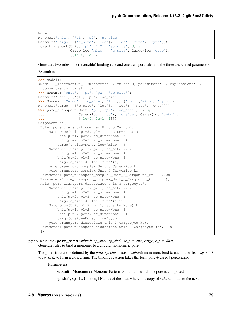```
Model()
Monomer('Unit', ['p1', 'p2', 'sc_site'])
Monomer('Cargo', ['c_site', 'loc'], {'loc':['mito', 'cyto']})
pore_transport(Unit, 'p1', 'p2', 'sc_site', 3, 3,
               Cargo(loc='mito'), 'c_site', Cargo(loc='cyto'),
               [1e-4, 1e-1, 1]
```
Generates two rules–one (reversible) binding rule and one transport rule–and the three associated parameters.

Execution:

```
>>> Model()
<Model '_interactive_' (monomers: 0, rules: 0, parameters: 0, expressions: 0, ...
˓→compartments: 0) at ...>
>>> Monomer('Unit', ['p1', 'p2', 'sc_site'])
Monomer('Unit', ['p1', 'p2', 'sc_site'])
>>> Monomer('Cargo', ['c_site', 'loc'], {'loc':['mito', 'cyto']})
Monomer('Cargo', ['c_site', 'loc'], {'loc': ['mito', 'cyto']})
>>> pore_transport(Unit, 'p1', 'p2', 'sc_site', 3, 3,
... Cargo(loc='mito'), 'c_site', Cargo(loc='cyto'),
... [[1e-4, 1e-1, 1]])
ComponentSet([
Rule('pore_transport_complex_Unit_3_Cargomito',
    MatchOnce(Unit(p1=3, p2=1, sc_site=None) %
         Unit(p1=1, p2=2, sc_site=None) %
         Unit(p1=2, p2=3, sc\_site=None) +
         Cargo(c_site=None, loc='mito') |
     MatchOnce(Unit(p1=3, p2=1, sc_site=4) %
         Unit(p1=1, p2=2, sc_site=None) %
         Unit(p1=2, p2=3, sc_site=None) %
         Cargo(c_site=4, loc='mito')),
     pore_transport_complex_Unit_3_Cargomito_kf,
     pore_transport_complex_Unit_3_Cargomito_kr),
 Parameter('pore_transport_complex_Unit_3_Cargomito_kf', 0.0001),
 Parameter('pore_transport_complex_Unit_3_Cargomito_kr', 0.1),
 Rule('pore_transport_dissociate_Unit_3_Cargocyto',
     MatchOnce(Unit(p1=3, p2=1, sc_site=4) %
         Unit(p1=1, p2=2, sc_site=None) %
         Unit(p1=2, p2=3, sc_site=None) %
         Cargo(c_site=4, loc='mito')) >>
     MatchOnce(Unit(p1=3, p2=1, sc_site=None) %
        Unit(p1=1, p2=2, sc_site=None) %
         Unit(p1=2, p2=3, sc\_site=None)) +
         Cargo(c_site=None, loc='cyto'),
     pore_transport_dissociate_Unit_3_Cargocyto_kc),
 Parameter('pore_transport_dissociate_Unit_3_Cargocyto_kc', 1.0),
 ])
```
pysb.macros.**pore\_bind**(*subunit*, *sp\_site1*, *sp\_site2*, *sc\_site*, *size*, *cargo*, *c\_site*, *klist*) Generate rules to bind a monomer to a circular homomeric pore.

The pore structure is defined by the *pore\_species* macro – *subunit* monomers bind to each other from *sp\_site1* to *sp\_site2* to form a closed ring. The binding reaction takes the form pore + cargo | pore:cargo.

#### **Parameters**

subunit [Monomer or MonomerPattern] Subunit of which the pore is composed.

sp\_site1, sp\_site2 [string] Names of the sites where one copy of *subunit* binds to the next.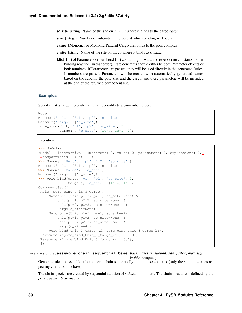sc\_site [string] Name of the site on *subunit* where it binds to the cargo *cargo*.

size [integer] Number of subunits in the pore at which binding will occur.

cargo [Monomer or MonomerPattern] Cargo that binds to the pore complex.

- c\_site [string] Name of the site on *cargo* where it binds to *subunit*.
- klist [list of Parameters or numbers] List containing forward and reverse rate constants for the binding reaction (in that order). Rate constants should either be both Parameter objects or both numbers. If Parameters are passed, they will be used directly in the generated Rules. If numbers are passed, Parameters will be created with automatically generated names based on the subunit, the pore size and the cargo, and these parameters will be included at the end of the returned component list.

# **Examples**

Specify that a cargo molecule can bind reversibly to a 3-membered pore:

```
Model()
Monomer('Unit', ['p1', 'p2', 'sc_site'])
Monomer('Cargo', ['c_site'])
pore_bind(Unit, 'p1', 'p2', 'sc_site', 3,
          Cargo(), 'c_site', [1e-4, 1e-1, 1])
```
Execution:

```
>>> Model()
<Model '_interactive_' (monomers: 0, rules: 0, parameters: 0, expressions: 0, under
˓→compartments: 0) at ...>
>>> Monomer('Unit', ['p1', 'p2', 'sc_site'])
Monomer('Unit', ['p1', 'p2', 'sc_site'])
>>> Monomer('Cargo', ['c_site'])
Monomer('Cargo', ['c_site'])
>>> pore_bind(Unit, 'p1', 'p2', 'sc_site', 3,
              ... Cargo(), 'c_site', [1e-4, 1e-1, 1])
ComponentSet([
Rule('pore_bind_Unit_3_Cargo',
    MatchOnce(Unit(p1=3, p2=1, sc_site=None) %
         Unit(p1=1, p2=2, sc_site=None) %
         Unit(p1=2, p2=3, sc\_site=None) +
         Cargo(c_site=None) |
    MatchOnce(Unit(p1=3, p2=1, sc_site=4) %
         Unit(p1=1, p2=2, sc_site=None) %
         Unit(p1=2, p2=3, sc_site=None) %
         Cargo(c_site=4)),
    pore_bind_Unit_3_Cargo_kf, pore_bind_Unit_3_Cargo_kr),
 Parameter('pore_bind_Unit_3_Cargo_kf', 0.0001),
 Parameter('pore_bind_Unit_3_Cargo_kr', 0.1),
 ])
```
pysb.macros.**assemble\_chain\_sequential\_base**(*base*, *basesite*, *subunit*, *site1*, *site2*, *max\_size*,

*ktable*, *comp=1*)

Generate rules to assemble a homomeric chain sequentially onto a base complex (only the subunit creates repeating chain, not the base).

The chain species are created by sequential addition of *subunit* monomers. The chain structure is defined by the *pore\_species\_base* macro.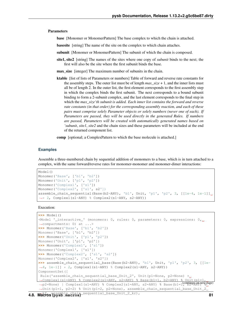#### **Parameters**

base [Monomer or MonomerPattern] The base complex to which the chain is attached.

basesite [string] The name of the site on the complex to which chain attaches.

subunit [Monomer or MonomerPattern] The subunit of which the chain is composed.

site1, site2 [string] The names of the sites where one copy of *subunit* binds to the next; the first will also be the site where the first subunit binds the base.

max size [integer] The maximum number of subunits in the chain.

ktable [list of lists of Parameters or numbers] Table of forward and reverse rate constants for the assembly steps. The outer list must be of length *max\_size* + 1, and the inner lists must all be of length 2. In the outer list, the first element corresponds to the first assembly step in which the complex binds the first subunit. The next corresponds to a bound subunit binding to form a 2-subunit complex, and the last element corresponds to the final step in which the *max\_size'th subunit is added. Each inner list contains the forward and reverse rate constants (in that order) for the corresponding assembly reaction, and each of these pairs must comprise solely Parameter objects or solely numbers (never one of each). If Parameters are passed, they will be used directly in the generated Rules. If numbers are passed, Parameters will be created with automatically generated names based on 'subunit*, *site1*, *site2* and the chain sizes and these parameters will be included at the end of the returned component list.

comp [optional; a ComplexPattern to which the base molecule is attached.]

#### **Examples**

Assemble a three-membered chain by sequential addition of monomers to a base, which is in turn attached to a complex, with the same forward/reverse rates for monomer-monomer and monomer-dimer interactions:

```
Model()
Monomer('Base', ['b1', 'b2'])
Monomer('Unit', ['p1', 'p2'])
Monomer('Complex1', ['s1'])
Monomer('Complex2', ['s1', s2'])
assemble_chain_sequential(Base(b2=ANY), 'b1', Unit, 'p1', 'p2', 3, [[1e-4, 1e-1]]
˓→* 2, Complex1(s1=ANY) % Complex2(s1=ANY, s2=ANY))
```
Execution:

```
>>> Model()
<Model '_interactive_' (monomers: 0, rules: 0, parameters: 0, expressions: 0,
˓→compartments: 0) at ...>
>>> Monomer('Base', ['b1', 'b2'])
Monomer('Base', ['b1', 'b2'])
>>> Monomer('Unit', ['p1', 'p2'])
Monomer('Unit', ['p1', 'p2'])
>>> Monomer('Complex1', ['s1'])
Monomer('Complex1', ['s1'])
>>> Monomer('Complex2', ['s1', 's2'])
Monomer('Complex2', ['s1', 's2'])
>>> assemble_chain_sequential_base(Base(b2=ANY), 'b1', Unit, 'p1', 'p2', 3, [[1e-
˓→4, 1e-1]] * 2, Complex1(s1=ANY) % Complex2(s1=ANY, s2=ANY))
ComponentSet([
Rule('assemble_chain_sequential_base_Unit_2', Unit(p1=None, p2=None) +
→Complex1(s1=ANY) % Complex2(s1=ANY, s2=ANY) % Base(b1=1, b2=ANY) % Unit(p1=1,
 →p2=None) | Complex1(s1=ANY) % Complex2(s1=ANY, s2=ANY) % Base(b1=1, b2=ANY) % Base(b1=1, b2=ANY) % Complex2(s1=ANY) % Complex2(s1=ANY) % Base(b1=1, b2=ANY) % Complex2(s1=ANY) % Complex2(s1=ANY) % Base(b1=1, b2=ANY) % Com
˓→Unit(p1=1, p2=2) % Unit(p1=2, p2=None), assemble_chain_sequential_base_Unit_2_
```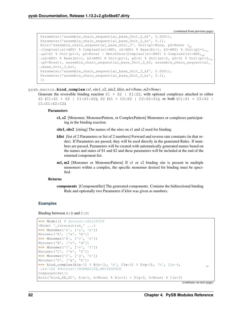```
Parameter('assemble_chain_sequential_base_Unit_2_kf', 0.0001),
Parameter('assemble_chain_sequential_base_Unit_2_kr', 0.1),
Rule('assemble_chain_sequential_base_Unit_3', Unit(p1=None, p2=None) +
˓→Complex1(s1=ANY) % Complex2(s1=ANY, s2=ANY) % Base(b1=1, b2=ANY) % Unit(p1=1,
˓→p2=2) % Unit(p1=2, p2=None) | MatchOnce(Complex1(s1=ANY) % Complex2(s1=ANY,
˓→s2=ANY) % Base(b1=1, b2=ANY) % Unit(p1=1, p2=2) % Unit(p1=2, p2=3) % Unit(p1=3,
˓→p2=None)), assemble_chain_sequential_base_Unit_3_kf, assemble_chain_sequential_
˓→base_Unit_3_kr),
Parameter('assemble_chain_sequential_base_Unit_3_kf', 0.0001),
Parameter('assemble_chain_sequential_base_Unit_3_kr', 0.1),
])
```
pysb.macros.**bind\_complex**(*s1*, *site1*, *s2*, *site2*, *klist*, *m1=None*, *m2=None*)

```
Generate the reversible binding reaction S1 + S2 | S1: S2, with optional complexes attached to either
S1 (C1:S1 + S2 | C1:S1:S2), S2 (S1 + C2:S2 | C2:S2:S1), or both (C1:S1 + C2:S2 |
C1:S1:S2:C2).
```
## Parameters

- s1, s2 [Monomer, MonomerPattern, or ComplexPattern] Monomers or complexes participating in the binding reaction.
- site1, site2 [string] The names of the sites on s1 and s2 used for binding.
- klist [list of 2 Parameters or list of 2 numbers] Forward and reverse rate constants (in that order). If Parameters are passed, they will be used directly in the generated Rules. If numbers are passed, Parameters will be created with automatically generated names based on the names and states of S1 and S2 and these parameters will be included at the end of the returned component list.
- m1, m2 [Monomer or MonomerPattern] If s1 or s2 binding site is present in multiple monomers within a complex, the specific monomer desired for binding must be specified.

#### Returns

components [ComponentSet] The generated components. Contains the bidirectional binding Rule and optionally two Parameters if klist was given as numbers.

## **Examples**

Binding between  $A:B$  and  $C:D$ :

```
>>> Model() # doctest:+ELLIPSIS
<Model '_interactive_' ...>
>>> Monomer('A', ['a', 'b'])
Monomer('A', ['a', 'b'])
>>> Monomer('B', ['c', 'd'])
Monomer('B', ['c', 'd'])
>>> Monomer('C', ['e', 'f'])
Monomer('C', ['e', 'f'])
>>> Monomer('D', ['g', 'h'])
Monomer('D', ['g', 'h'])
>>> bind_complex(A(a=1) % B(c=1), 'b', C(e=2) % D(q=2), 'h', [1e-4,
˓→1e-1]) #doctest:+NORMALIZE_WHITESPACE
ComponentSet([
Rule('bind_AB_DC', A(a=1, b=None) % B(c=1) + D(g=3, h=None) % C(e=3)
```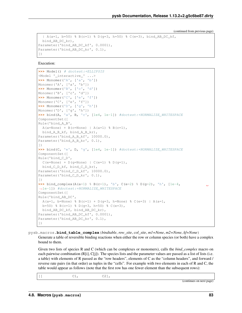```
| A(a=1, b=50) \text{ } & B(c=1) \text{ } & D(q=3, h=50) \text{ } & C(e=3), \text{ bind } ABDCkf,bind_AB_DC_kr),
Parameter('bind_AB_DC_kf', 0.0001),
Parameter('bind_AB_DC_kr', 0.1),
])
```
Execution:

```
>>> Model() # doctest:+ELLIPSIS
<Model '_interactive_' ...>
>>> Monomer('A', ['a', 'b'])
Monomer('A', ['a', 'b'])
>>> Monomer('B', ['c', 'd'])
Monomer('B', ['c', 'd'])
>>> Monomer('C', ['e', 'f'])
Monomer('C', ['e', 'f'])
>>> Monomer('D', ['g', 'h'])
Monomer('D', ['g', 'h'])
>>> bind(A, 'a', B, 'c', [1e4, 1e-1]) #doctest:+NORMALIZE_WHITESPACE
ComponentSet([
Rule('bind_A_B',
A(a=None) + B(c=None) + A(a=1) % B(c=1),
bind_A_B_kf, bind_A_B_kr),
Parameter('bind_A_B_kf', 10000.0),
Parameter('bind_A_B_kr', 0.1),
])
>>> bind(C, 'e', D, 'g', [1e4, 1e-1]) #doctest:+NORMALIZE_WHITESPACE
ComponentSet([
Rule('bind_C_D',
 C(e=None) + D(q=None) + C(e=1) % D(q=1),
 bind_C_D_kf, bind_C_D_kr),
Parameter('bind_C_D_kf', 10000.0),
Parameter('bind_C_D_kr', 0.1),
])
>>> bind_complex(A(a=1) % B(c=1), 'b', C(e=2) % D(g=2), 'h', [1e-4,
˓→1e-1]) #doctest:+NORMALIZE_WHITESPACE
ComponentSet([
Rule('bind_AB_DC',
 A(a=1, b=None) % B(c=1) + D(q=3, h=None) % C(e=3) | A(a=1,
b=50) % B(c=1) % D(q=3, h=50) % C(e=3),
bind_AB_DC_kf, bind_AB_DC_kr),
Parameter('bind_AB_DC_kf', 0.0001),
Parameter('bind_AB_DC_kr', 0.1),
])
```
pysb.macros.**bind\_table\_complex**(*bindtable*, *row\_site*, *col\_site*, *m1=None*, *m2=None*, *kf=None*) Generate a table of reversible binding reactions when either the row or column species (or both) have a complex bound to them.

Given two lists of species R and C (which can be complexes or monomers), calls the *bind\_complex* macro on each pairwise combination  $(R[i], C[j])$ . The species lists and the parameter values are passed as a list of lists (i.e. a table) with elements of R passed as the "row headers", elements of C as the "column headers", and forward / reverse rate pairs (in that order) as tuples in the "cells". For example with two elements in each of R and C, the table would appear as follows (note that the first row has one fewer element than the subsequent rows):

|  | ິ | ◡<br>. . |                              |
|--|---|----------|------------------------------|
|  |   |          | `page,<br>(continues on next |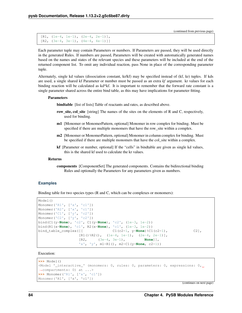```
[R1, (1e-4, 1e-1), (2e-4, 2e-1)],[R2, (3e-4, 3e-1), (4e-4, 4e-1)]
```
Each parameter tuple may contain Parameters or numbers. If Parameters are passed, they will be used directly in the generated Rules. If numbers are passed, Parameters will be created with automatically generated names based on the names and states of the relevant species and these parameters will be included at the end of the returned component list. To omit any individual reaction, pass None in place of the corresponding parameter tuple.

Alternately, single kd values (dissociation constant, kr/kf) may be specified instead of (kf, kr) tuples. If kds are used, a single shared kf Parameter or number must be passed as an extra *kf* argument. kr values for each binding reaction will be calculated as kd\*kf. It is important to remember that the forward rate constant is a single parameter shared across the entire bind table, as this may have implications for parameter fitting.

### Parameters

bindtable [list of lists] Table of reactants and rates, as described above.

- row\_site, col\_site [string] The names of the sites on the elements of R and C, respectively, used for binding.
- m1 [Monomer or MonomerPattern, optional] Monomer in row complex for binding. Must be specified if there are multiple monomers that have the row\_site within a complex.
- m2 [Monomer or MonomerPattern, optional] Monomer in column complex for binding. Must be specified if there are multiple monomers that have the col\_site within a complex.
- kf [Parameter or number, optional] If the "cells" in bindtable are given as single kd values, this is the shared kf used to calculate the kr values.

#### Returns

components [ComponentSet] The generated components. Contains the bidirectional binding Rules and optionally the Parameters for any parameters given as numbers.

## **Examples**

Binding table for two species types (R and C, which can be complexes or monomers):

```
Model()
Monomer('R1', ['x', 'c1'])
Monomer('R2', ['x', 'c1'])
Monomer('C1', ['y', 'c2'])
Monomer('C2', ['y', 'c2'])
bind(C1(y=None), 'c2', C1(y=None), 'c2', (1e-3, 1e-2))
bind(R1(x=None), 'c1', R2(x=None), 'c1', (1e-3, 1e-2))
bind_table_complex([[ C1(c2=1, y=None)%C1(c2=1), C2],
                  [R1() % R2(), (1e-4, 1e-1), (2e-4, 2e-1)][R2, (3e-4, 3e-1), None]],
                  'x', 'y', m1=R1(), m2=C1(y=None, c2=1))
```
Execution:

```
>>> Model()
<Model '_interactive_' (monomers: 0, rules: 0, parameters: 0, expressions: 0,
˓→compartments: 0) at ...>
>>> Monomer('R1', ['x', 'c1'])
Monomer('R1', ['x', 'c1'])
```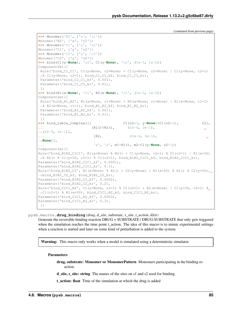```
(continued from previous page)
```

```
>>> Monomer('R2', ['x', 'c1'])
Monomer('R2', ['x', 'c1'])
>>> Monomer('C1', ['y', 'c2'])
Monomer('C1', ['y', 'c2'])
>>> Monomer('C2', ['y', 'c2'])
Monomer('C2', ['y', 'c2'])
>>> bind(C1(y=None), 'c2', C1(y=None), 'c2', (1e-3, 1e-2))
ComponentSet([
Rule('bind_C1_C1', C1(y=None, c2=None) + C1(y=None, c2=None) | C1(y=None, c2=1)
˓→% C1(y=None, c2=1), bind_C1_C1_kf, bind_C1_C1_kr),
Parameter('bind_C1_C1_kf', 0.001),
Parameter('bind_C1_C1_kr', 0.01),
])
>>> bind(R1(x=None), 'c1', R2(x=None), 'c1', (1e-3, 1e-2))
ComponentSet([
Rule('bind_R1_R2', R1(x=None, c1=None) + R2(x=None, c1=None) | R1(x=None, c1=1)
˓→% R2(x=None, c1=1), bind_R1_R2_kf, bind_R1_R2_kr),
Parameter('bind_R1_R2_kf', 0.001),
Parameter('bind_R1_R2_kr', 0.01),
])
>>> bind_table_complex([[ C1(c2=1, y=None)%C1(c2=1), C2],
... [RI() % R2(), 1e-4, 1e-1),\mathbf{L}\leftrightarrow(2e-4, 2e-1)],
... [R2, (3e-4, 3e-1),
˓→None]],
... 'x', 'y', m1=R1(), m2=C1(y=None, c2=1))
ComponentSet([
Rule('bind R1R2 C1C1', R1(x=None) % R2() + C1(y=None, c2=1) % C1(c2=1) | R1(x=50)
\rightarrow R2() % C1(y=50, c2=1) % C1(c2=1), bind_R1R2_C1C1_kf, bind_R1R2_C1C1_kr),
Parameter('bind_R1R2_C1C1_kf', 0.0001),
Parameter('bind_R1R2_C1C1_kr', 0.1),
Rule('bind_R1R2_C2', R1(x=None) % R2() + C2(y=None) | R1(x=50) % R2() % C2(y=50),
˓→bind_R1R2_C2_kf, bind_R1R2_C2_kr),
Parameter('bind_R1R2_C2_kf', 0.0002),
Parameter('bind_R1R2_C2_kr', 0.2),
Rule('bind_C1C1_R2', C1(y=None, c2=1) % C1(c2=1) + R2(x=None) | C1(y=50, c2=1) %
˓→C1(c2=1) % R2(x=50), bind_C1C1_R2_kf, bind_C1C1_R2_kr),
Parameter('bind_C1C1_R2_kf', 0.0003),
Parameter('bind_C1C1_R2_kr', 0.3),
])
```
pysb.macros.**drug\_binding**(*drug*, *d\_site*, *substrate*, *s\_site*, *t\_action*, *klist*)

Generate the reversible binding reaction DRUG + SUBSTRATE | DRUG:SUBSTRATE that only gets triggered when the simulation reaches the time point  $t$  action. The idea of this macro is to mimic experimental settings when a reaction is started and later on some kind of perturbation is added to the system.

**Warning:** This macro only works when a model is simulated using a deterministic simulator.

#### **Parameters**

drug, substrate: Monomer or MonomerPattern Monomers participating in the binding reaction.

d\_site, s\_site: string The names of the sites on s1 and s2 used for binding.

t action: float Time of the simulation at which the drug is added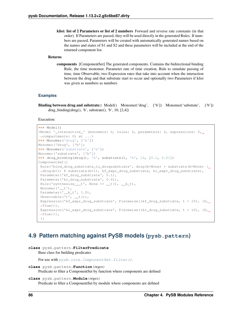klist: list of 2 Parameters or list of 2 numbers Forward and reverse rate constants (in that order). If Parameters are passed, they will be used directly in the generated Rules. If numbers are passed, Parameters will be created with automatically generated names based on the names and states of S1 and S2 and these parameters will be included at the end of the returned component list.

## Returns

components [ComponentSet] The generated components. Contains the bidirectional binding Rule, the time monomer, Parameter rate of time creation, Rule to simulate passing of time, time Observable, two Expression rates that take into account when the interaction between the drug and that substrate start to occur and optionally two Parameters if klist was given as numbers as numbers

## **Examples**

Binding between drug and substrate:: Model() Monomer('drug', ['b']) Monomer('substrate', ['b']) drug\_binding(drug(), 'b', substrate(), 'b',  $10$ ,  $[2,4]$ )

## Execution:

```
>>> Model()
<Model '_interactive_' (monomers: 0, rules: 0, parameters: 0, expressions: 0,
˓→compartments: 0) at ...>
>>> Monomer('drug', ['b'])
Monomer('drug', ['b'])
>>> Monomer('substrate', ['b'])
Monomer('substrate', ['b'])
>>> drug_binding(drug(), 'b', substrate(), 'b', 10, [0.1, 0.01])
ComponentSet([
Rule('bind_drug_substrate_to_drugsubstrate', drug(b=None) + substrate(b=None) |
˓→drug(b=1) % substrate(b=1), kf_expr_drug_substrate, kr_expr_drug_substrate),
 Parameter('kf_drug_substrate', 0.1),
 Parameter('kr_drug_substrate', 0.01),
 Rule('synthesize___t', None >> __t(), __k_t),
 Monomer('__t'),
 Parameter('__k_t', 1.0),
 Observable('t', __t()),
 Expression('kf_expr_drug_substrate', Piecewise((kf_drug_substrate, t > 10), (0,
\rightarrowTrue))),
 Expression('kr_expr_drug_substrate', Piecewise((kr_drug_substrate, t > 10), (0,\rightarrowTrue))),
 ])
```
# **4.9 Pattern matching against PySB models (pysb.pattern)**

```
class pysb.pattern.FilterPredicate
    Base class for building predicates
    For use with pysb.core.ComponentSet.fiter().
```

```
class pysb.pattern.Function(regex)
     Predicate to filter a ComponentSet by function where components are defined
```

```
class pysb.pattern.Module(regex)
     Predicate to filter a ComponentSet by module where components are defined
```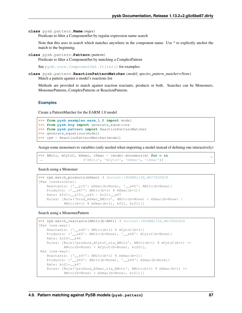```
class pysb.pattern.Name(regex)
```
Predicate to filter a ComponentSet by regular expression name search

Note that this uses re.search which matches anywhere in the component name. Use  $\wedge$  to explicitly anchor the match to the beginning.

```
class pysb.pattern.Pattern(pattern)
```
Predicate to filter a ComponentSet by matching a ComplexPattern

See [pysb.core.ComponentSet.filter\(\)](#page-34-0) for examples.

**class** pysb.pattern.**ReactionPatternMatcher**(*model*, *species\_pattern\_matcher=None*) Match a pattern against a model's reactions list

Methods are provided to match against reaction reactants, products or both. Searches can be Monomers, MonomerPatterns, ComplexPatterns or ReactionPatterns.

## **Examples**

Create a PatternMatcher for the EARM 1.0 model

```
>>> from pysb.examples.earm_1_0 import model
>>> from pysb.bng import generate_equations
>>> from pysb.pattern import ReactionPatternMatcher
>>> generate_equations(model)
>>> rpm = ReactionPatternMatcher(model)
```
Assign some monomers to variables (only needed when importing a model instead of defining one interactively)

**>>>** AMito, mCytoC, mSmac, cSmac = [model.monomers[m] **for** m **in** ('AMito', 'mCytoC', 'mSmac', 'cSmac')]

Search using a Monomer

```
>>> rpm.match_products(mSmac) # doctest:+NORMALIZE_WHITESPACE
[Rxn (reversible):
   Reactants: {'__s15': mSmac(b=None), '__s45': AMito(b=None)}
   Products: {'__s47': AMito(b=1) % mSmac(b=1) }
   Rate: kf21*__s15*__s45 - kr21*__s47
   Rules: [Rule('bind_mSmac_AMito', AMito(b=None) + mSmac(b=None) |
           AMito(b=1) % mSmac(b=1), kf21, kr21)]]
```
Search using a MonomerPattern

```
>>> rpm.match_reactants(AMito(b=ANY)) # doctest:+NORMALIZE_WHITESPACE
[Rxn (one-way):
   Reactants: {'__s46': AMito(b=1) % mCytoC(b=1) }
   Products: {'__s45': AMito(b=None), '__s48': ACytoC(b=None)}
   Rate: kc20*__s46
   Rules: [Rule('produce_ACytoC_via_AMito', AMito(b=1) % mCytoC(b=1) >>
           AMito(b=None) + ACytoC(b=None), kc20)],
Rxn (one-way):
   Reactants: \{ ' s47': AMito(b=1) % mSmac(b=1) }
   Products: {'__s45': AMito(b=None), '__s49': ASmac(b=None)}
   Rate: kc21*__s47
   Rules: [Rule('produce_ASmac_via_AMito', AMito(b=1) % mSmac(b=1) >>
           AMito(b=None) + ASmac(b=None), kc21)]]
```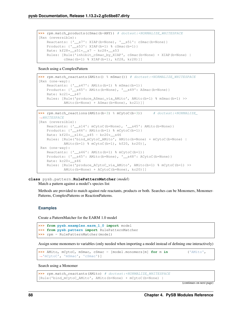```
>>> rpm.match_products(cSmac(b=ANY)) # doctest:+NORMALIZE_WHITESPACE
[Rxn (reversible):
   Reactants: {'__s7': XIAP(b=None), '__s51': cSmac(b=None)}
   Products: {'__s53': XIAP(b=1) % cSmac(b=1)}
   Rate: kf28*__s51*__s7 - kr28*__s53
   Rules: [Rule('inhibit_cSmac_by_XIAP', cSmac(b=None) + XIAP(b=None) |
           cSmac(b=1) % XIAP(b=1), kf28, kr28)]]
```
Search using a ComplexPattern

```
>>> rpm.match_reactants(AMito() % mSmac()) # doctest:+NORMALIZE_WHITESPACE
[Rxn (one-way):
   Reactants: {'__s47': AMito(b=1) % mSmac(b=1) }
   Products: {'__s45': AMito(b=None), '__s49': ASmac(b=None)}
   Rate: kc21*__s47
   Rules: [Rule('produce_ASmac_via_AMito', AMito(b=1) % mSmac(b=1) >>
           AMito(b=None) + ASmac(b=None), kc21)]]
```

```
>>> rpm.match_reactions(AMito(b=3) % mCytoC(b=3)) # doctest:+NORMALIZE_
˓→WHITESPACE
[Rxn (reversible):
   Reactants: \{\_\_s14\}: mCytoC(b=None), \_\_s45\}: AMito(b=None)}
   Products: {'__s46': AMito(b=1) % mCytoC(b=1) }
   Rate: kf20*__s14*__s45 - kr20*__s46
   Rules: [Rule('bind_mCytoC_AMito', AMito(b=None) + mCytoC(b=None) |
           AMito(b=1) % mCytoC(b=1), kf20, kr20)],
Rxn (one-way):
   Reactants: {'__s46': AMito(b=1) % mCytoC(b=1) }
   Products: {'__s45': AMito(b=None), '__s48': ACytoC(b=None)}
   Rate: kc20*__s46
   Rules: [Rule('produce_ACytoC_via_AMito', AMito(b=1) % mCytoC(b=1) >>
            AMito(b=None) + ACytoC(b=None), kc20)]]
```
**class** pysb.pattern.**RulePatternMatcher**(*model*)

Match a pattern against a model's species list

Methods are provided to match against rule reactants, products or both. Searches can be Monomers, Monomer-Patterns, ComplexPatterns or ReactionPatterns.

#### **Examples**

Create a PatternMatcher for the EARM 1.0 model

```
>>> from pysb.examples.earm_1_0 import model
>>> from pysb.pattern import RulePatternMatcher
>>> rpm = RulePatternMatcher(model)
```
Assign some monomers to variables (only needed when importing a model instead of defining one interactively)

```
>>> AMito, mCytoC, mSmac, cSmac = [model.monomers[m] for m in ('AMito',
˓→'mCytoC', 'mSmac', 'cSmac')]
```
Search using a Monomer

```
>>> rpm.match_reactants(AMito) # doctest:+NORMALIZE_WHITESPACE
[Rule('bind_mCytoC_AMito', AMito(b=None) + mCytoC(b=None) |
```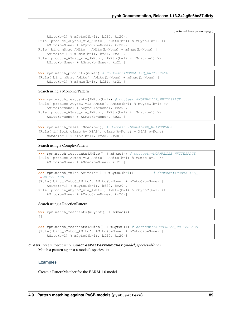```
AMito(b=1) % mCytoC(b=1), kf20, kr20),
Rule('produce_ACytoC_via_AMito', AMito(b=1) % mCytoC(b=1) >>
   AMito(b=None) + ACytoC(b=None), kc20),
Rule('bind_mSmac_AMito', AMito(b=None) + mSmac(b=None) |
   AMito(b=1) % mSmac(b=1), kf21, kr21),
Rule('produce_ASmac_via_AMito', AMito(b=1) % mSmac(b=1) >>
   AMito(b=None) + ASmac(b=None), kc21)]
```

```
>>> rpm.match_products(mSmac) # doctest:+NORMALIZE_WHITESPACE
[Rule('bind_mSmac_AMito', AMito(b=None) + mSmac(b=None) |
   AMito(b=1) % mSmac(b=1), kf21, kr21)]
```
Search using a MonomerPattern

```
>>> rpm.match_reactants(AMito(b=1)) # doctest:+NORMALIZE_WHITESPACE
[Rule('produce_ACytoC_via_AMito', AMito(b=1) % mCytoC(b=1) >>
   AMito(b=None) + ACytoC(b=None), kc20),
Rule('produce_ASmac_via_AMito', AMito(b=1) % mSmac(b=1) >>
   AMito(b=None) + ASmac(b=None), kc21)]
```

```
>>> rpm.match_rules(cSmac(b=1)) # doctest:+NORMALIZE_WHITESPACE
[Rule('inhibit_cSmac_by_XIAP', cSmac(b=None) + XIAP(b=None) |
   cSmac(b=1) % XIAP(b=1), kf28, kr28)]
```
Search using a ComplexPattern

```
>>> rpm.match_reactants(AMito() % mSmac()) # doctest:+NORMALIZE_WHITESPACE
[Rule('produce_ASmac_via_AMito', AMito(b=1) % mSmac(b=1) >>
   AMito(b=None) + ASmac(b=None), kc21)]
```

```
>>> rpm.match_rules(AMito(b=1) % mCytoC(b=1)) # doctest:+NORMALIZE_
ightharpoonupWHITESPACE
[Rule('bind_mCytoC_AMito', AMito(b=None) + mCytoC(b=None) |
   AMito(b=1) % mCytoC(b=1), kf20, kr20),
Rule('produce_ACytoC_via_AMito', AMito(b=1) % mCytoC(b=1) >>
    AMito(b=None) + ACytoC(b=None), kc20)]
```
Search using a ReactionPattern

```
>>> rpm.match_reactants(mCytoC() + mSmac())
[]
```

```
>>> rpm.match_reactants(AMito() + mCytoC()) # doctest:+NORMALIZE_WHITESPACE
[Rule('bind_mCytoC_AMito', AMito(b=None) + mCytoC(b=None) |
   AMito(b=1) % mCytoC(b=1), kf20, kr20)]
```
**class** pysb.pattern.**SpeciesPatternMatcher**(*model*, *species=None*) Match a pattern against a model's species list

## **Examples**

Create a PatternMatcher for the EARM 1.0 model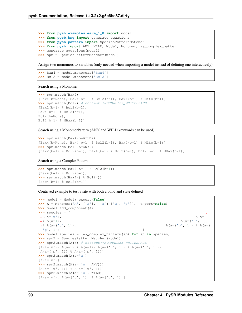```
>>> from pysb.examples.earm_1_0 import model
>>> from pysb.bng import generate_equations
>>> from pysb.pattern import SpeciesPatternMatcher
>>> from pysb import ANY, WILD, Model, Monomer, as_complex_pattern
>>> generate_equations(model)
>>> spm = SpeciesPatternMatcher(model)
```
Assign two monomers to variables (only needed when importing a model instead of defining one interactively)

```
>>> Bax4 = model.monomers['Bax4']
>>> Bcl2 = model.monomers['Bcl2']
```
Search using a Monomer

```
>>> spm.match(Bax4)
[Bax4(b=None), Bax4(b=1) % Bcl2(b=1), Bax4(b=1) % Mito(b=1)]>>> spm.match(Bcl2) # doctest: +NORMALIZE_WHITESPACE
[Back2(b=1) % Bcl2(b=1),]Bax4(b=1) % Bcl2(b=1),
Bcl2(b=None),
Bcl2(b=1) % MBax(b=1)]
```
Search using a MonomerPattern (ANY and WILD keywords can be used)

```
>>> spm.match(Bax4(b=WILD))
[Bax4(b=None), Bax4(b=1) % Bcl2(b=1), Bax4(b=1) % Mito(b=1)]
>>> spm.match(Bcl2(b=ANY))
[Bax2(b=1) % Bcl2(b=1), Bax4(b=1) % Bcl2(b=1), Bcl2(b=1) % MBax(b=1)]
```
#### Search using a ComplexPattern

```
>>> spm.match(Bax4(b=1) % Bcl2(b=1))
[Bax4(b=1) % Bcl2(b=1)]
>>> spm.match(Bax4() % Bcl2())
[Bax4(b=1) % Bcl2(b=1)]
```
Contrived example to test a site with both a bond and state defined

```
>>> model = Model(_export=False)
>>> A = Monomer('A', ['a'], {'a': ['u', 'p']}, _export=False)
>>> model.add_component(A)
>>> species = [
\rightarrowA(a='u'), A(a=1)
\rightarrow A(a=('u', 1)) A(a=('u', 1))
\rightarrow A(a=('v', 1)), A(a=('v', 1)) \rightarrow A(a=('v', 1)) \rightarrow A(a=()v', 1)\rightarrow'p', 1)) \qquad \qquad>>> model.species = [as_complex_pattern(sp) for sp in species]
>>> spm2 = SpeciesPatternMatcher(model)
>>> spm2.match(A()) # doctest:+NORMALIZE_WHITESPACE
[A(a='u'), A(a=1) \& A(a=1), A(a='u', 1)) \& A(a='u', 1)),A(a=('p', 1)) % A(a=('p', 1))]
>>> spm2.match(A(a='u'))
[A(a='u')]>>> spm2.match(A(a=('u', ANY)))
[A(a=('u', 1)) \ A(a=('u', 1))]>>> spm2.match(A(a=('u', WILD)))
[A(a='u'); A(a=(-'u', 1)) % A(a=(-'u', 1))]
```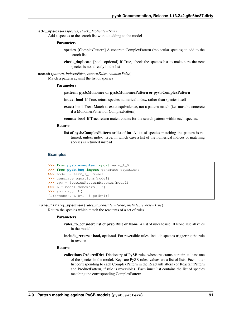**add\_species**(*species*, *check\_duplicate=True*)

Add a species to the search list without adding to the model

#### Parameters

- species [ComplexPattern] A concrete ComplexPattern (molecular species) to add to the search list
- check\_duplicate [bool, optional] If True, check the species list to make sure the new species is not already in the list

**match**(*pattern*, *index=False*, *exact=False*, *counts=False*) Match a pattern against the list of species

#### Parameters

#### pattern: pysb.Monomer or pysb.MonomerPattern or pysb.ComplexPattern

- index: bool If True, return species numerical index, rather than species itself
- exact: bool Treat Match as exact equivalence, not a pattern match (i.e. must be concrete if a MonomerPattern or ComplexPattern)
- counts: bool If True, return match counts for the search pattern within each species.

#### Returns

list of pysb.ComplexPattern or list of int A list of species matching the pattern is returned, unless index=True, in which case a list of the numerical indices of matching species is returned instead

## **Examples**

```
>>> from pysb.examples import earm_1_0
>>> from pysb.bng import generate_equations
>>> model = earm_1_0.model
>>> generate_equations(model)
>>> spm = SpeciesPatternMatcher(model)
>>> L = model.monomers['L']
>>> spm.match(L())
[L(b=None), L(b=1) \ pR(b=1)]
```
**rule\_firing\_species**(*rules\_to\_consider=None*, *include\_reverse=True*) Return the species which match the reactants of a set of rules

#### Parameters

- rules\_to\_consider: list of pysb.Rule or None A list of rules to use. If None, use all rules in the model.
- include reverse: bool, optional For reversible rules, include species triggering the rule in reverse

## Returns

collections.OrderedDict Dictionary of PySB rules whose reactants contain at least one of the species in the model. Keys are PySB rules, values are a list of lists. Each outer list corresponding to each ComplexPattern in the ReactantPattern (or ReactantPattern and ProductPattern, if rule is reversible). Each inner list contains the list of species matching the corresponding ComplexPattern.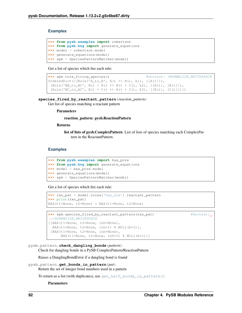## **Examples**

```
>>> from pysb.examples import robertson
>>> from pysb.bng import generate_equations
>>> model = robertson.model
>>> generate_equations(model)
>>> spm = SpeciesPatternMatcher(model)
```
Get a list of species which fire each rule:

```
>>> spm.rule_firing_species() \# doctest: +NORMALIZE\_WHITESPACEOrderedDict([(Rule('A_to_B', A() >> B(), k1), [[A()]]),
 (Rule('BB_to_BC', B() + B() >> B() + C(), k2), [[B()], [B()]]),(Rule('BC_to_AC', B() + C() >> A() + C(), k3), [[B()], [C()]])])
```
#### **species\_fired\_by\_reactant\_pattern**(*reaction\_pattern*)

Get list of species matching a reactant pattern

#### Parameters

#### reaction\_pattern: pysb.ReactionPattern

#### Returns

list of lists of pysb.ComplexPattern List of lists of species matching each ComplexPattern in the ReactantPattern.

## **Examples**

```
>>> from pysb.examples import bax_pore
>>> from pysb.bng import generate_equations
>>> model = bax_pore.model
>>> generate_equations(model)
>>> spm = SpeciesPatternMatcher(model)
```
Get a list of species which fire each rule:

```
>>> rxn_pat = model.rules['bax_dim'].reactant_pattern
>>> print(rxn_pat)
BAX(t1=None, t2=None) + BAX(t1=None, t2=None)
```

```
>>> spm.species_fired_by_reactant_pattern(rxn_pat) #doctest:
˓→+NORMALIZE_WHITESPACE
[[BAX(t1=None, t2=None, inh=None),
 BAX(t1=None, t2=None, inh=1) % MCL1(b=1)],
 [BAX(t1=None, t2=None, inh=None),
     BAX(t1=None, t2=None, inh=1) % MCL1(b=1)]]
```
pysb.pattern.**check\_dangling\_bonds**(*pattern*)

Check for dangling bonds in a PySB ComplexPattern/ReactionPattern

Raises a DanglingBondError if a dangling bond is found

```
pysb.pattern.get_bonds_in_pattern(pat)
```
Return the set of integer bond numbers used in a pattern

To return as a list (with duplicates), use  $get\_half\_bonds_in\_pattern()$ 

Parameters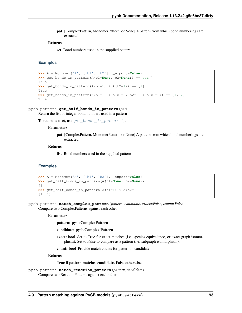pat [ComplexPattern, MonomerPattern, or None] A pattern from which bond numberings are extracted

## Returns

set Bond numbers used in the supplied pattern

## **Examples**

```
>>> A = Monomer('A', ['b1', 'b2'], _export=False)
>>> get_bonds_in_pattern(A(b1=None, b2=None)) == set()
True
>>> get_bonds_in_pattern(A(b1=1) % A(b2=1)) == {1}
True
>>> get_bonds_in_pattern(A(b1=1) % A(b1=2, b2=1) % A(b1=2)) == \{1, 2\}True
```
## <span id="page-96-0"></span>pysb.pattern.**get\_half\_bonds\_in\_pattern**(*pat*)

Return the list of integer bond numbers used in a pattern

To return as a set, use [get\\_bonds\\_in\\_pattern\(\)](#page-95-0).

#### **Parameters**

pat [ComplexPattern, MonomerPattern, or None] A pattern from which bond numberings are extracted

## Returns

list Bond numbers used in the supplied pattern

#### **Examples**

```
>>> A = Monomer('A', ['b1', 'b2'], _export=False)
>>> get_half_bonds_in_pattern(A(b1=None, b2=None))
[]
>>> get half bonds in pattern(A(b1=1) % A(b2=1))[1, 1]
```
pysb.pattern.**match\_complex\_pattern**(*pattern*, *candidate*, *exact=False*, *count=False*) Compare two ComplexPatterns against each other

#### Parameters

pattern: pysb.ComplexPattern

## candidate: pysb.Complex.Pattern

exact: bool Set to True for exact matches (i.e. species equivalence, or exact graph isomorphism). Set to False to compare as a pattern (i.e. subgraph isomorphism).

count: bool Provide match counts for pattern in candidate

### Returns

#### True if pattern matches candidate, False otherwise

```
pysb.pattern.match_reaction_pattern(pattern, candidate)
     Compare two ReactionPatterns against each other
```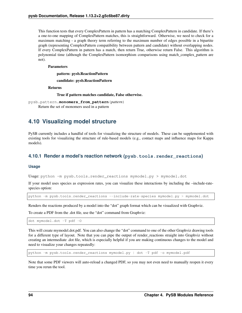This function tests that every ComplexPattern in pattern has a matching ComplexPattern in candidate. If there's a one-to-one mapping of ComplexPattern matches, this is straightforward. Otherwise, we need to check for a maximum matching - a graph theory term referring to the maximum number of edges possible in a bipartite graph (representing ComplexPattern compatibility between pattern and candidate) without overlapping nodes. If every ComplexPattern in pattern has a match, then return True, otherwise return False. This algorithm is polynomial time (although the ComplexPattern isomorphism comparisons using match\_complex\_pattern are not).

### Parameters

pattern: pysb.ReactionPattern

candidate: pysb.ReactionPattern

Returns

True if pattern matches candidate, False otherwise.

```
pysb.pattern.monomers_from_pattern(pattern)
     Return the set of monomers used in a pattern
```
# **4.10 Visualizing model structure**

PySB currently includes a handful of tools for visualizing the structure of models. These can be supplemented with existing tools for visualizing the structure of rule-based models (e.g., contact maps and influence maps for Kappa models).

# **4.10.1 Render a model's reaction network (pysb.tools.render\_reactions)**

## **Usage**

Usage: python -m pysb.tools.render\_reactions mymodel.py > mymodel.dot

If your model uses species as expression rates, you can visualize these interactions by including the –include-ratespecies option:

python -m pysb.tools.render\_reactions --include-rate-species mymodel.py > mymodel.dot

Renders the reactions produced by a model into the "dot" graph format which can be visualized with Graphviz.

To create a PDF from the .dot file, use the "dot" command from Graphviz:

dot mymodel.dot -T pdf -O

This will create mymodel.dot.pdf. You can also change the "dot" command to one of the other Graphviz drawing tools for a different type of layout. Note that you can pipe the output of render\_reactions straight into Graphviz without creating an intermediate .dot file, which is especially helpful if you are making continuous changes to the model and need to visualize your changes repeatedly:

python -m pysb.tools.render\_reactions mymodel.py | dot -T pdf -o mymodel.pdf

Note that some PDF viewers will auto-reload a changed PDF, so you may not even need to manually reopen it every time you rerun the tool.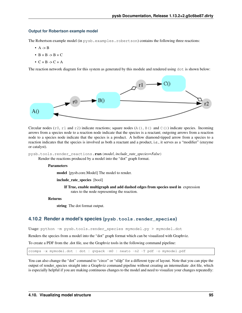## **Output for Robertson example model**

The Robertson example model (in pysb.examples.robertson) contains the following three reactions:

- $\bullet$  A -> B
- $\bullet$  B + B -> B + C
- $\bullet$  C + B -> C + A

The reaction network diagram for this system as generated by this module and rendered using dot is shown below:



Circular nodes ( $r0$ ,  $r1$  and  $r2$ ) indicate reactions; square nodes (A(), B() and C()) indicate species. Incoming arrows from a species node to a reaction node indicate that the species is a reactant; outgoing arrows from a reaction node to a species node indicate that the species is a product. A hollow diamond-tipped arrow from a species to a reaction indicates that the species is involved as both a reactant and a product, i.e., it serves as a "modifier" (enzyme or catalyst).

pysb.tools.render\_reactions.**run**(*model*, *include\_rate\_species=False*) Render the reactions produced by a model into the "dot" graph format.

#### **Parameters**

model [pysb.core.Model] The model to render.

include\_rate\_species [bool]

If True, enable multigraph and add dashed edges from species used in expression rates to the node representing the reaction.

#### Returns

string The dot format output.

# **4.10.2 Render a model's species (pysb.tools.render\_species)**

Usage: python -m pysb.tools.render\_species mymodel.py > mymodel.dot

Renders the species from a model into the "dot" graph format which can be visualized with Graphviz.

To create a PDF from the .dot file, use the Graphviz tools in the following command pipeline:

ccomps -x mymodel.dot | dot | gvpack -m0 | neato -n2 -T pdf -o mymodel.pdf

You can also change the "dot" command to "circo" or "sfdp" for a different type of layout. Note that you can pipe the output of render\_species straight into a Graphviz command pipeline without creating an intermediate .dot file, which is especially helpful if you are making continuous changes to the model and need to visualize your changes repeatedly: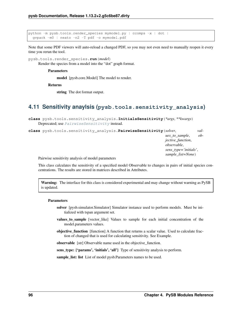```
python -m pysb.tools.render_species mymodel.py | ccomps -x | dot |
 gvpack -m0 | neato -n2 -T pdf -o mymodel.pdf
```
Note that some PDF viewers will auto-reload a changed PDF, so you may not even need to manually reopen it every time you rerun the tool.

pysb.tools.render\_species.**run**(*model*)

Render the species from a model into the "dot" graph format.

## Parameters

model [pysb.core.Model] The model to render.

Returns

string The dot format output.

# **4.11 Sensitivity anaylsis (pysb.tools.sensitivity\_analysis)**

```
class pysb.tools.sensitivity_analysis.InitialsSensitivity(*args, **kwargs)
    Deprecated; use PairwiseSensitivity instead.
```
<span id="page-99-0"></span>**class** pysb.tools.sensitivity\_analysis.**PairwiseSensitivity**(*solver*, *val-*

*ues\_to\_sample*, *ob-*

*jective\_function*, *observable*, *sens\_type='initials'*, *sample\_list=None*)

Pairwise sensitivity analysis of model parameters

This class calculates the sensitivity of a specified model Observable to changes in pairs of initial species concentrations. The results are stored in matrices described in Attributes.

Warning: The interface for this class is considered experimental and may change without warning as PySB is updated.

#### **Parameters**

- solver [pysb.simulator.Simulator] Simulator instance used to perform models. Must be initialized with tspan argument set.
- values\_to\_sample [vector\_like] Values to sample for each initial concentration of the model.parameters values.
- objective\_function [function] A function that returns a scalar value. Used to calculate fraction of changed that is used for calculating sensitivity. See Example.

observable [str] Observable name used in the objective\_function.

sens\_type: {'params', 'initials', 'all'} Type of sensitivity analysis to perform.

sample\_list: list List of model pysb.Parameters names to be used.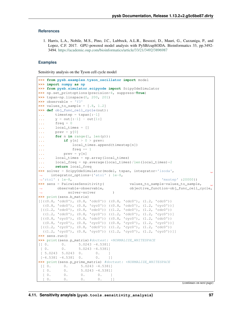## **References**

1. Harris, L.A., Nobile, M.S., Pino, J.C., Lubbock, A.L.R., Besozzi, D., Mauri, G., Cazzaniga, P., and Lopez, C.F. 2017. GPU-powered model analysis with PySB/cupSODA. Bioinformatics 33, pp.3492- 3494. <https://academic.oup.com/bioinformatics/article/33/21/3492/3896987>

## **Examples**

Sensitivity analysis on the Tyson cell cycle model

```
>>> from pysb.examples.tyson_oscillator import model
>>> import numpy as np
>>> from pysb.simulator.scipyode import ScipyOdeSimulator
>>> np.set_printoptions(precision=4, suppress=True)
>>> tspan=np.linspace(0, 200, 201)
>>> observable = 'Y3'
>>> values_to_sample = [.8, 1.2]
>>> def obj_func_cell_cycle(out):
... timestep = tspan[:-1]
... y = out[:-1] - out[1:]
... freq = 0
... local_times = []
... prev = y[0]
\ldots for n in range(1, len(y)):
... if y[n] > 0 > prev:
... local_times.append(timestep[n])
... freq += 1
... prev = y[n]
... local_times = np.array(local_times)
... local_freq = np.average(local_times)/len(local_times) \times 2... return local_freq
>>> solver = ScipyOdeSimulator(model, tspan, integrator='lsoda',
˓→ integrator_options={'atol' : 1e-8,
˓→'rtol' : 1e-8, 'mxstep' :20000})
>>> sens = PairwiseSensitivity( values_to_sample=values_to_sample,
˓→ observable=observable, objective_function=obj_func_cell_cycle,
˓→ solver=solver )
>>> print(sens.b_matrix)
[((0.8, 'cdc0''), (0.8, 'cdc0'')) ((0.8, 'cdc0'), (1.2, 'cdc0'))]((0.8, 'cdc0')', (0.8, 'cyc0')) ((0.8, 'cdc0'))[( (1.2, 'cdc0'), (0.8, 'cdc0')) (1.2, 'cdc0'), (1.2, 'cdc0'))]((1.2, 'cdc0'), (0.8, 'cyc0')) ((1.2, 'cdc0'), (1.2, 'cyc0'))][( (0.8, 'cyc0'), (0.8, 'cdc0')) (0.8, 'cyc0'), (1.2, 'cdc0'))]((0.8, 'cyc0'), (0.8, 'cyc0')) ((0.8, 'cyc0'), (1.2, 'cyc0'))][( (1.2, 'cyc0'), (0.8, 'cdc0')) ( (1.2, 'cyc0'), (1.2, 'cdc0'))]((1.2, 'cyc0'), (0.8, 'cyc0')) ((1.2, 'cyc0'), (1.2, 'cyc0')))]>>> sens.run()
>>> print(sens.p_matrix)#doctest: +NORMALIZE_WHITESPACE
[[ 0. 0. 5.0243 -4.5381]
[0. 0. 5.0243 -4.5381][ 5.0243 5.0243 0. 0. ]
[-4.5381 -4.5381 \quad 0. 0. 1
>>> print(sens.p_prime_matrix) #doctest: +NORMALIZE_WHITESPACE
[[ 0. 0. 5.0243 -4.5381]
 [0, 0, 5, 0243 -4, 5381][ 0. 0. 0. 0. ]
  [0, 0, 0, 0, 0, 1]
```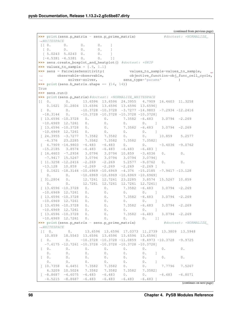(continued from previous page) >>> print(sens.p\_matrix - sens.p\_prime\_matrix) #doctest: +NORMALIZE\_ ˓<sup>→</sup>WHITESPACE  $[$   $[$   $[$   $0.$   $]$   $[$   $]$   $[$   $]$   $[$   $]$   $[$   $]$   $[$   $]$   $[$   $]$   $[$   $]$   $[$   $]$   $[$   $]$   $[$   $]$   $[$   $]$   $[$   $]$   $[$   $]$   $[$   $]$   $[$   $]$   $[$   $]$   $[$   $]$   $[$   $]$   $[$   $]$   $[$   $]$   $[$   $]$   $[$   $]$   $[$   $]$   $[$   $]$   $[$   $]$  [ 0. 0. 0. 0. ]  $[-5.0243 \quad 5.0243 \quad 0.$  0. 1<br> $[-4.5381 \quad -4.5381 \quad 0.$  0. 1  $[-4.5381 -4.5381 \quad 0.$  0. ]] **>>>** sens.create\_boxplot\_and\_heatplot() #doctest: +SKIP  $\rightarrow\rightarrow\rightarrow$  values\_to\_sample =  $[.9, 1.1]$ **>>>** sens = PairwiseSensitivity( values\_to\_sample=values\_to\_sample, ˓<sup>→</sup> observable=observable, objective\_function=obj\_func\_cell\_cycle, ˓<sup>→</sup> solver=solver, sens\_type='params' ) **>>>** print(sens.b\_matrix.shape == (14, 14)) True **>>>** sens.run() **>>>** print(sens.p\_matrix)#doctest: +NORMALIZE\_WHITESPACE [[ 0. 0. 13.6596 13.6596 24.3955 4.7909 16.4603 11.3258 0.1621 31.2804 13.6596 13.6596 13.6596 13.6596]  $[$  0. 0.  $-10.3728 - 10.3728 -3.7277 -14.9803 -7.2934 -12.2416$  $-18.3144$  0.  $-10.3728$   $-10.3728$   $-10.3728$   $-10.3728$ ] [ 13.6596 -10.3728 0. 0. 7.3582 -6.483 3.0794 -2.269  $-10.6969$  12.7261 0. 0. 0. 0. ] [ 13.6596 -10.3728 0. 0. 7.3582 -6.483 3.0794 -2.269  $-10.6969$  12.7261 0. 0. 0. 0. ] [ 24.3955 -3.7277 7.3582 7.3582 0. 0. 10.859 5.2577 -4.376 23.2285 7.3582 7.3582 7.3582 7.3582]  $[$  4.7909 -14.9803 -6.483 -6.483 0. 0. -3.4036 -9.0762  $-15.2185$  3.8574 -6.483 -6.483 -6.483 -6.483 ]  $[16.4603 -7.2934 \quad 3.0794 \quad 3.0794 \quad 10.859 \quad -3.4036 \quad 0.$ -7.9417 15.5267 3.0794 3.0794 3.0794 3.0794]  $[11.3258 -12.2416 -2.269 -2.269 -5.2577 -9.0762 0.$  0.  $-13.128$   $10.859$   $-2.269$   $-2.269$   $-2.269$   $-2.269$  ]  $[$  0.1621 -18.3144 -10.6969 -10.6969 -4.376 -15.2185 -7.9417 -13.128  $0. 0. 0. -10.6969 -10.6969 -10.6969 -10.6969]$ [ 31.2804 0. 12.7261 12.7261 23.2285 3.8574 15.5267 10.859 0. 0. 12.7261 12.7261 12.7261 12.7261] [ 13.6596 -10.3728 0. 0. 7.3582 -6.483 3.0794 -2.269  $-10.6969$  12.7261 0. 0. 0. 0. ] [ 13.6596 -10.3728 0. 0. 7.3582 -6.483 3.0794 -2.269  $-10.6969$  12.7261 0. 0. 0. 0. ] [ 13.6596 -10.3728 0. 0. 7.3582 -6.483 3.0794 -2.269  $-10.6969$  12.7261 0. 0. 0. 0. ] [ 13.6596 -10.3728 0. 0. 7.3582 -6.483 3.0794 -2.269  $-10.6969$  12.7261 0. 0. 0. 0. ] >>> print(sens.p\_matrix - sens.p\_prime\_matrix) #doctest: +NORMALIZE\_ ˓<sup>→</sup>WHITESPACE [[ 0. 0. 13.6596 13.6596 17.0373 11.2739 13.3809 13.5948 10.859 18.5543 13.6596 13.6596 13.6596 13.6596]  $0.$  -10.3728 -10.3728 -11.0859 -8.4973 -10.3728 -9.9725  $-7.6175 -12.7261 -10.3728 -10.3728 -10.3728 -10.3728$ [ 0. 0. 0. 0. 0. 0. 0. 0. 0. 0. 0. 0. 0. 0. <u>]</u> [ 0. 0. 0. 0. 0. 0. 0. 0. 0. 0. 0. 0. 0. 0. <u>]</u> [ 10.7358 6.6451 7.3582 7.3582 0. 0. 7.7796 7.5267 6.3209 10.5024 7.3582 7.3582 7.3582 7.3582]  $[-8.8687 -4.6075 -6.483 -6.483 0. 0. -6.483 -6.8071]$  $-4.5215 -8.8687 -6.483 -6.483 -6.483 -6.483$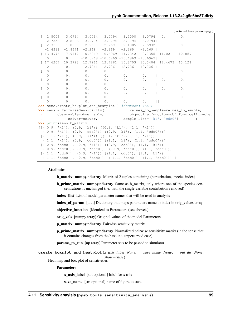| (continued from previous page) |  |  |
|--------------------------------|--|--|

|                                                                  |                                                                                                                         | $[2.8006$ 3.0794 3.0794 3.0794 3.5008 3.0794 0.                                 |  |  |                     |  |                 | $0$ .      |               |  |
|------------------------------------------------------------------|-------------------------------------------------------------------------------------------------------------------------|---------------------------------------------------------------------------------|--|--|---------------------|--|-----------------|------------|---------------|--|
|                                                                  |                                                                                                                         | 2.7553 2.8006 3.0794 3.0794 3.0794 3.0794]                                      |  |  |                     |  |                 |            |               |  |
|                                                                  |                                                                                                                         | $[-2.3339 -1.8688 -2.269 -2.269 -2.1005 -2.5932 0.$                             |  |  |                     |  |                 |            |               |  |
|                                                                  |                                                                                                                         | $-2.4311$ $-1.8671$ $-2.269$ $-2.269$ $-2.269$ $-2.269$ ]                       |  |  |                     |  |                 |            |               |  |
|                                                                  |                                                                                                                         | $[-13.4976$ -7.9417 -10.6969 -10.6969 -11.7342 -8.7355 -11.0211 -10.859         |  |  |                     |  |                 |            |               |  |
|                                                                  |                                                                                                                         | 0. 0. $-10.6969 -10.6969 -10.6969 -10.6969$                                     |  |  |                     |  |                 |            |               |  |
|                                                                  |                                                                                                                         | $[17.6207 \t10.3728 \t12.7261 \t12.7261 \t15.8703 \t10.3404 \t12.4473 \t13.128$ |  |  |                     |  |                 |            |               |  |
|                                                                  |                                                                                                                         | 0. 0. $12.7261$ 12.7261 12.7261 12.7261]                                        |  |  |                     |  |                 |            |               |  |
|                                                                  |                                                                                                                         | [0. 0. 0. 0. 0. 0. 0. 0.                                                        |  |  |                     |  |                 | $0$ .      |               |  |
|                                                                  | 0.                                                                                                                      |                                                                                 |  |  | 0. 0. 0. 0. 0. 0. 1 |  |                 |            |               |  |
|                                                                  |                                                                                                                         | [0. 0. 0. 0. 0. 0. 0. 0. 0.                                                     |  |  |                     |  |                 | $0$ .      |               |  |
|                                                                  |                                                                                                                         | 0. 0. 0. 0. 0. 0. 0.                                                            |  |  |                     |  | $\mathbf{J}$    |            |               |  |
| $\mathbb{R}$                                                     | $\mathbf{0}$ .                                                                                                          | $0.$ $0.$ $0.$ $0.$ $0.$ $0.$ $0.$ $0.$                                         |  |  |                     |  |                 | $0$ .      |               |  |
|                                                                  |                                                                                                                         | $0.$ 0. 0. 0. 0. 0. 0. 1                                                        |  |  |                     |  |                 |            |               |  |
|                                                                  |                                                                                                                         | [0. 0. 0. 0. 0. 0. 0. 0.                                                        |  |  |                     |  |                 | $\theta$ . |               |  |
|                                                                  | 0.                                                                                                                      | 0. 0. 0. 0. 0. 0.                                                               |  |  |                     |  | $\overline{11}$ |            |               |  |
|                                                                  |                                                                                                                         | >>> sens.create_boxplot_and_heatplot() #doctest: +SKIP                          |  |  |                     |  |                 |            |               |  |
|                                                                  |                                                                                                                         | >>> sens = PairwiseSensitivity( values_to_sample=values_to_sample, _ _          |  |  |                     |  |                 |            |               |  |
|                                                                  | $\leftrightarrow \qquad \text{observable=observable,} \qquad \qquad \text{objective\_function=obj\_func\_cell\_cycle,}$ |                                                                                 |  |  |                     |  |                 |            |               |  |
| $\longleftrightarrow$                                            |                                                                                                                         |                                                                                 |  |  |                     |  |                 |            | $\rightarrow$ |  |
|                                                                  |                                                                                                                         | >>> print (sens.b_matrix)                                                       |  |  |                     |  |                 |            |               |  |
|                                                                  |                                                                                                                         | $[ ( (0.9, 'k1'), (0.9, 'k1') ) ( (0.9, 'k1'), (1.1, 'k1') )$                   |  |  |                     |  |                 |            |               |  |
|                                                                  | ((0.9, 'k1'), (0.9, 'cdc0')) ((0.9, 'k1'), (1.1, 'cdc0'))]                                                              |                                                                                 |  |  |                     |  |                 |            |               |  |
|                                                                  | $[( (1.1, 'k1'), (0.9, 'k1')) (1.1, 'k1'), (1.1, 'k1'))$                                                                |                                                                                 |  |  |                     |  |                 |            |               |  |
| $((1.1, 'k1'), (0.9, 'cdc0')) ((1.1, 'k1'), (1.1, 'cdc0'))$      |                                                                                                                         |                                                                                 |  |  |                     |  |                 |            |               |  |
| $[(0.9, 'cdc0'), (0.9, 'k1')) ((0.9, 'cdc0'), (1.1, 'k1'))$      |                                                                                                                         |                                                                                 |  |  |                     |  |                 |            |               |  |
| $((0.9, 'cdc0'), (0.9, 'cdc0')) ((0.9, 'cdc0')), (1.1, 'cdc0'))$ |                                                                                                                         |                                                                                 |  |  |                     |  |                 |            |               |  |
| $[((1.1, 'cdc0'), (0.9, 'k1')) ((1.1, 'cdc0'), (1.1, 'k1'))$     |                                                                                                                         |                                                                                 |  |  |                     |  |                 |            |               |  |
|                                                                  | $((1.1, 'cdc0'), (0.9, 'cdc0')) ((1.1, 'cdc0'), (1.1, 'cdc0')))]$                                                       |                                                                                 |  |  |                     |  |                 |            |               |  |

# Attributes

b\_matrix: numpy.ndarray Matrix of 2-tuples containing (perturbation, species index)

b\_prime\_matrix: numpy.ndarray Same as b\_matrix, only where one of the species concentrations is unchanged (i.e. with the single variable contribution removed)

index [list] List of model parameter names that will be used in analysis

index\_of\_param [dict] Dictionary that maps parameters name to index in orig\_values array

objective\_function [Identical to Parameters (see above).]

orig\_vals [numpy.array] Original values of the model.Parameters.

- p\_matrix: numpy.ndarray Pairwise sensitivity matrix
- p\_prime\_matrix: numpy.ndarray Normalized pairwise sensitivity matrix (in the sense that it contains changes from the baseline, unperturbed case)

params\_to\_run [np.array] Parameter sets to be passed to simulator

**create\_boxplot\_and\_heatplot**(*x\_axis\_label=None*, *save\_name=None*, *out\_dir=None*, *show=False*)

Heat map and box plot of sensitivities

Parameters

x\_axis\_label [str, optional] label for x asis

save\_name [str, optional] name of figure to save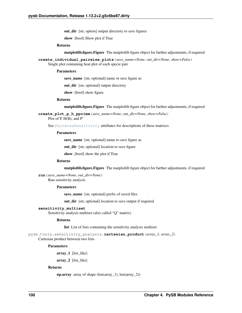out\_dir [str, option] output directory to save figures

show [bool] Show plot if True

## Returns

matplotlib.figure.Figure The matplotlib figure object for further adjustments, if required

**create\_individual\_pairwise\_plots**(*save\_name=None*, *out\_dir=None*, *show=False*) Single plot containing heat plot of each specie pair

## **Parameters**

save\_name [str, optional] name ot save figure as

out\_dir [str, optional] output directory

show [bool] show figure

#### Returns

matplotlib.figure.Figure The matplotlib figure object for further adjustments, if required

**create\_plot\_p\_h\_pprime**(*save\_name=None*, *out\_dir=None*, *show=False*) Plot of P, H(B), and P'

See  $PairwiseSensitivity$  attributes for descriptions of these matrices

#### Parameters

save\_name [str, optional] name to save figure as

out\_dir [str, optional] location to save figure

show [bool] show the plot if True

## Returns

matplotlib.figure.Figure The matplotlib figure object for further adjustments, if required

**run**(*save\_name=None*, *out\_dir=None*) Run sensitivity analysis

## Parameters

save name [str, optional] prefix of saved files

out\_dir [str, optional] location to save output if required

#### **sensitivity\_multiset**

Sensitivity analysis multiset (also called "Q" matrix)

## Returns

list List of lists containing the sensitivity analysis multiset

pysb.tools.sensitivity\_analysis.**cartesian\_product**(*array\_1*, *array\_2*)

Cartesian product between two lists

#### Parameters

array\_1 [list\_like]

array\_2 [list\_like]

## Returns

np.array array of shape (len(array 1), len(array 2))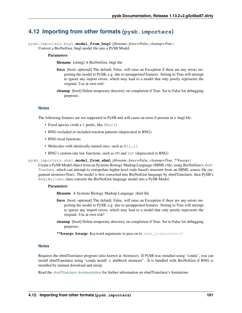# **4.12 Importing from other formats (pysb.importers)**

pysb.importers.bngl.**model\_from\_bngl**(*filename*, *force=False*, *cleanup=True*) Convert a BioNetGen .bngl model file into a PySB Model.

## **Parameters**

filename [string] A BioNetGen .bngl file

- force [bool, optional] The default, False, will raise an Exception if there are any errors importing the model to PySB, e.g. due to unsupported features. Setting to True will attempt to ignore any import errors, which may lead to a model that only poorly represents the original. Use at own risk!
- cleanup [bool] Delete temporary directory on completion if True. Set to False for debugging purposes.

## **Notes**

The following features are not supported in PySB and will cause an error if present in a .bngl file:

- Fixed species (with a  $\frac{1}{2}$  prefix, like  $\frac{1}{2}$ Null
- BNG excluded or included reaction patterns (deprecated in BNG)
- BNG local functions
- Molecules with identically named sites, such as  $M(1,1)$
- BNG's custom rate law functions, such as MM and Sat (deprecated in BNG)

<span id="page-104-0"></span>pysb.importers.sbml.**model\_from\_sbml**(*filename*, *force=False*, *cleanup=True*, *\*\*kwargs*)

Create a PySB Model object from an Systems Biology Markup Language (SBML) file, using BioNetGen's [sbml-](http://bionetgen.org/index.php/SBML2BNGL)[Translator,](http://bionetgen.org/index.php/SBML2BNGL) which can attempt to extrapolate higher-level (rule-based) structure from an SBML source file (argument atomize=True). The model is first converted into BioNetGen language by sbmlTranslator, then PySB's BnglBuilder class converts the BioNetGen language model into a PySB Model.

## **Parameters**

filename A Systems Biology Markup Language .sbml file

- force [bool, optional] The default, False, will raise an Exception if there are any errors importing the model to PySB, e.g. due to unsupported features. Setting to True will attempt to ignore any import errors, which may lead to a model that only poorly represents the original. Use at own risk!
- cleanup [bool] Delete temporary directory on completion if True. Set to False for debugging purposes.
- \*\*kwargs: kwargs Keyword arguments to pass on to  $sbml$  translator()

## **Notes**

Requires the sbmlTranslator program (also known at Atomizer). If PySB was installed using "conda", you can install sbmlTranslator using "conda install -c alubbock atomizer". It is bundled with BioNetGen if BNG is installed by manual download and unzip.

Read the [sbmlTranslator documentation](http://bionetgen.org/index.php/SBML2BNGL) for further information on sbmlTranslator's limitations.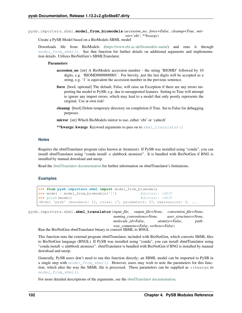pysb.importers.sbml.**model\_from\_biomodels**(*accession\_no*, *force=False*, *cleanup=True*, *mirror='ebi'*, *\*\*kwargs*)

Create a PySB Model based on a BioModels SBML model

Downloads file from BioModels [\(https://www.ebi.ac.uk/biomodels-main/\)](https://www.ebi.ac.uk/biomodels-main/) and runs it through [model\\_from\\_sbml\(\)](#page-104-0). See that function for further details on additional arguments and implementation details. Utilizes BioNetGen's SBMLTranslator.

## Parameters

- accession\_no [str] A BioModels accession number the string 'BIOMD' followed by 10 digits, e.g. 'BIOMD0000000001'. For brevity, just the last digits will be accepted as a string, e.g. '1' is equivalent the accession number in the previous sentence.
- force [bool, optional] The default, False, will raise an Exception if there are any errors importing the model to PySB, e.g. due to unsupported features. Setting to True will attempt to ignore any import errors, which may lead to a model that only poorly represents the original. Use at own risk!
- cleanup [bool] Delete temporary directory on completion if True. Set to False for debugging purposes.

mirror [str] Which BioModels mirror to use, either 'ebi' or 'caltech'

\*\*kwargs: kwargs Keyword arguments to pass on to  $sbml$  translator()

## **Notes**

Requires the sbmlTranslator program (also known at Atomizer). If PySB was installed using "conda", you can install sbmlTranslator using "conda install -c alubbock atomizer". It is bundled with BioNetGen if BNG is installed by manual download and unzip.

Read the [sbmlTranslator documentation](http://bionetgen.org/index.php/SBML2BNGL) for further information on sbmlTranslator's limitations.

## **Examples**

```
>>> from pysb.importers.sbml import model_from_biomodels
>>> model = model_from_biomodels('1') #doctest: +SKIP
>>> print(model) #doctest: +SKIP
<Model 'pysb' (monomers: 12, rules: 17, parameters: 37, expressions: 0, ...
```
<span id="page-105-0"></span>pysb.importers.sbml.**sbml\_translator**(*input\_file*, *output\_file=None*, *convention\_file=None*, *naming\_conventions=None*, *user\_structures=None*, *molecule\_id=False*, *atomize=False*, *pathway\_commons=False*, *verbose=False*)

Run the BioNetGen sbmlTranslator binary to convert SBML to BNGL

This function runs the external program sbmlTranslator, included with BioNetGen, which converts SBML files to BioNetGen language (BNGL). If PySB was installed using "conda", you can install sbmlTranslator using "conda install -c alubbock atomizer". sbmlTranslator is bundled with BioNetGen if BNG is installed by manual download and unzip.

Generally, PySB users don't need to run this function directly; an SBML model can be imported to PySB in a single step with  $model\_from\_sbml()$ . However, users may wish to note the parameters for this function, which alter the way the SBML file is processed. These parameters can be supplied as  $\star\star k$ wargs to [model\\_from\\_sbml\(\)](#page-104-0).

For more detailed descriptions of the arguments, see the [sbmlTranslator documentation.](http://bionetgen.org/index.php/SBML2BNGL)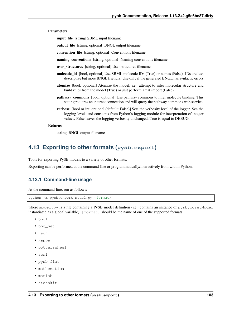## Parameters

input\_file [string] SBML input filename

output\_file [string, optional] BNGL output filename

convention\_file [string, optional] Conventions filename

naming\_conventions [string, optional] Naming conventions filename

user\_structures [string, optional] User structures filename

- molecule\_id [bool, optional] Use SBML molecule IDs (True) or names (False). IDs are less descriptive but more BNGL friendly. Use only if the generated BNGL has syntactic errors
- atomize [bool, optional] Atomize the model, i.e. attempt to infer molecular structure and build rules from the model (True) or just perform a flat import (False)
- pathway\_commons [bool, optional] Use pathway commons to infer molecule binding. This setting requires an internet connection and will query the pathway commons web service.
- verbose [bool or int, optional (default: False)] Sets the verbosity level of the logger. See the logging levels and constants from Python's logging module for interpretation of integer values. False leaves the logging verbosity unchanged, True is equal to DEBUG.

#### Returns

string BNGL output filename

# <span id="page-106-0"></span>**4.13 Exporting to other formats (pysb.export)**

Tools for exporting PySB models to a variety of other formats.

Exporting can be performed at the command-line or programmatically/interactively from within Python.

## **4.13.1 Command-line usage**

At the command-line, run as follows:

```
python -m pysb.export model.py <format>
```
where model.py is a file containing a PySB model definition (i.e., contains an instance of pysb.core.Model instantiated as a global variable). [format] should be the name of one of the supported formats:

- bngl
- bng\_net
- json
- kappa
- potterswheel
- sbml
- pysb\_flat
- mathematica
- matlab
- stochkit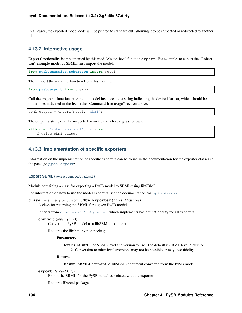In all cases, the exported model code will be printed to standard out, allowing it to be inspected or redirected to another file.

# **4.13.2 Interactive usage**

Export functionality is implemented by this module's top-level function export. For example, to export the "Robertson" example model as SBML, first import the model:

**from pysb.examples.robertson import** model

Then import the export function from this module:

**from pysb.export import** export

Call the export function, passing the model instance and a string indicating the desired format, which should be one of the ones indicated in the list in the "Command-line usage" section above:

sbml\_output = export(model, 'sbml')

The output (a string) can be inspected or written to a file, e.g. as follows:

```
with open('robertson.sbml', 'w') as f:
    f.write(sbml_output)
```
# **4.13.3 Implementation of specific exporters**

Information on the implementation of specific exporters can be found in the documentation for the exporter classes in the package [pysb.export](#page-106-0):

#### **Export SBML (pysb.export.sbml)**

Module containing a class for exporting a PySB model to SBML using libSBML

For information on how to use the model exporters, see the documentation for  $pysb$ .  $export$ .

```
class pysb.export.sbml.SbmlExporter(*args, **kwargs)
     A class for returning the SBML for a given PySB model.
```
Inherits from  $pysb$ .  $export$ .  $Exporter$ , which implements basic functionality for all exporters.

```
convert(level=(3, 2))
```
Convert the PySB model to a libSBML document

Requires the libsbml python package

## Parameters

level: (int, int) The SBML level and version to use. The default is SBML level 3, version 2. Conversion to other levels/versions may not be possible or may lose fidelity.

#### Returns

libsbml.SBMLDocument A libSBML document converted form the PySB model

```
export(level=(3, 2))
```
Export the SBML for the PySB model associated with the exporter

Requires libsbml package.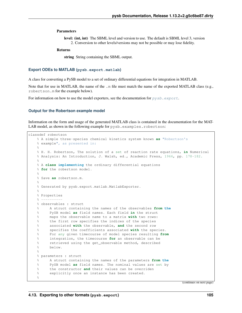### <span id="page-108-1"></span>Parameters

level: (int, int) The SBML level and version to use. The default is SBML level 3, version 2. Conversion to other levels/versions may not be possible or may lose fidelity.

### Returns

string String containing the SBML output.

#### <span id="page-108-0"></span>**Export ODEs to MATLAB (pysb.export.matlab)**

A class for converting a PySB model to a set of ordinary differential equations for integration in MATLAB.

Note that for use in MATLAB, the name of the .m file must match the name of the exported MATLAB class (e.g., robertson.m for the example below).

For information on how to use the model exporters, see the documentation for  $pysb$ .  $export$ .

### **Output for the Robertson example model**

Information on the form and usage of the generated MATLAB class is contained in the documentation for the MAT-LAB model, as shown in the following example for pysb.examples.robertson:

```
classdef robertson
   % A simple three-species chemical kinetics system known as "Robertson's
   % example", as presented in:
    %
   % H. H. Robertson, The solution of a set of reaction rate equations, in Numerical
    % Analysis: An Introduction, J. Walsh, ed., Academic Press, 1966, pp. 178-182.
    %
   % A class implementing the ordinary differential equations
   % for the robertson model.
   \approx% Save as robertson.m.
   \approx% Generated by pysb.export.matlab.MatlabExporter.
   \approx% Properties
   \frac{0}{2} --
   % observables : struct
    % A struct containing the names of the observables from the
    % PySB model as field names. Each field in the struct
    % maps the observable name to a matrix with two rows:
    % the first row specifies the indices of the species
    % associated with the observable, and the second row
   % specifies the coefficients associated with the species.
   % For any given timecourse of model species resulting from
   % integration, the timecourse for an observable can be
   % retrieved using the get_observable method, described
   % below.
   \approx% parameters : struct
   % A struct containing the names of the parameters from the
   % PySB model as field names. The nominal values are set by
   % the constructor and their values can be overriden
    % explicitly once an instance has been created.
    \frac{1}{\sqrt{2}}
```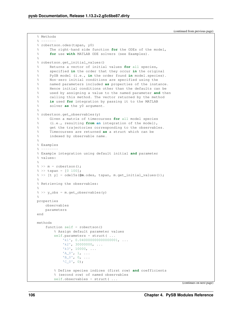(continued from previous page)

```
% Methods
\frac{6}{6} ------
% robertson.odes(tspan, y0)
% The right-hand side function for the ODEs of the model,
% for use with MATLAB ODE solvers (see Examples).
\approx% robertson.get_initial_values()
% Returns a vector of initial values for all species,
% specified in the order that they occur in the original
% PySB model (i.e., in the order found in model.species).
% Non-zero initial conditions are specified using the
% named parameters included as properties of the instance.
% Hence initial conditions other than the defaults can be
% used by assigning a value to the named parameter and then
% calling this method. The vector returned by the method
% is used for integration by passing it to the MATLAB
% solver as the y0 argument.
\approx% robertson.get_observables(y)
% Given a matrix of timecourses for all model species
% (i.e., resulting from an integration of the model),
% get the trajectories corresponding to the observables.
% Timecourses are returned as a struct which can be
% indexed by observable name.
\frac{6}{10}% Examples
\frac{6}{6} --------
% Example integration using default initial and parameter
% values:
\approx\frac{1}{6} >> m = robertson();
\frac{1}{6} >> tspan = [0 100];
% >> [t y] = ode15s(@m.odes, tspan, m.get_initial_values());
%
% Retrieving the observables:
\approx% >> y_obs = m.get_observables(y)
\frac{6}{5}properties
    observables
    parameters
end
methods
    function self = robertson()% Assign default parameter values
        self.parameters = struct( ...
            'k1', 0.0400000000000000001, ...
            'k2', 30000000, ...
            'k3', 10000, ...
            'A_0', 1, \ldots'B_0', 0, \ldots°C_0', 0);% Define species indices (first row) and coefficients
        % (second row) of named observables
        self.observables = struct( ...
```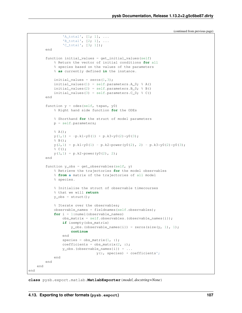```
(continued from previous page)
```

```
'B_t \text{total}', [2; 1], ...'C_total', [3; 1]);
        end
        function initial_values = get_initial_values(self)
            % Return the vector of initial conditions for all
            % species based on the values of the parameters
            % as currently defined in the instance.
            initial_values = zeros(1, 3);
            initial_values(1) = self.parameters.A_0; % A()initial_values(2) = self.parameters.B_0; % B()
            initial_values(3) = self.parameters.C_0; \textdegree C()
        end
        function y = odes (self, tspan, y0)
            % Right hand side function for the ODEs
            % Shorthand for the struct of model parameters
            p = self.parameters;
            \frac{6}{6} A();
            y(1, 1) = -p.k1*y0(1) + p.k3*y0(2)*y0(3);\frac{6}{6} B();
            y(2,1) = p.k1*y0(1) - p.k2*power(y0(2), 2) - p.k3*y0(2)*y0(3);\frac{6}{6} C();
            y(3, 1) = p.k2*power(y0(2), 2);end
        function y_{obs} = get_{observables}(self, y)% Retrieve the trajectories for the model observables
            % from a matrix of the trajectories of all model
            % species.
            % Initialize the struct of observable timecourses
            % that we will return
            y\_obs = struct();
            % Iterate over the observables;
            observable names = fieldnames(self.observables);
            for i = 1: numel(observable_names)
                obs_matrix = self.observables.(observable_names{i});
                if isempty(obs_matrix)
                     y_{obs.} (observable_names{i}) = zeros(size(y, 1), 1);
                     continue
                end
                species = obs_matrix(1, :);
                coefficients = obs_matrix(2, :);y_{obs.} (observable_names{i}) = ...
                                 y(:, species) * coefficients';
            end
        end
    end
end
```
 $'A_t$ total',  $[1; 1]$ , ...

**class** pysb.export.matlab.**MatlabExporter**(*model*, *docstring=None*)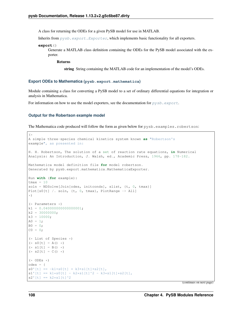<span id="page-111-1"></span>A class for returning the ODEs for a given PySB model for use in MATLAB.

Inherits from  $pysb$ .  $export$ . Exporter, which implements basic functionality for all exporters.

**export**()

Generate a MATLAB class definition containing the ODEs for the PySB model associated with the exporter.

Returns

string String containing the MATLAB code for an implementation of the model's ODEs.

#### <span id="page-111-0"></span>**Export ODEs to Mathematica (pysb.export.mathematica)**

Module containing a class for converting a PySB model to a set of ordinary differential equations for integration or analysis in Mathematica.

For information on how to use the model exporters, see the documentation for  $pysb$ .  $export$ .

#### **Output for the Robertson example model**

The Mathematica code produced will follow the form as given below for pysb.examples.robertson:

```
(*
A simple three-species chemical kinetics system known as "Robertson's
example", as presented in:
H. H. Robertson, The solution of a set of reaction rate equations, in Numerical
Analysis: An Introduction, J. Walsh, ed., Academic Press, 1966, pp. 178-182.
Mathematica model definition file for model robertson.
Generated by pysb.export.mathematica.MathematicaExporter.
Run with (for example):
tmax = 10soln = NDSolve[Join[odes, initconds], slist, {t, 0, tmax}]
Plot[s0[t] /. soln, {t, 0, tmax}, PlotRange -> All]
*)
(* Parameters *)
k1 = 0.040000000000000001;k2 = 30000000;k3 = 10000;A0 = 1;BO = 0;CO = 0;(* List of Species *)
(* 50[t] = A() *)(* s1[t] = B() *)(* s2[t] = C() *)(* ODEs *)odes = {s0'[t] == -k1*s0[t] + k3*s1[t]*s2[t],s1'[t] == k1*s0[t] - k2*s1[t]^2 - k3*s1[t]*s2[t],s2'[t] == k2*s1[t]^2
```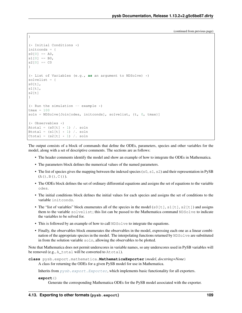(continued from previous page)

```
(* Initial Conditions *)
initconds = {
s0[0] == A0,
s1[0] == B0,s2[0] == C0}
(* List of Variables (e.g., as an argument to NDSolve) *)
solvelist = {
s0[t],
s1[t],
s2[t]}
(* Run the simulation -- example *)tmax = 100soln = NDSolve[Join[odes, initconds], solvelist, {t, 0, tmax}]
(* Observables *)
Atotal = (s0[t] * 1) /. soln
Btotal = (s1[t] * 1) /. soln
Ctotal = (s2[t] \times 1) /. soln
```
The output consists of a block of commands that define the ODEs, parameters, species and other variables for the model, along with a set of descriptive comments. The sections are as follows:

- The header comments identify the model and show an example of how to integrate the ODEs in Mathematica.
- The parameters block defines the numerical values of the named parameters.
- The list of species gives the mapping between the indexed species ( $s0$ ,  $s1$ ,  $s2$ ) and their representation in PySB  $(A()$ ,  $B()$ ,  $C()$ ).
- The ODEs block defines the set of ordinary differential equations and assigns the set of equations to the variable odes.
- The initial conditions block defines the initial values for each species and assigns the set of conditions to the variable initconds.
- The "list of variables" block enumerates all of the species in the model (s0[t], s1[t], s2[t]) and assigns them to the variable solvelist; this list can be passed to the Mathematica command NDSolve to indicate the variables to be solved for.
- This is followed by an example of how to call NDSolve to integrate the equations.
- Finally, the observables block enumerates the observables in the model, expressing each one as a linear combination of the appropriate species in the model. The interpolating functions returned by NDSolve are substituted in from the solution variable soln, allowing the observables to be plotted.

Note that Mathematica does not permit underscores in variable names, so any underscores used in PySB variables will be removed (e.g., A\_total will be converted to Atotal).

```
class pysb.export.mathematica.MathematicaExporter(model, docstring=None)
     A class for returning the ODEs for a given PySB model for use in Mathematica.
```
Inherits from  $pysb$ .  $export$ . Exporter, which implements basic functionality for all exporters.

**export**()

<span id="page-112-0"></span>}

Generate the corresponding Mathematica ODEs for the PySB model associated with the exporter.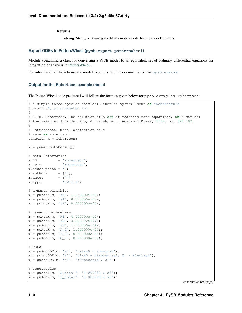<span id="page-113-1"></span>Returns

string String containing the Mathematica code for the model's ODEs.

### <span id="page-113-0"></span>**Export ODEs to PottersWheel (pysb.export.potterswheel)**

Module containing a class for converting a PySB model to an equivalent set of ordinary differential equations for integration or analysis in [PottersWheel.](http://www.potterswheel.de)

For information on how to use the model exporters, see the documentation for  $pysb$ .  $export$ .

### **Output for the Robertson example model**

The PottersWheel code produced will follow the form as given below for pysb.examples.robertson:

```
% A simple three-species chemical kinetics system known as "Robertson's
% example", as presented in:
%
% H. H. Robertson, The solution of a set of reaction rate equations, in Numerical
% Analysis: An Introduction, J. Walsh, ed., Academic Press, 1966, pp. 178-182.
%
% PottersWheel model definition file
% save as robertson.m
function m = robertson()
m = pwGetEmptyModel();
% meta information
m.ID = 'robertson';
m.name = 'robertson';
m.description = '';
m.authors = {\''};m.dates = {'''};m.type = 'PW-1-5';% dynamic variables
m = pwAddX(m, 's0', 1.000000e+00);m = pwAddX(m, 's1', 0.000000e+00);m = pwAddX(m, 's2', 0.000000e+00);
% dynamic parameters
m = pwAddK(m, 'k1', 4.000000e-02);m = pwAddK(m, 'k2', 3.000000e+07);m = pwAddK(m, 'k3', 1.000000e+04);m = pwAddK(m, 'A_0', 1.000000e+00);m = pwAddK(m, 'B_0', 0.000000e+00);m = pwAddK(m, 'C_0', 0.000000e+00);% ODEs
m = pwAddODE(m, 's0', '-k1*s0 + k3*s1*s2');
m = pwAddODE(m, 's1', 'k1*s0 - k2*power(s1, 2) - k3*s1*s2');
m = pwAddODE(m, 's2', 'k2*power(s1, 2)');
% observables
m = pwAddY(m, 'A_total', '1.000000 * s0');
m = pwAddY(m, 'B_total', '1.000000 * s1');
```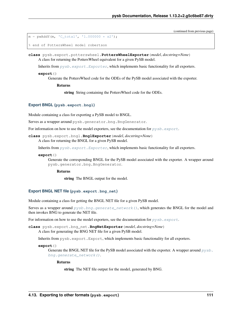(continued from previous page)

```
m = pwAddY(m, 'C_total', '1.000000 * s2');
% end of PottersWheel model robertson
```
**class** pysb.export.potterswheel.**PottersWheelExporter**(*model*, *docstring=None*) A class for returning the PottersWheel equivalent for a given PySB model.

Inherits from  $pysb$ .  $export$ . Exporter, which implements basic functionality for all exporters.

#### **export**()

Generate the PottersWheel code for the ODEs of the PySB model associated with the exporter.

Returns

string String containing the PottersWheel code for the ODEs.

#### <span id="page-114-1"></span>**Export BNGL (pysb.export.bngl)**

Module containing a class for exporting a PySB model to BNGL.

Serves as a wrapper around pysb.generator.bng.BngGenerator.

For information on how to use the model exporters, see the documentation for  $pysb$ .  $export$ .

**class** pysb.export.bngl.**BnglExporter**(*model*, *docstring=None*) A class for returning the BNGL for a given PySB model.

Inherits from  $pysb$ .  $export$ . Exporter, which implements basic functionality for all exporters.

#### **export**()

Generate the corresponding BNGL for the PySB model associated with the exporter. A wrapper around pysb.generator.bng.BngGenerator.

Returns

string The BNGL output for the model.

#### <span id="page-114-0"></span>**Export BNGL NET file (pysb.export.bng\_net)**

Module containing a class for getting the BNGL NET file for a given PySB model.

Serves as a wrapper around  $pysb.bng.generate\_network()$ , which generates the BNGL for the model and then invokes BNG to generate the NET file.

For information on how to use the model exporters, see the documentation for  $pysb$ .  $export$ .

**class** pysb.export.bng\_net.**BngNetExporter**(*model*, *docstring=None*) A class for generating the BNG NET file for a given PySB model.

Inherits from pysb.export.Export, which implements basic functionality for all exporters.

#### **export**()

Generate the BNGL NET file for the PySB model associated with the exporter. A wrapper around  $p_{\gamma S}b$ . [bng.generate\\_network\(\)](#page-64-0).

### Returns

string The NET file output for the model, generated by BNG.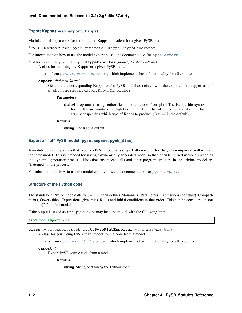### <span id="page-115-2"></span><span id="page-115-0"></span>**Export Kappa (pysb.export.kappa)**

Module containing a class for returning the Kappa equivalent for a given PySB model.

Serves as a wrapper around pysb.generator.kappa.KappaGenerator.

For information on how to use the model exporters, see the documentation for  $pysb$ .  $export$ .

**class** pysb.export.kappa.**KappaExporter**(*model*, *docstring=None*) A class for returning the Kappa for a given PySB model.

Inherits from  $pysb$ .  $export$ .  $Exporter$ , which implements basic functionality for all exporters.

#### **export**(*dialect='kasim'*)

Generate the corresponding Kappa for the PySB model associated with the exporter. A wrapper around pysb.generator.kappa.KappaGenerator.

#### Parameters

dialect [(optional) string, either 'kasim' (default) or 'complx'] The Kappa file syntax for the Kasim simulator is slightly different from that of the complx analyzer. This argument specifies which type of Kappa to produce ('kasim' is the default).

#### Returns

string The Kappa output.

### <span id="page-115-1"></span>**Export a "flat" PySB model (pysb.export.pysb\_flat)**

A module containing a class that exports a PySB model to a single Python source file that, when imported, will recreate the same model. This is intended for saving a dynamically generated model so that it can be reused without re-running the dynamic generation process. Note that any macro calls and other program structure in the original model are "flattened" in the process.

For information on how to use the model exporters, see the documentation for  $pysb$ .  $export$ .

### **Structure of the Python code**

The standalone Python code calls Model(), then defines Monomers, Parameters, Expressions (constant), Compartments, Observables, Expressions (dynamic), Rules and initial conditions in that order. This can be considered a sort of "repr()" for a full model.

If the output is saved as  $f \circ \circ \circ$ , by then one may load the model with the following line:

**from foo import** model

**class** pysb.export.pysb\_flat.**PysbFlatExporter**(*model*, *docstring=None*) A class for generating PySB "flat" model source code from a model.

Inherits from  $pysb$ .  $export$ .  $Exporter$ , which implements basic functionality for all exporters.

**export**()

Export PySB source code from a model.

### Returns

string String containing the Python code.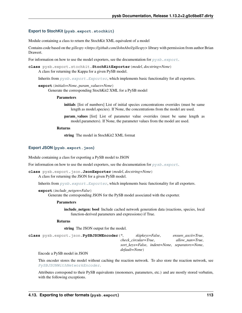### <span id="page-116-3"></span><span id="page-116-2"></span>**Export to StochKit (pysb.export.stochkit)**

Module containing a class to return the StochKit XML equivalent of a model

Contains code based on the *gillespy <https://github.com/JohnAbel/gillespy>* library with permission from author Brian Drawert.

For information on how to use the model exporters, see the documentation for  $pysb$ .  $export$ .

```
class pysb.export.stochkit.StochKitExporter(model, docstring=None)
    A class for returning the Kappa for a given PySB model.
```
Inherits from  $pysb$ .  $export$ .  $Exporter$ , which implements basic functionality for all exporters.

**export**(*initials=None*, *param\_values=None*) Generate the corresponding StochKit2 XML for a PySB model

#### Parameters

initials [list of numbers] List of initial species concentrations overrides (must be same length as model.species). If None, the concentrations from the model are used.

param\_values [list] List of parameter value overrides (must be same length as model.parameters). If None, the parameter values from the model are used.

#### Returns

string The model in StochKit2 XML format

### <span id="page-116-1"></span>**Export JSON (pysb.export.json)**

Module containing a class for exporting a PySB model to JSON

For information on how to use the model exporters, see the documentation for  $pysb$ .  $export$ .

```
class pysb.export.json.JsonExporter(model, docstring=None)
     A class for returning the JSON for a given PySB model.
```
Inherits from  $pysb$ .  $export$ . Exporter, which implements basic functionality for all exporters.

```
export(include_netgen=False)
```
Generate the corresponding JSON for the PySB model associated with the exporter.

### Parameters

include netgen: bool Include cached network generation data (reactions, species, local function-derived parameters and expressions) if True.

#### Returns

string The JSON output for the model.

<span id="page-116-0"></span>

| class pysb.export.ison.PySBJSONEncoder(*, | skipkeys=False,      |  |                 | ensure ascii=True.                             |
|-------------------------------------------|----------------------|--|-----------------|------------------------------------------------|
|                                           | check circular=True, |  | allow nan=True, |                                                |
|                                           |                      |  |                 | sort keys=False, indent=None, separators=None, |
|                                           | default=None)        |  |                 |                                                |

Encode a PySB model in JSON

This encoder stores the model without caching the reaction network. To also store the reaction network, see [PySBJSONWithNetworkEncoder](#page-117-1).

Attributes correspond to their PySB equivalents (monomers, parameters, etc.) and are mostly stored verbatim, with the following exceptions.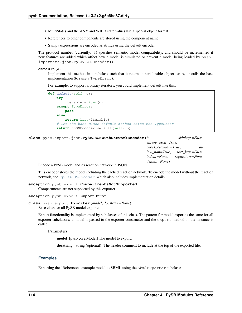- <span id="page-117-2"></span>• MultiStates and the ANY and WILD state values use a special object format
- References to other components are stored using the component name
- Sympy expressions are encoded as strings using the default encoder

The protocol number (currently: 1) specifies semantic model compatibility, and should be incremented if new features are added which affect how a model is simulated or prevent a model being loaded by pysb. importers.json.PySBJSONDecoder().

#### **default**(*o*)

Implement this method in a subclass such that it returns a serializable object for  $\circ$ , or calls the base implementation (to raise a TypeError).

For example, to support arbitrary iterators, you could implement default like this:

```
def default(self, o):
    try:
        iterable = iter(o)except TypeError:
       pass
    else:
        return list(iterable)
    # Let the base class default method raise the TypeError
    return JSONEncoder.default(self, o)
```
<span id="page-117-1"></span>**class** pysb.export.json.**PySBJSONWithNetworkEncoder**(*\**, *skipkeys=False*,

```
ensure_ascii=True,
check_circular=True, al-
low_nan=True, sort_keys=False,
indent=None, separators=None,
default=None)
```
Encode a PySB model and its reaction network in JSON

This encoder stores the model including the cached reaction network. To encode the model without the reaction network, see  $PySBJSONEncoder$ , which also includes implementation details.

**exception** pysb.export.**CompartmentsNotSupported** Compartments are not supported by this exporter

#### <span id="page-117-0"></span>**exception** pysb.export.**ExportError**

```
class pysb.export.Exporter(model, docstring=None)
     Base class for all PySB model exporters.
```
Export functionality is implemented by subclasses of this class. The pattern for model export is the same for all exporter subclasses: a model is passed to the exporter constructor and the export method on the instance is called.

#### Parameters

model [pysb.core.Model] The model to export.

docstring [string (optional)] The header comment to include at the top of the exported file.

### **Examples**

Exporting the "Robertson" example model to SBML using the SbmlExporter subclass: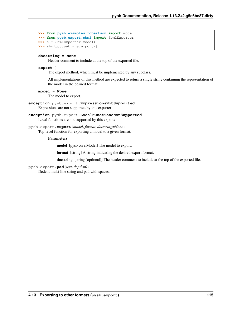```
>>> from pysb.examples.robertson import model
>>> from pysb.export.sbml import SbmlExporter
>>> e = SbmlExporter(model)
>>> sbml_output = e.export()
```
### **docstring = None**

Header comment to include at the top of the exported file.

### **export**()

The export method, which must be implemented by any subclass.

All implementations of this method are expected to return a single string containing the representation of the model in the desired format.

### **model = None**

The model to export.

**exception** pysb.export.**ExpressionsNotSupported** Expressions are not supported by this exporter

```
exception pysb.export.LocalFunctionsNotSupported
     Local functions are not supported by this exporter
```
### pysb.export.**export**(*model*, *format*, *docstring=None*)

Top-level function for exporting a model to a given format.

### Parameters

model [pysb.core.Model] The model to export.

format [string] A string indicating the desired export format.

docstring [string (optional)] The header comment to include at the top of the exported file.

### pysb.export.**pad**(*text*, *depth=0*)

Dedent multi-line string and pad with spaces.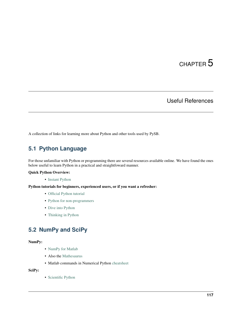# CHAPTER 5

### Useful References

A collection of links for learning more about Python and other tools used by PySB.

### **5.1 Python Language**

For those unfamiliar with Python or programming there are several resources available online. We have found the ones below useful to learn Python in a practical and straightfoward manner.

### Quick Python Overview:

• [Instant Python](http://hetland.org/writing/instant-python.html)

### Python tutorials for beginners, experienced users, or if you want a refresher:

- [Official Python tutorial](http://docs.python.org/tutorial/)
- [Python for non-programmers](http://wiki.python.org/moin/BeginnersGuide/NonProgrammers)
- [Dive into Python](http://www.diveintopython.net/)
- [Thinking in Python](http://www.mindview.net/Books/TIPython)

### **5.2 NumPy and SciPy**

### NumPy:

- [NumPy for Matlab](http://www.scipy.org/NumPy_for_Matlab_Users/)
- Also the [Mathesaurus](http://mathesaurus.sourceforge.net/matlab-numpy.html)
- Matlab commands in Numerical Python [cheatsheet](http://mathesaurus.sourceforge.net/matlab-python-xref.pdf)

SciPy:

• [Scientific Python](http://www.scipy.org/)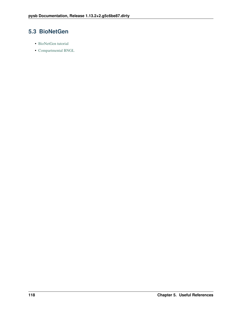### **5.3 BioNetGen**

- [BioNetGen tutorial](http://bionetgen.org/index.php/BioNetGen_Tutorial)
- [Compartmental BNGL](http://bionetgen.org/index.php/Compartments_in_BNGL)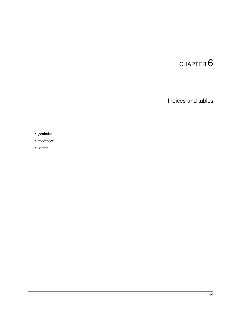# CHAPTER 6

Indices and tables

- genindex
- modindex
- search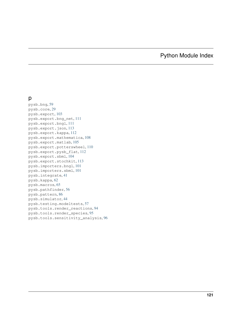# Python Module Index

### p

pysb.bng, [59](#page-62-0) pysb.core, [29](#page-32-0) pysb.export, [103](#page-106-0) pysb.export.bng\_net, [111](#page-114-0) pysb.export.bngl, [111](#page-114-1) pysb.export.json, [113](#page-116-1) pysb.export.kappa, [112](#page-115-0) pysb.export.mathematica, [108](#page-111-0) pysb.export.matlab, [105](#page-108-0) pysb.export.potterswheel, [110](#page-113-0) pysb.export.pysb\_flat, [112](#page-115-1) pysb.export.sbml, [104](#page-107-0) pysb.export.stochkit, [113](#page-116-2) pysb.importers.bngl, [101](#page-104-0) pysb.importers.sbml, [101](#page-104-1) pysb.integrate, [41](#page-44-0) pysb.kappa, [62](#page-65-0) pysb.macros, [65](#page-68-0) pysb.pathfinder, [56](#page-59-0) pysb.pattern, [86](#page-89-0) pysb.simulator, [44](#page-47-0) pysb.testing.modeltests, [57](#page-60-0) pysb.tools.render\_reactions, [94](#page-97-0) pysb.tools.render\_species, [95](#page-98-0) pysb.tools.sensitivity\_analysis, [96](#page-99-0)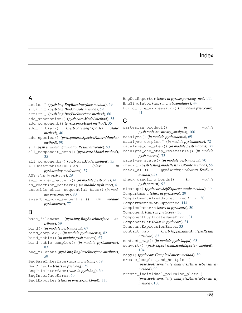### Index

### A

action() (*pysb.bng.BngBaseInterface method*), [59](#page-62-1) action() (*pysb.bng.BngConsole method*), [59](#page-62-1) action() (*pysb.bng.BngFileInterface method*), [60](#page-63-0) add\_annotation() (*pysb.core.Model method*), [35](#page-38-0) add\_component() (*pysb.core.Model method*), [35](#page-38-0) add\_initial() (*pysb.core.SelfExporter static method*), [40](#page-43-0) add\_species() (*pysb.pattern.SpeciesPatternMatcher method*), [90](#page-93-0) all (*pysb.simulator.SimulationResult attribute*), [53](#page-56-0) all\_component\_sets() (*pysb.core.Model method*), [35](#page-38-0) all\_components() (*pysb.core.Model method*), [35](#page-38-0) AllObservablesInRules (*class in pysb.testing.modeltests*), [57](#page-60-1) ANY (*class in pysb.core*), [29](#page-32-1) as\_complex\_pattern() (*in module pysb.core*), [41](#page-44-1) as\_reaction\_pattern() (*in module pysb.core*), [41](#page-44-1) assemble\_chain\_sequential\_base() (*in module pysb.macros*), [80](#page-83-0) assemble\_pore\_sequential() (*in module pysb.macros*), [77](#page-80-0) B base\_filename (*pysb.bng.BngBaseInterface attribute*), [59](#page-62-1)

```
bind() (in module pysb.macros), 67
bind_complex() (in module pysb.macros), 82
bind_table() (in module pysb.macros), 67
bind_table_complex() (in module pysb.macros),
        83
bng_filename (pysb.bng.BngBaseInterface attribute),
        59
BngBaseInterface (class in pysb.bng), 59
BngConsole (class in pysb.bng), 59
BngFileInterface (class in pysb.bng), 60
BngInterfaceError, 60
BnglExporter (class in pysb.export.bngl), 111
```
BngNetExporter (*class in pysb.export.bng\_net*), [111](#page-114-2) BngSimulator (*class in pysb.simulator*), [44](#page-47-1) build\_rule\_expression() (*in module pysb.core*), [41](#page-44-1)

### $\mathsf{C}$

cartesian\_product() (*in module pysb.tools.sensitivity\_analysis*), [100](#page-103-0) catalyze() (*in module pysb.macros*), [69](#page-72-0) catalyze\_complex() (*in module pysb.macros*), [72](#page-75-0) catalyze\_one\_step() (*in module pysb.macros*), [72](#page-75-0) catalyze\_one\_step\_reversible() (*in module pysb.macros*), [73](#page-76-0) catalyze\_state() (*in module pysb.macros*), [70](#page-73-0) check() (*pysb.testing.modeltests.TestSuite method*), [58](#page-61-0) check\_all() (*pysb.testing.modeltests.TestSuite method*), [58](#page-61-0) check\_dangling\_bonds() (*in module pysb.pattern*), [92](#page-95-0) cleanup() (*pysb.core.SelfExporter static method*), [40](#page-43-0) Compartment (*class in pysb.core*), [29](#page-32-1) CompartmentAlreadySpecifiedError, [30](#page-33-0) CompartmentsNotSupported, [114](#page-117-2) ComplexPattern (*class in pysb.core*), [30](#page-33-0) Component (*class in pysb.core*), [30](#page-33-0) ComponentDuplicateNameError, [31](#page-34-0) ComponentSet (*class in pysb.core*), [31](#page-34-0) ConstantExpressionError, [33](#page-36-0) contact\_map (*pysb.kappa.StaticAnalysisResult attribute*), [63](#page-66-0) contact\_map() (*in module pysb.kappa*), [63](#page-66-0) convert() (*pysb.export.sbml.SbmlExporter method*), [104](#page-107-1) copy() (*pysb.core.ComplexPattern method*), [30](#page-33-0) create boxplot and heatplot() (*pysb.tools.sensitivity\_analysis.PairwiseSensitivity method*), [99](#page-102-0) create\_individual\_pairwise\_plots() (*pysb.tools.sensitivity\_analysis.PairwiseSensitivity*

*method*), [100](#page-103-0)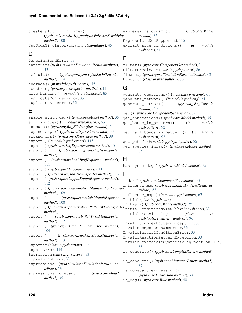create plot p h pprime() (*pysb.tools.sensitivity\_analysis.PairwiseSensitivity method*), [100](#page-103-0)

CupSodaSimulator (*class in pysb.simulator*), [45](#page-48-0)

### D

DanglingBondError, [33](#page-36-0) dataframe (*pysb.simulator.SimulationResult attribute*), [53](#page-56-0) default() (*pysb.export.json.PySBJSONEncoder method*), [114](#page-117-2) degrade() (*in module pysb.macros*), [75](#page-78-0) docstring (*pysb.export.Exporter attribute*), [115](#page-118-0) drug\_binding() (*in module pysb.macros*), [85](#page-88-0) DuplicateMonomerError, [33](#page-36-0) DuplicateSiteError, [33](#page-36-0)

## E

enable\_synth\_deg() (*pysb.core.Model method*), [35](#page-38-0) equilibrate() (*in module pysb.macros*), [66](#page-69-0) execute() (*pysb.bng.BngFileInterface method*), [60](#page-63-0) expand\_expr() (*pysb.core.Expression method*), [33](#page-36-0) expand\_obs() (*pysb.core.Observable method*), [39](#page-42-0) export() (*in module pysb.export*), [115](#page-118-0) export() (*pysb.core.SelfExporter static method*), [40](#page-43-0) export() (*pysb.export.bng\_net.BngNetExporter method*), [111](#page-114-2) export() (*pysb.export.bngl.BnglExporter method*), [111](#page-114-2) export() (*pysb.export.Exporter method*), [115](#page-118-0) export() (*pysb.export.json.JsonExporter method*), [113](#page-116-3) export() (*pysb.export.kappa.KappaExporter method*), [112](#page-115-2) export() (*pysb.export.mathematica.MathematicaExporter* influence\_map (*pysb.kappa.StaticAnalysisResult atmethod*), [109](#page-112-0) export() (*pysb.export.matlab.MatlabExporter method*), [108](#page-111-1) export() (*pysb.export.potterswheel.PottersWheelExporter* InitialConditionsView (*class in pysb.core*), [33](#page-36-0) *method*), [111](#page-114-2) export() (*pysb.export.pysb\_flat.PysbFlatExporter method*), [112](#page-115-2) export() (*pysb.export.sbml.SbmlExporter method*), [104](#page-107-1) export() (*pysb.export.stochkit.StochKitExporter method*), [113](#page-116-3) Exporter (*class in pysb.export*), [114](#page-117-2) ExportError, [114](#page-117-2) Expression (*class in pysb.core*), [33](#page-36-0) ExpressionError, [33](#page-36-0) expressions (*pysb.simulator.SimulationResult attribute*), [53](#page-56-0) expressions\_constant() (*pysb.core.Model method*), [35](#page-38-0)

expressions\_dynamic() (*pysb.core.Model method*), [35](#page-38-0) ExpressionsNotSupported, [115](#page-118-0) extract\_site\_conditions() (*in module pysb.core*), [41](#page-44-1)

### F

filter() (*pysb.core.ComponentSet method*), [31](#page-34-0) FilterPredicate (*class in pysb.pattern*), [86](#page-89-1) flux\_map (*pysb.kappa.SimulationResult attribute*), [62](#page-65-1) Function (*class in pysb.pattern*), [86](#page-89-1)

### G

```
generate_equations() (in module pysb.bng), 61
generate_network() (in module pysb.bng), 61
generate_network() (pysb.bng.BngConsole
        method), 60
get() (pysb.core.ComponentSet method), 32
get_annotations() (pysb.core.Model method), 35
get_bonds_in_pattern() (in module
       pysb.pattern), 92
get_half_bonds_in_pattern() (in module
       pysb.pattern), 93
get_path() (in module pysb.pathfinder), 56
get_species_index() (pysb.core.Model method),
        35
```
### H

has\_synth\_deg() (*pysb.core.Model method*), [35](#page-38-0)

### I

index() (*pysb.core.ComponentSet method*), [32](#page-35-0) *tribute*), [63](#page-66-0) influence\_map() (*in module pysb.kappa*), [63](#page-66-0) Initial (*class in pysb.core*), [33](#page-36-0) initial() (*pysb.core.Model method*), [35](#page-38-0) InitialsSensitivity (*class in pysb.tools.sensitivity\_analysis*), [96](#page-99-1) InvalidComplexPatternException, [33](#page-36-0) InvalidComponentNameError, [33](#page-36-0) InvalidInitialConditionError, [33](#page-36-0) InvalidReactionPatternException, [33](#page-36-0) InvalidReversibleSynthesisDegradationRule, [33](#page-36-0) is\_concrete() (*pysb.core.ComplexPattern method*), [30](#page-33-0) is\_concrete() (*pysb.core.MonomerPattern method*), [37](#page-40-0) is constant expression() (*pysb.core.Expression method*), [33](#page-36-0) is\_deg() (*pysb.core.Rule method*), [40](#page-43-0)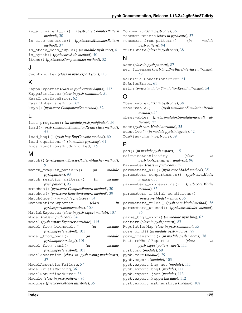is\_equivalent\_to() (*pysb.core.ComplexPattern* Monomer (*class in pysb.core*), [36](#page-39-0) *method*), [30](#page-33-0)

is\_site\_concrete() (*pysb.core.MonomerPattern method*), [37](#page-40-0)

is\_state\_bond\_tuple() (*in module pysb.core*), [41](#page-44-1) is\_synth() (*pysb.core.Rule method*), [40](#page-43-0) items() (*pysb.core.ComponentSet method*), [32](#page-35-0)

### J

JsonExporter (*class in pysb.export.json*), [113](#page-116-3)

### K

KappaExporter (*class in pysb.export.kappa*), [112](#page-115-2) KappaSimulator (*class in pysb.simulator*), [51](#page-54-0) KasaInterfaceError, [62](#page-65-1) KasimInterfaceError, [62](#page-65-1) keys() (*pysb.core.ComponentSet method*), [32](#page-35-0)

### L

list\_programs() (*in module pysb.pathfinder*), [56](#page-59-1) load() (*pysb.simulator.SimulationResult class method*), [53](#page-56-0) load\_bngl() (*pysb.bng.BngConsole method*), [60](#page-63-0) load\_equations() (*in module pysb.bng*), [61](#page-64-1) LocalFunctionsNotSupported, [115](#page-118-0)

### M

| match()(pysb.pattern.SpeciesPatternMatcher method), |        |        |  |  |  |
|-----------------------------------------------------|--------|--------|--|--|--|
| 91                                                  |        |        |  |  |  |
| match_complex_pattern()                             | (in    | module |  |  |  |
| <i>pysb.pattern</i> ), 93                           |        |        |  |  |  |
| match_reaction_pattern()                            | (in    | module |  |  |  |
| <i>pysb.pattern</i> ), 93                           |        |        |  |  |  |
| matches () (pysb.core.ComplexPattern method), 30    |        |        |  |  |  |
| matches() (pysb.core.ReactionPattern method), 39    |        |        |  |  |  |
| MatchOnce () (in module pysb.core), 34              |        |        |  |  |  |
| MathematicaExporter                                 | (class | in     |  |  |  |
| pysb.export.mathematica), 109                       |        |        |  |  |  |
| MatlabExporter (class in pysb.export.matlab), 107   |        |        |  |  |  |
| Model (class in pysb.core), 34                      |        |        |  |  |  |
| model (pysb.export.Exporter attribute), 115         |        |        |  |  |  |
| model from biomodels()                              | (in    | module |  |  |  |
| <i>pysb.importers.sbml</i> ), 101                   |        |        |  |  |  |
| model_from_bngl()                                   | (in    | module |  |  |  |
| pysb.importers.bngl), 101                           |        |        |  |  |  |
| model_from_sbml()                                   | (in    | module |  |  |  |
| pysb.importers.sbml), 101                           |        |        |  |  |  |
| ModelAssertion (class in pysb.testing.modeltests),  |        |        |  |  |  |
| 57                                                  |        |        |  |  |  |
| ModelAssertionFailure, 57                           |        |        |  |  |  |
| ModelExistsWarning, 36                              |        |        |  |  |  |
| ModelNotDefinedError, 36                            |        |        |  |  |  |
| Module (class in pysb.pattern), 86                  |        |        |  |  |  |
| modules (pysb.core.Model attribute), 35             |        |        |  |  |  |
|                                                     |        |        |  |  |  |

MonomerPattern (*class in pysb.core*), [37](#page-40-0) monomers from pattern() (*in module pysb.pattern*), [94](#page-97-1) MultiState (*class in pysb.core*), [38](#page-41-0)

### N

Name (*class in pysb.pattern*), [87](#page-90-0) net\_filename (*pysb.bng.BngBaseInterface attribute*), [59](#page-62-1) NoInitialConditionsError, [61](#page-64-1) NoRulesError, [61](#page-64-1) nsims (*pysb.simulator.SimulationResult attribute*), [54](#page-57-0)

### O

Observable (*class in pysb.core*), [38](#page-41-0) observable() (*pysb.simulator.SimulationResult method*), [54](#page-57-0) observables (*pysb.simulator.SimulationResult attribute*), [55](#page-58-0) odes (*pysb.core.Model attribute*), [35](#page-38-0) odesolve() (*in module pysb.integrate*), [42](#page-45-0) OdeView (*class in pysb.core*), [39](#page-42-0)

### P

```
pad() (in module pysb.export), 115
PairwiseSensitivity (class in
        pysb.tools.sensitivity_analysis), 96
Parameter (class in pysb.core), 39
parameters_all() (pysb.core.Model method), 35
parameters_compartments() (pysb.core.Model
        method), 35
parameters_expressions() (pysb.core.Model
        method), 35
parameters_initial_conditions()
        (pysb.core.Model method), 36
parameters_rules() (pysb.core.Model method), 36
parameters_unused() (pysb.core.Model method),
        36
parse_bngl_expr() (in module pysb.bng), 62
Pattern (class in pysb.pattern), 87
PopulationMap (class in pysb.simulator), 55
pore_bind() (in module pysb.macros), 79
pore_transport() (in module pysb.macros), 78
PottersWheelExporter (class in
        pysb.export.potterswheel), 111
pysb.bng (module), 59
pysb.core (module), 29
pysb.export (module), 103
pysb.export.bng_net (module), 111
pysb.export.bngl (module), 111
pysb.export.json (module), 113
pysb.export.kappa (module), 112
pysb.export.mathematica (module), 108
```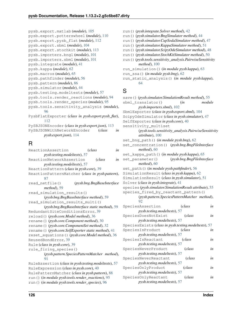- pysb.export.matlab (*module*), [105](#page-108-1)
- pysb.export.potterswheel (*module*), [110](#page-113-1) pysb.export.pysb\_flat (*module*), [112](#page-115-2)
- pysb.export.sbml (*module*), [104](#page-107-1)
- pysb.export.stochkit (*module*), [113](#page-116-3)
- pysb.importers.bngl (*module*), [101](#page-104-2)
- pysb.importers.sbml (*module*), [101](#page-104-2)
- pysb.integrate (*module*), [41](#page-44-1)
- pysb.kappa (*module*), [62](#page-65-1)
- pysb.macros (*module*), [65](#page-68-1)
- pysb.pathfinder (*module*), [56](#page-59-1)
- pysb.pattern (*module*), [86](#page-89-1)
- pysb.simulator (*module*), [44](#page-47-1)
- pysb.testing.modeltests (*module*), [57](#page-60-1)
- pysb.tools.render\_reactions (*module*), [94](#page-97-1)
- pysb.tools.render\_species (*module*), [95](#page-98-1)
- pysb.tools.sensitivity\_analysis (*module*),
- [96](#page-99-1) PysbFlatExporter (*class in pysb.export.pysb\_flat*), [112](#page-115-2)
- PySBJSONEncoder (*class in pysb.export.json*), [113](#page-116-3)
- PySBJSONWithNetworkEncoder (*class in pysb.export.json*), [114](#page-117-2)

## R

ReactionAssertion (*class in pysb.testing.modeltests*), [57](#page-60-1) ReactionNetworkAssertion (*class in pysb.testing.modeltests*), [57](#page-60-1) ReactionPattern (*class in pysb.core*), [39](#page-42-0) ReactionPatternMatcher (*class in pysb.pattern*), [87](#page-90-0) read\_netfile() (*pysb.bng.BngBaseInterface method*), [59](#page-62-1) read\_simulation\_results() (*pysb.bng.BngBaseInterface method*), [59](#page-62-1) read\_simulation\_results\_multi() (*pysb.bng.BngBaseInterface static method*), [59](#page-62-1) RedundantSiteConditionsError, [39](#page-42-0) reload() (*pysb.core.Model method*), [36](#page-39-0) rename() (*pysb.core.Component method*), [30](#page-33-0) rename() (*pysb.core.ComponentSet method*), [32](#page-35-0) rename() (*pysb.core.SelfExporter static method*), [41](#page-44-1) reset\_equations() (*pysb.core.Model method*), [36](#page-39-0) ReusedBondError, [39](#page-42-0) Rule (*class in pysb.core*), [39](#page-42-0) rule\_firing\_species() (*pysb.pattern.SpeciesPatternMatcher method*), **[91](#page-94-0)** RuleAssertion (*class in pysb.testing.modeltests*), [57](#page-60-1) RuleExpression (*class in pysb.core*), [40](#page-43-0) RulePatternMatcher (*class in pysb.pattern*), [88](#page-91-0) run() (*in module pysb.tools.render\_reactions*), [95](#page-98-1) run() (*in module pysb.tools.render\_species*), [96](#page-99-1)

- run() (*pysb.integrate.Solver method*), [42](#page-45-0)
- run() (*pysb.simulator.BngSimulator method*), [44](#page-47-1)
- run() (*pysb.simulator.CupSodaSimulator method*), [47](#page-50-0)
- run() (*pysb.simulator.KappaSimulator method*), [51](#page-54-0)
- run() (*pysb.simulator.ScipyOdeSimulator method*), [48](#page-51-0)
- run() (*pysb.simulator.StochKitSimulator method*), [50](#page-53-0)
- run() (*pysb.tools.sensitivity\_analysis.PairwiseSensitivity method*), [100](#page-103-0)
- run\_simulation() (*in module pysb.kappa*), [63](#page-66-0)
- run\_ssa() (*in module pysb.bng*), [62](#page-65-1)
- run\_static\_analysis() (*in module pysb.kappa*), [64](#page-67-0)

### S

save() (*pysb.simulator.SimulationResult method*), [55](#page-58-0) sbml\_translator() (*in module pysb.importers.sbml*), [102](#page-105-0) SbmlExporter (*class in pysb.export.sbml*), [104](#page-107-1) ScipyOdeSimulator (*class in pysb.simulator*), [47](#page-50-0) SelfExporter (*class in pysb.core*), [40](#page-43-0) sensitivity\_multiset (*pysb.tools.sensitivity\_analysis.PairwiseSensitivity attribute*), [100](#page-103-0) set\_bng\_path() (*in module pysb.bng*), [62](#page-65-1) set\_concentration() (*pysb.bng.BngFileInterface method*), [60](#page-63-0) set\_kappa\_path() (*in module pysb.kappa*), [65](#page-68-1) set\_parameter() (*pysb.bng.BngFileInterface method*), [60](#page-63-0) set\_path() (*in module pysb.pathfinder*), [56](#page-59-1) SimulationResult (*class in pysb.kappa*), [62](#page-65-1) SimulationResult (*class in pysb.simulator*), [51](#page-54-0) Solver (*class in pysb.integrate*), [41](#page-44-1) species (*pysb.simulator.SimulationResult attribute*), [55](#page-58-0) species\_fired\_by\_reactant\_pattern() (*pysb.pattern.SpeciesPatternMatcher method*), [92](#page-95-0) SpeciesAssertion (*class in pysb.testing.modeltests*), [57](#page-60-1) SpeciesDoesNotExist (*class in pysb.testing.modeltests*), [57](#page-60-1) SpeciesExists (*class in pysb.testing.modeltests*), [57](#page-60-1) SpeciesIsProduct (*class in pysb.testing.modeltests*), [57](#page-60-1) SpeciesIsReactant (*class in pysb.testing.modeltests*), [57](#page-60-1) SpeciesNeverProduct (*class in pysb.testing.modeltests*), [57](#page-60-1) SpeciesNeverReactant (*class in pysb.testing.modeltests*), [57](#page-60-1) SpeciesOnlyProduct (*class in pysb.testing.modeltests*), [57](#page-60-1) SpeciesOnlyReactant (*class in pysb.testing.modeltests*), [57](#page-60-1)